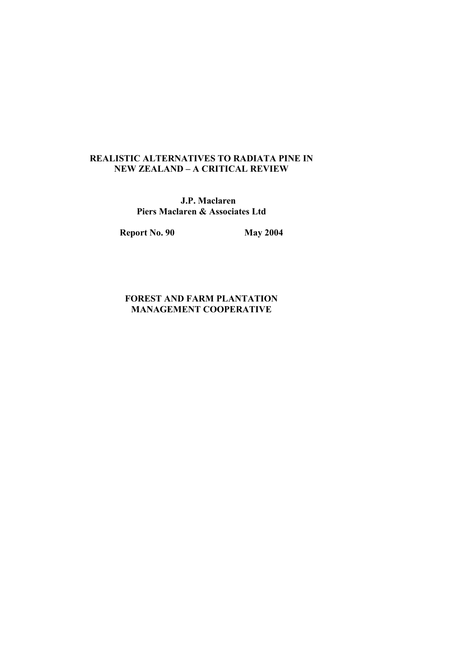### REALISTIC ALTERNATIVES TO RADIATA PINE IN NEW ZEALAND – A CRITICAL REVIEW

 J.P. Maclaren Piers Maclaren & Associates Ltd

Report No. 90 May 2004

### FOREST AND FARM PLANTATION MANAGEMENT COOPERATIVE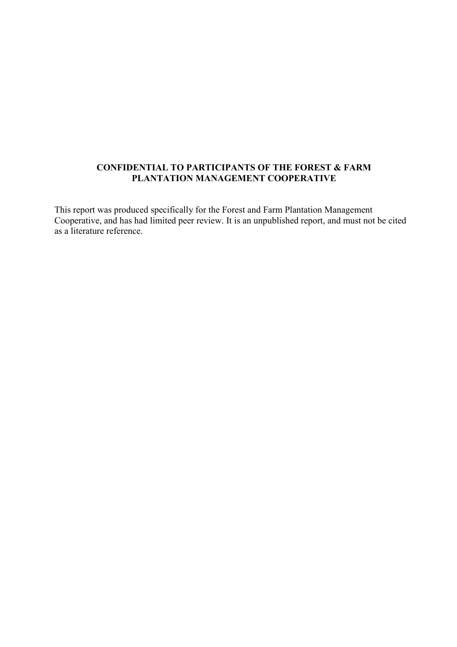### CONFIDENTIAL TO PARTICIPANTS OF THE FOREST & FARM PLANTATION MANAGEMENT COOPERATIVE

This report was produced specifically for the Forest and Farm Plantation Management Cooperative, and has had limited peer review. It is an unpublished report, and must not be cited as a literature reference.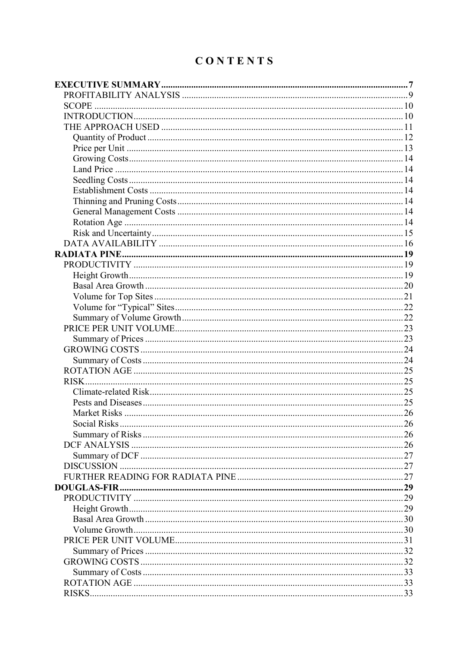# CONTENTS

| <b>Social Risks</b> | 26 |
|---------------------|----|
|                     |    |
|                     |    |
|                     |    |
|                     |    |
|                     |    |
|                     |    |
|                     |    |
|                     |    |
|                     |    |
|                     |    |
|                     |    |
|                     |    |
|                     |    |
|                     |    |
|                     |    |
|                     |    |
|                     |    |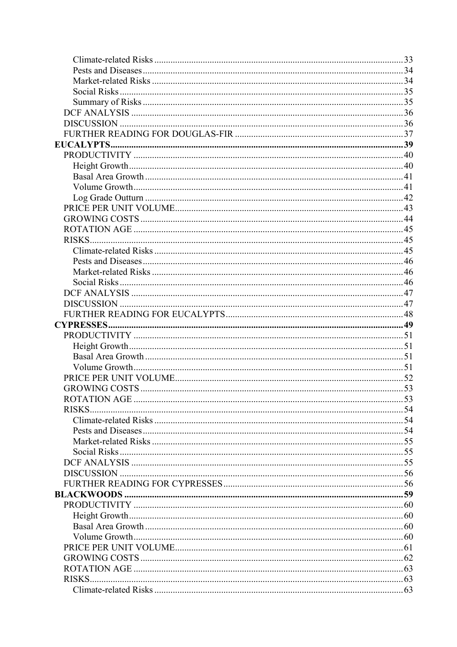| <b>RISKS</b> |  |
|--------------|--|
|              |  |
|              |  |
|              |  |
|              |  |
|              |  |
|              |  |
|              |  |
|              |  |
|              |  |
|              |  |
|              |  |
|              |  |
|              |  |
|              |  |
|              |  |
|              |  |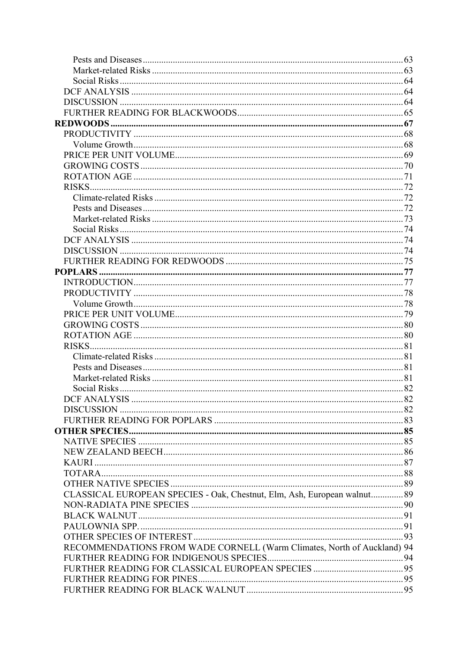| RISKS.                                                                   |  |
|--------------------------------------------------------------------------|--|
|                                                                          |  |
|                                                                          |  |
|                                                                          |  |
|                                                                          |  |
|                                                                          |  |
|                                                                          |  |
|                                                                          |  |
|                                                                          |  |
|                                                                          |  |
|                                                                          |  |
|                                                                          |  |
|                                                                          |  |
|                                                                          |  |
| CLASSICAL EUROPEAN SPECIES - Oak, Chestnut, Elm, Ash, European walnut 89 |  |
|                                                                          |  |
|                                                                          |  |
|                                                                          |  |
|                                                                          |  |
| RECOMMENDATIONS FROM WADE CORNELL (Warm Climates, North of Auckland) 94  |  |
|                                                                          |  |
|                                                                          |  |
|                                                                          |  |
|                                                                          |  |
|                                                                          |  |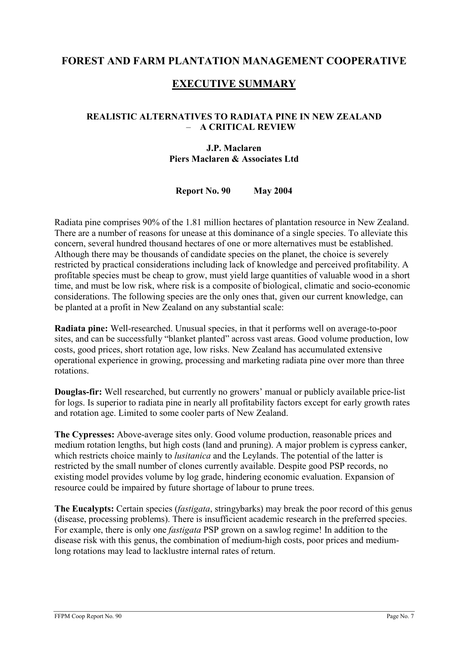### FOREST AND FARM PLANTATION MANAGEMENT COOPERATIVE

### EXECUTIVE SUMMARY

### REALISTIC ALTERNATIVES TO RADIATA PINE IN NEW ZEALAND – A CRITICAL REVIEW

### J.P. Maclaren Piers Maclaren & Associates Ltd

Report No. 90 May 2004

Radiata pine comprises 90% of the 1.81 million hectares of plantation resource in New Zealand. There are a number of reasons for unease at this dominance of a single species. To alleviate this concern, several hundred thousand hectares of one or more alternatives must be established. Although there may be thousands of candidate species on the planet, the choice is severely restricted by practical considerations including lack of knowledge and perceived profitability. A profitable species must be cheap to grow, must yield large quantities of valuable wood in a short time, and must be low risk, where risk is a composite of biological, climatic and socio-economic considerations. The following species are the only ones that, given our current knowledge, can be planted at a profit in New Zealand on any substantial scale:

Radiata pine: Well-researched. Unusual species, in that it performs well on average-to-poor sites, and can be successfully "blanket planted" across vast areas. Good volume production, low costs, good prices, short rotation age, low risks. New Zealand has accumulated extensive operational experience in growing, processing and marketing radiata pine over more than three rotations.

Douglas-fir: Well researched, but currently no growers' manual or publicly available price-list for logs. Is superior to radiata pine in nearly all profitability factors except for early growth rates and rotation age. Limited to some cooler parts of New Zealand.

The Cypresses: Above-average sites only. Good volume production, reasonable prices and medium rotation lengths, but high costs (land and pruning). A major problem is cypress canker, which restricts choice mainly to *lusitanica* and the Leylands. The potential of the latter is restricted by the small number of clones currently available. Despite good PSP records, no existing model provides volume by log grade, hindering economic evaluation. Expansion of resource could be impaired by future shortage of labour to prune trees.

The Eucalypts: Certain species *(fastigata, stringybarks)* may break the poor record of this genus (disease, processing problems). There is insufficient academic research in the preferred species. For example, there is only one fastigata PSP grown on a sawlog regime! In addition to the disease risk with this genus, the combination of medium-high costs, poor prices and mediumlong rotations may lead to lacklustre internal rates of return.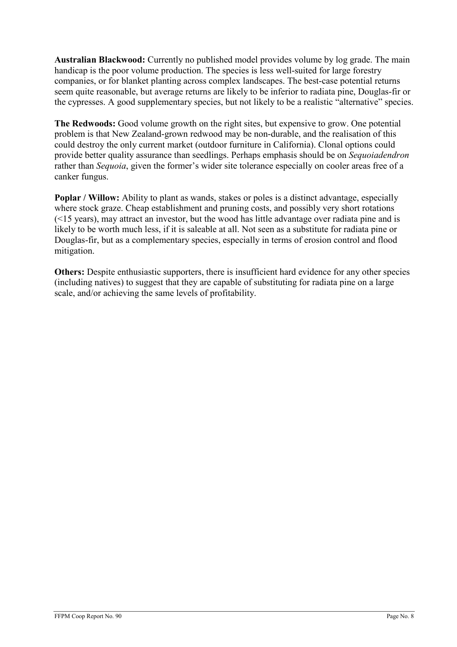Australian Blackwood: Currently no published model provides volume by log grade. The main handicap is the poor volume production. The species is less well-suited for large forestry companies, or for blanket planting across complex landscapes. The best-case potential returns seem quite reasonable, but average returns are likely to be inferior to radiata pine, Douglas-fir or the cypresses. A good supplementary species, but not likely to be a realistic "alternative" species.

The Redwoods: Good volume growth on the right sites, but expensive to grow. One potential problem is that New Zealand-grown redwood may be non-durable, and the realisation of this could destroy the only current market (outdoor furniture in California). Clonal options could provide better quality assurance than seedlings. Perhaps emphasis should be on Sequoiadendron rather than Sequoia, given the former's wider site tolerance especially on cooler areas free of a canker fungus.

Poplar / Willow: Ability to plant as wands, stakes or poles is a distinct advantage, especially where stock graze. Cheap establishment and pruning costs, and possibly very short rotations (<15 years), may attract an investor, but the wood has little advantage over radiata pine and is likely to be worth much less, if it is saleable at all. Not seen as a substitute for radiata pine or Douglas-fir, but as a complementary species, especially in terms of erosion control and flood mitigation.

Others: Despite enthusiastic supporters, there is insufficient hard evidence for any other species (including natives) to suggest that they are capable of substituting for radiata pine on a large scale, and/or achieving the same levels of profitability.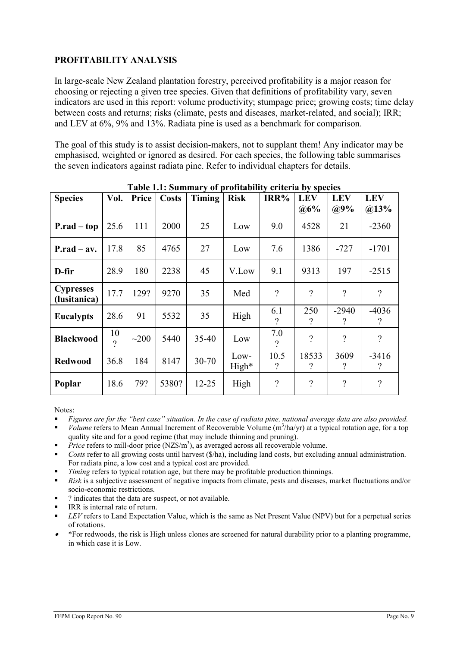### PROFITABILITY ANALYSIS

In large-scale New Zealand plantation forestry, perceived profitability is a major reason for choosing or rejecting a given tree species. Given that definitions of profitability vary, seven indicators are used in this report: volume productivity; stumpage price; growing costs; time delay between costs and returns; risks (climate, pests and diseases, market-related, and social); IRR; and LEV at 6%, 9% and 13%. Radiata pine is used as a benchmark for comparison.

The goal of this study is to assist decision-makers, not to supplant them! Any indicator may be emphasised, weighted or ignored as desired. For each species, the following table summarises the seven indicators against radiata pine. Refer to individual chapters for details.

|                                  |                |            |              | Tabic 1.1. Summary or profitability criteria by species |               |                                  |                   |                          |                                     |
|----------------------------------|----------------|------------|--------------|---------------------------------------------------------|---------------|----------------------------------|-------------------|--------------------------|-------------------------------------|
| <b>Species</b>                   | Vol.           | Price      | <b>Costs</b> | Timing                                                  | <b>Risk</b>   | IRR%                             | <b>LEV</b>        | <b>LEV</b>               | <b>LEV</b>                          |
|                                  |                |            |              |                                                         |               |                                  | $@6\%$            | $@9\%$                   | $(a)$ 13%                           |
| $P.read-top$                     | 25.6           | 111        | 2000         | 25                                                      | Low           | 9.0                              | 4528              | 21                       | $-2360$                             |
| $P.read - av.$                   | 17.8           | 85         | 4765         | 27                                                      | Low           | 7.6                              | 1386              | $-727$                   | $-1701$                             |
| D-fir                            | 28.9           | 180        | 2238         | 45                                                      | V.Low         | 9.1                              | 9313              | 197                      | $-2515$                             |
| <b>Cypresses</b><br>(lusitanica) | 17.7           | 129?       | 9270         | 35                                                      | Med           | $\gamma$                         | $\gamma$          | $\gamma$                 | $\gamma$                            |
| <b>Eucalypts</b>                 | 28.6           | 91         | 5532         | 35                                                      | High          | 6.1<br>$\gamma$                  | 250<br>?          | $-2940$<br>?             | $-4036$<br>$\gamma$                 |
| <b>Blackwood</b>                 | 10<br>$\gamma$ | $\sim$ 200 | 5440         | $35 - 40$                                               | Low           | 7.0<br>$\gamma$                  | $\gamma$          | $\overline{\mathcal{L}}$ | $\gamma$                            |
| <b>Redwood</b>                   | 36.8           | 184        | 8147         | $30 - 70$                                               | Low-<br>High* | 10.5<br>$\overline{\mathcal{C}}$ | 18533<br>$\gamma$ | 3609<br>?                | $-3416$<br>$\overline{\mathcal{C}}$ |
| Poplar                           | 18.6           | 79?        | 5380?        | $12 - 25$                                               | High          | $\overline{\mathcal{L}}$         | $\gamma$          | $\gamma$                 | $\overline{\mathcal{L}}$            |

Table 1.1: Summary of profitability criteria by species

Notes:

- Figures are for the "best case" situation. In the case of radiata pine, national average data are also provided.
- $Volume$  refers to Mean Annual Increment of Recoverable Volume  $(m^3/ha/yr)$  at a typical rotation age, for a top quality site and for a good regime (that may include thinning and pruning).
- Price refers to mill-door price  $(NZ\$/m^3)$ , as averaged across all recoverable volume.
- Costs refer to all growing costs until harvest (\$/ha), including land costs, but excluding annual administration. For radiata pine, a low cost and a typical cost are provided.
- Timing refers to typical rotation age, but there may be profitable production thinnings.
- Risk is a subjective assessment of negative impacts from climate, pests and diseases, market fluctuations and/or socio-economic restrictions.
- ? indicates that the data are suspect, or not available.
- IRR is internal rate of return.
- $\blacksquare$  LEV refers to Land Expectation Value, which is the same as Net Present Value (NPV) but for a perpetual series of rotations.
- \*For redwoods, the risk is High unless clones are screened for natural durability prior to a planting programme, in which case it is Low.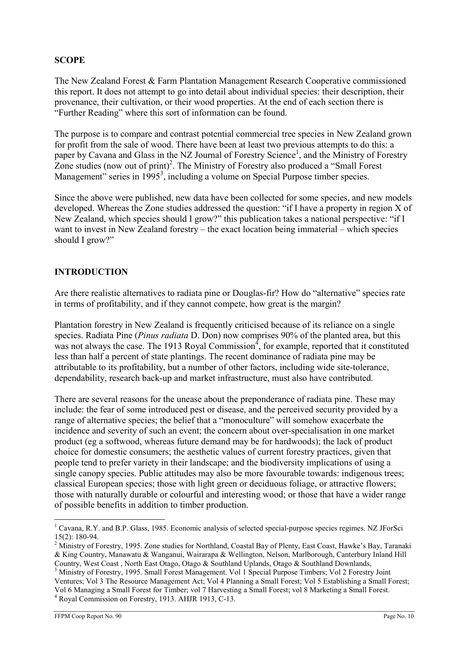### **SCOPE**

The New Zealand Forest & Farm Plantation Management Research Cooperative commissioned this report. It does not attempt to go into detail about individual species: their description, their provenance, their cultivation, or their wood properties. At the end of each section there is "Further Reading" where this sort of information can be found.

The purpose is to compare and contrast potential commercial tree species in New Zealand grown for profit from the sale of wood. There have been at least two previous attempts to do this: a paper by Cavana and Glass in the NZ Journal of Forestry Science<sup>1</sup>, and the Ministry of Forestry Zone studies (now out of print)<sup>2</sup>. The Ministry of Forestry also produced a "Small Forest" Management" series in  $1995^3$ , including a volume on Special Purpose timber species.

Since the above were published, new data have been collected for some species, and new models developed. Whereas the Zone studies addressed the question: "if I have a property in region X of New Zealand, which species should I grow?" this publication takes a national perspective: "if I want to invest in New Zealand forestry – the exact location being immaterial – which species should I grow?"

### INTRODUCTION

Are there realistic alternatives to radiata pine or Douglas-fir? How do "alternative" species rate in terms of profitability, and if they cannot compete, how great is the margin?

Plantation forestry in New Zealand is frequently criticised because of its reliance on a single species. Radiata Pine (*Pinus radiata* D. Don) now comprises 90% of the planted area, but this was not always the case. The 1913 Royal Commission<sup>4</sup>, for example, reported that it constituted less than half a percent of state plantings. The recent dominance of radiata pine may be attributable to its profitability, but a number of other factors, including wide site-tolerance, dependability, research back-up and market infrastructure, must also have contributed.

There are several reasons for the unease about the preponderance of radiata pine. These may include: the fear of some introduced pest or disease, and the perceived security provided by a range of alternative species; the belief that a "monoculture" will somehow exacerbate the incidence and severity of such an event; the concern about over-specialisation in one market product (eg a softwood, whereas future demand may be for hardwoods); the lack of product choice for domestic consumers; the aesthetic values of current forestry practices, given that people tend to prefer variety in their landscape; and the biodiversity implications of using a single canopy species. Public attitudes may also be more favourable towards: indigenous trees; classical European species; those with light green or deciduous foliage, or attractive flowers; those with naturally durable or colourful and interesting wood; or those that have a wider range of possible benefits in addition to timber production.

<sup>&</sup>lt;sup>1</sup> Cavana, R.Y. and B.P. Glass, 1985. Economic analysis of selected special-purpose species regimes. NZ JForSci 15(2): 180-94.

<sup>&</sup>lt;sup>2</sup> Ministry of Forestry, 1995. Zone studies for Northland, Coastal Bay of Plenty, East Coast, Hawke's Bay, Taranaki & King Country, Manawatu & Wanganui, Wairarapa & Wellington, Nelson, Marlborough, Canterbury Inland Hill Country, West Coast , North East Otago, Otago & Southland Uplands, Otago & Southland Downlands,

<sup>&</sup>lt;sup>3</sup> Ministry of Forestry, 1995. Small Forest Management. Vol 1 Special Purpose Timbers; Vol 2 Forestry Joint Ventures; Vol 3 The Resource Management Act; Vol 4 Planning a Small Forest; Vol 5 Establishing a Small Forest; Vol 6 Managing a Small Forest for Timber; vol 7 Harvesting a Small Forest; vol 8 Marketing a Small Forest. 4 Royal Commission on Forestry, 1913. AHJR 1913, C-13.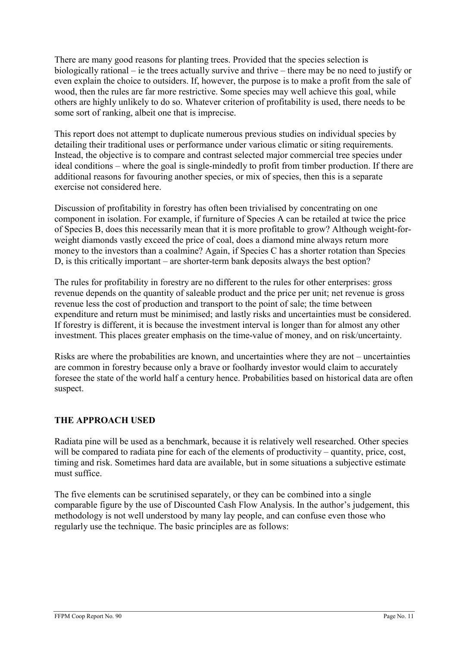There are many good reasons for planting trees. Provided that the species selection is biologically rational – ie the trees actually survive and thrive – there may be no need to justify or even explain the choice to outsiders. If, however, the purpose is to make a profit from the sale of wood, then the rules are far more restrictive. Some species may well achieve this goal, while others are highly unlikely to do so. Whatever criterion of profitability is used, there needs to be some sort of ranking, albeit one that is imprecise.

This report does not attempt to duplicate numerous previous studies on individual species by detailing their traditional uses or performance under various climatic or siting requirements. Instead, the objective is to compare and contrast selected major commercial tree species under ideal conditions – where the goal is single-mindedly to profit from timber production. If there are additional reasons for favouring another species, or mix of species, then this is a separate exercise not considered here.

Discussion of profitability in forestry has often been trivialised by concentrating on one component in isolation. For example, if furniture of Species A can be retailed at twice the price of Species B, does this necessarily mean that it is more profitable to grow? Although weight-forweight diamonds vastly exceed the price of coal, does a diamond mine always return more money to the investors than a coalmine? Again, if Species C has a shorter rotation than Species D, is this critically important – are shorter-term bank deposits always the best option?

The rules for profitability in forestry are no different to the rules for other enterprises: gross revenue depends on the quantity of saleable product and the price per unit; net revenue is gross revenue less the cost of production and transport to the point of sale; the time between expenditure and return must be minimised; and lastly risks and uncertainties must be considered. If forestry is different, it is because the investment interval is longer than for almost any other investment. This places greater emphasis on the time-value of money, and on risk/uncertainty.

Risks are where the probabilities are known, and uncertainties where they are not – uncertainties are common in forestry because only a brave or foolhardy investor would claim to accurately foresee the state of the world half a century hence. Probabilities based on historical data are often suspect.

### THE APPROACH USED

Radiata pine will be used as a benchmark, because it is relatively well researched. Other species will be compared to radiata pine for each of the elements of productivity – quantity, price, cost, timing and risk. Sometimes hard data are available, but in some situations a subjective estimate must suffice.

The five elements can be scrutinised separately, or they can be combined into a single comparable figure by the use of Discounted Cash Flow Analysis. In the author's judgement, this methodology is not well understood by many lay people, and can confuse even those who regularly use the technique. The basic principles are as follows: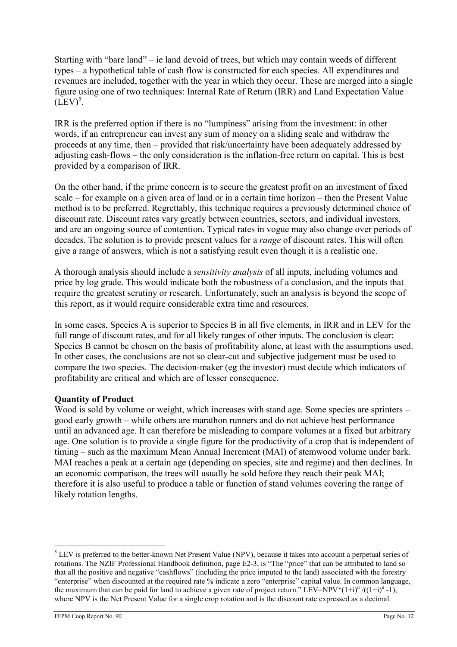Starting with "bare land" – ie land devoid of trees, but which may contain weeds of different types – a hypothetical table of cash flow is constructed for each species. All expenditures and revenues are included, together with the year in which they occur. These are merged into a single figure using one of two techniques: Internal Rate of Return (IRR) and Land Expectation Value  $(LEV)^5$ .

IRR is the preferred option if there is no "lumpiness" arising from the investment: in other words, if an entrepreneur can invest any sum of money on a sliding scale and withdraw the proceeds at any time, then – provided that risk/uncertainty have been adequately addressed by adjusting cash-flows – the only consideration is the inflation-free return on capital. This is best provided by a comparison of IRR.

On the other hand, if the prime concern is to secure the greatest profit on an investment of fixed scale – for example on a given area of land or in a certain time horizon – then the Present Value method is to be preferred. Regrettably, this technique requires a previously determined choice of discount rate. Discount rates vary greatly between countries, sectors, and individual investors, and are an ongoing source of contention. Typical rates in vogue may also change over periods of decades. The solution is to provide present values for a *range* of discount rates. This will often give a range of answers, which is not a satisfying result even though it is a realistic one.

A thorough analysis should include a sensitivity analysis of all inputs, including volumes and price by log grade. This would indicate both the robustness of a conclusion, and the inputs that require the greatest scrutiny or research. Unfortunately, such an analysis is beyond the scope of this report, as it would require considerable extra time and resources.

In some cases, Species A is superior to Species B in all five elements, in IRR and in LEV for the full range of discount rates, and for all likely ranges of other inputs. The conclusion is clear: Species B cannot be chosen on the basis of profitability alone, at least with the assumptions used. In other cases, the conclusions are not so clear-cut and subjective judgement must be used to compare the two species. The decision-maker (eg the investor) must decide which indicators of profitability are critical and which are of lesser consequence.

### Quantity of Product

Wood is sold by volume or weight, which increases with stand age. Some species are sprinters – good early growth – while others are marathon runners and do not achieve best performance until an advanced age. It can therefore be misleading to compare volumes at a fixed but arbitrary age. One solution is to provide a single figure for the productivity of a crop that is independent of timing – such as the maximum Mean Annual Increment (MAI) of stemwood volume under bark. MAI reaches a peak at a certain age (depending on species, site and regime) and then declines. In an economic comparison, the trees will usually be sold before they reach their peak MAI; therefore it is also useful to produce a table or function of stand volumes covering the range of likely rotation lengths.

 $\overline{a}$ <sup>5</sup> LEV is preferred to the better-known Net Present Value (NPV), because it takes into account a perpetual series of rotations. The NZIF Professional Handbook definition, page E2-3, is "The "price" that can be attributed to land so that all the positive and negative "cashflows" (including the price imputed to the land) associated with the forestry "enterprise" when discounted at the required rate % indicate a zero "enterprise" capital value. In common language, the maximum that can be paid for land to achieve a given rate of project return." LEV=NPV\*(1+i)<sup>n</sup>/((1+i)<sup>n</sup> -1), where NPV is the Net Present Value for a single crop rotation and is the discount rate expressed as a decimal.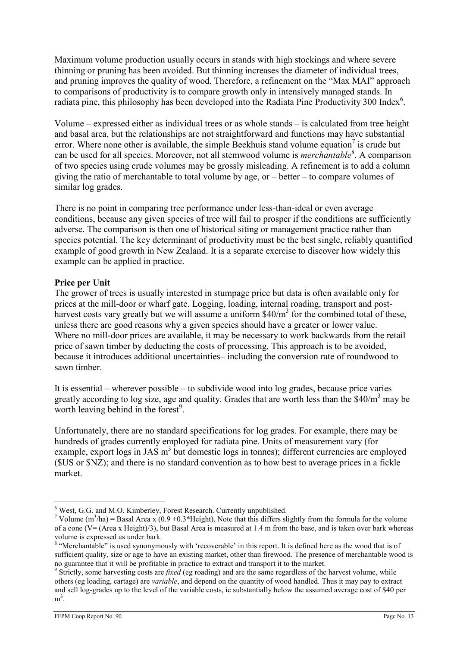Maximum volume production usually occurs in stands with high stockings and where severe thinning or pruning has been avoided. But thinning increases the diameter of individual trees, and pruning improves the quality of wood. Therefore, a refinement on the "Max MAI" approach to comparisons of productivity is to compare growth only in intensively managed stands. In radiata pine, this philosophy has been developed into the Radiata Pine Productivity 300 Index<sup>6</sup>.

Volume – expressed either as individual trees or as whole stands – is calculated from tree height and basal area, but the relationships are not straightforward and functions may have substantial error. Where none other is available, the simple Beekhuis stand volume equation<sup>7</sup> is crude but can be used for all species. Moreover, not all stemwood volume is *merchantable*<sup>8</sup>. A comparison of two species using crude volumes may be grossly misleading. A refinement is to add a column giving the ratio of merchantable to total volume by age, or – better – to compare volumes of similar log grades.

There is no point in comparing tree performance under less-than-ideal or even average conditions, because any given species of tree will fail to prosper if the conditions are sufficiently adverse. The comparison is then one of historical siting or management practice rather than species potential. The key determinant of productivity must be the best single, reliably quantified example of good growth in New Zealand. It is a separate exercise to discover how widely this example can be applied in practice.

### Price per Unit

The grower of trees is usually interested in stumpage price but data is often available only for prices at the mill-door or wharf gate. Logging, loading, internal roading, transport and postharvest costs vary greatly but we will assume a uniform \$40/m<sup>3</sup> for the combined total of these, unless there are good reasons why a given species should have a greater or lower value. Where no mill-door prices are available, it may be necessary to work backwards from the retail price of sawn timber by deducting the costs of processing. This approach is to be avoided, because it introduces additional uncertainties– including the conversion rate of roundwood to sawn timber.

It is essential – wherever possible – to subdivide wood into log grades, because price varies greatly according to log size, age and quality. Grades that are worth less than the  $$40/m<sup>3</sup>$  may be worth leaving behind in the forest $9$ .

Unfortunately, there are no standard specifications for log grades. For example, there may be hundreds of grades currently employed for radiata pine. Units of measurement vary (for example, export logs in JAS m<sup>3</sup> but domestic logs in tonnes); different currencies are employed (\$US or \$NZ); and there is no standard convention as to how best to average prices in a fickle market.

 $\overline{a}$ <sup>6</sup> West, G.G. and M.O. Kimberley, Forest Research. Currently unpublished.

<sup>&</sup>lt;sup>7</sup> Volume (m<sup>3</sup>/ha) = Basal Area x (0.9 +0.3\*Height). Note that this differs slightly from the formula for the volume of a cone ( $V = (Area x Height)/3)$ , but Basal Area is measured at 1.4 m from the base, and is taken over bark whereas volume is expressed as under bark.

<sup>&</sup>lt;sup>8</sup> "Merchantable" is used synonymously with 'recoverable' in this report. It is defined here as the wood that is of sufficient quality, size or age to have an existing market, other than firewood. The presence of merchantable wood is no guarantee that it will be profitable in practice to extract and transport it to the market.

 $9$  Strictly, some harvesting costs are *fixed* (eg roading) and are the same regardless of the harvest volume, while others (eg loading, cartage) are variable, and depend on the quantity of wood handled. Thus it may pay to extract and sell log-grades up to the level of the variable costs, ie substantially below the assumed average cost of \$40 per  $m^3$ .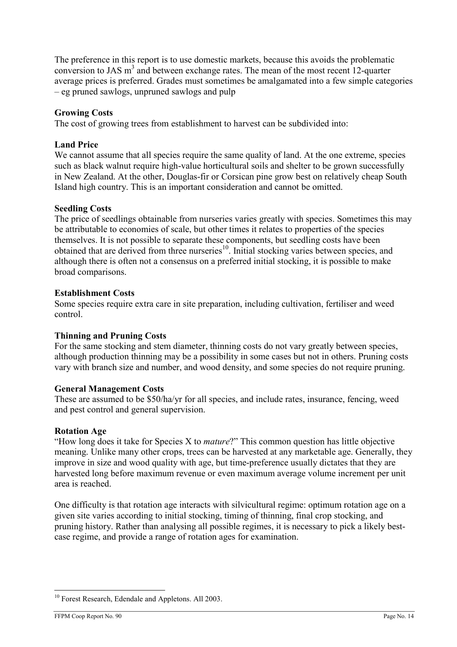The preference in this report is to use domestic markets, because this avoids the problematic conversion to JAS  $m<sup>3</sup>$  and between exchange rates. The mean of the most recent 12-quarter average prices is preferred. Grades must sometimes be amalgamated into a few simple categories – eg pruned sawlogs, unpruned sawlogs and pulp

### Growing Costs

The cost of growing trees from establishment to harvest can be subdivided into:

#### Land Price

We cannot assume that all species require the same quality of land. At the one extreme, species such as black walnut require high-value horticultural soils and shelter to be grown successfully in New Zealand. At the other, Douglas-fir or Corsican pine grow best on relatively cheap South Island high country. This is an important consideration and cannot be omitted.

#### Seedling Costs

The price of seedlings obtainable from nurseries varies greatly with species. Sometimes this may be attributable to economies of scale, but other times it relates to properties of the species themselves. It is not possible to separate these components, but seedling costs have been obtained that are derived from three nurseries<sup>10</sup>. Initial stocking varies between species, and although there is often not a consensus on a preferred initial stocking, it is possible to make broad comparisons.

#### Establishment Costs

Some species require extra care in site preparation, including cultivation, fertiliser and weed control.

#### Thinning and Pruning Costs

For the same stocking and stem diameter, thinning costs do not vary greatly between species, although production thinning may be a possibility in some cases but not in others. Pruning costs vary with branch size and number, and wood density, and some species do not require pruning.

#### General Management Costs

These are assumed to be \$50/ha/yr for all species, and include rates, insurance, fencing, weed and pest control and general supervision.

#### Rotation Age

"How long does it take for Species X to mature?" This common question has little objective meaning. Unlike many other crops, trees can be harvested at any marketable age. Generally, they improve in size and wood quality with age, but time-preference usually dictates that they are harvested long before maximum revenue or even maximum average volume increment per unit area is reached.

One difficulty is that rotation age interacts with silvicultural regime: optimum rotation age on a given site varies according to initial stocking, timing of thinning, final crop stocking, and pruning history. Rather than analysing all possible regimes, it is necessary to pick a likely bestcase regime, and provide a range of rotation ages for examination.

<sup>&</sup>lt;sup>10</sup> Forest Research, Edendale and Appletons. All 2003.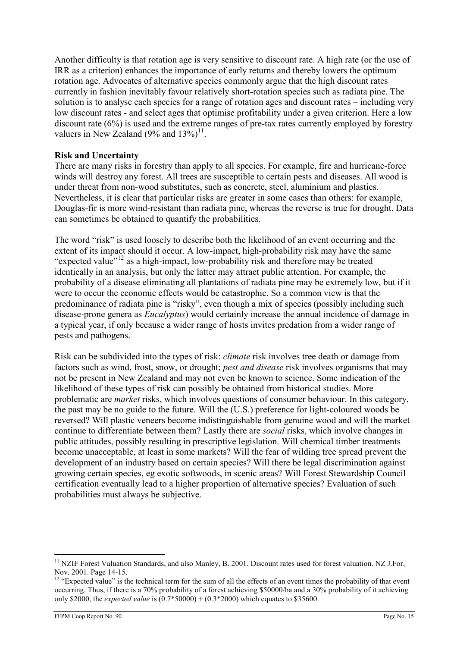Another difficulty is that rotation age is very sensitive to discount rate. A high rate (or the use of IRR as a criterion) enhances the importance of early returns and thereby lowers the optimum rotation age. Advocates of alternative species commonly argue that the high discount rates currently in fashion inevitably favour relatively short-rotation species such as radiata pine. The solution is to analyse each species for a range of rotation ages and discount rates – including very low discount rates - and select ages that optimise profitability under a given criterion. Here a low discount rate (6%) is used and the extreme ranges of pre-tax rates currently employed by forestry valuers in New Zealand  $(9\%$  and  $13\%)$ <sup>11</sup>.

### Risk and Uncertainty

There are many risks in forestry than apply to all species. For example, fire and hurricane-force winds will destroy any forest. All trees are susceptible to certain pests and diseases. All wood is under threat from non-wood substitutes, such as concrete, steel, aluminium and plastics. Nevertheless, it is clear that particular risks are greater in some cases than others: for example, Douglas-fir is more wind-resistant than radiata pine, whereas the reverse is true for drought. Data can sometimes be obtained to quantify the probabilities.

The word "risk" is used loosely to describe both the likelihood of an event occurring and the extent of its impact should it occur. A low-impact, high-probability risk may have the same "expected value"<sup>12</sup> as a high-impact, low-probability risk and therefore may be treated identically in an analysis, but only the latter may attract public attention. For example, the probability of a disease eliminating all plantations of radiata pine may be extremely low, but if it were to occur the economic effects would be catastrophic. So a common view is that the predominance of radiata pine is "risky", even though a mix of species (possibly including such disease-prone genera as Eucalyptus) would certainly increase the annual incidence of damage in a typical year, if only because a wider range of hosts invites predation from a wider range of pests and pathogens.

Risk can be subdivided into the types of risk: climate risk involves tree death or damage from factors such as wind, frost, snow, or drought; pest and disease risk involves organisms that may not be present in New Zealand and may not even be known to science. Some indication of the likelihood of these types of risk can possibly be obtained from historical studies. More problematic are market risks, which involves questions of consumer behaviour. In this category, the past may be no guide to the future. Will the (U.S.) preference for light-coloured woods be reversed? Will plastic veneers become indistinguishable from genuine wood and will the market continue to differentiate between them? Lastly there are social risks, which involve changes in public attitudes, possibly resulting in prescriptive legislation. Will chemical timber treatments become unacceptable, at least in some markets? Will the fear of wilding tree spread prevent the development of an industry based on certain species? Will there be legal discrimination against growing certain species, eg exotic softwoods, in scenic areas? Will Forest Stewardship Council certification eventually lead to a higher proportion of alternative species? Evaluation of such probabilities must always be subjective.

 $\overline{a}$ <sup>11</sup> NZIF Forest Valuation Standards, and also Manley, B. 2001. Discount rates used for forest valuation. NZ J.For, Nov. 2001. Page 14-15.

<sup>&</sup>lt;sup>12</sup> "Expected value" is the technical term for the sum of all the effects of an event times the probability of that event occurring. Thus, if there is a 70% probability of a forest achieving \$50000/ha and a 30% probability of it achieving only \$2000, the *expected value* is  $(0.7*50000) + (0.3*2000)$  which equates to \$35600.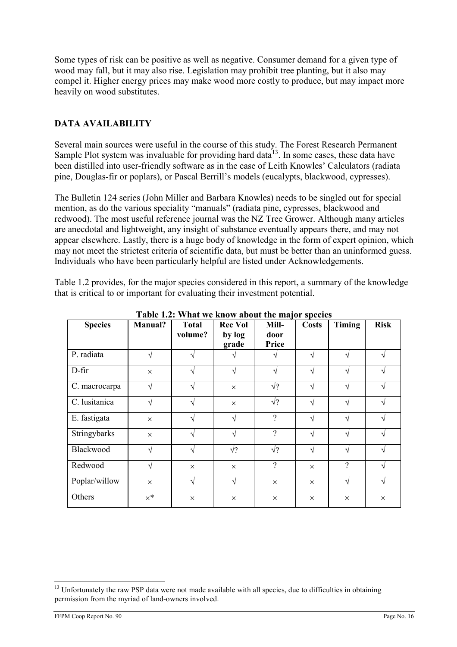Some types of risk can be positive as well as negative. Consumer demand for a given type of wood may fall, but it may also rise. Legislation may prohibit tree planting, but it also may compel it. Higher energy prices may make wood more costly to produce, but may impact more heavily on wood substitutes.

### DATA AVAILABILITY

Several main sources were useful in the course of this study. The Forest Research Permanent Sample Plot system was invaluable for providing hard data $^{13}$ . In some cases, these data have been distilled into user-friendly software as in the case of Leith Knowles' Calculators (radiata pine, Douglas-fir or poplars), or Pascal Berrill's models (eucalypts, blackwood, cypresses).

The Bulletin 124 series (John Miller and Barbara Knowles) needs to be singled out for special mention, as do the various speciality "manuals" (radiata pine, cypresses, blackwood and redwood). The most useful reference journal was the NZ Tree Grower. Although many articles are anecdotal and lightweight, any insight of substance eventually appears there, and may not appear elsewhere. Lastly, there is a huge body of knowledge in the form of expert opinion, which may not meet the strictest criteria of scientific data, but must be better than an uninformed guess. Individuals who have been particularly helpful are listed under Acknowledgements.

Table 1.2 provides, for the major species considered in this report, a summary of the knowledge that is critical to or important for evaluating their investment potential.

| Table 1.2. What we know about the major species |            |              |                |               |              |               |             |  |
|-------------------------------------------------|------------|--------------|----------------|---------------|--------------|---------------|-------------|--|
| <b>Species</b>                                  | Manual?    | <b>Total</b> | <b>Rec Vol</b> | Mill-         | <b>Costs</b> | <b>Timing</b> | <b>Risk</b> |  |
|                                                 |            | volume?      | by log         | door          |              |               |             |  |
|                                                 |            |              | grade          | Price         |              |               |             |  |
| P. radiata                                      | ٦          |              |                |               | $\sqrt{ }$   | ٦             | 1           |  |
| D-fir                                           | $\times$   |              |                | $\mathcal{L}$ | N            | ٦             |             |  |
| C. macrocarpa                                   | ٦          |              | $\times$       | $\sqrt{?}$    |              |               |             |  |
| C. lusitanica                                   | ٦          |              | $\times$       | $\sqrt{?}$    | N            | ٦             |             |  |
| E. fastigata                                    | $\times$   |              |                | $\gamma$      | $\sqrt{ }$   |               |             |  |
| Stringybarks                                    | $\times$   |              |                | $\gamma$      | $\sqrt{ }$   | $\mathcal{L}$ |             |  |
| Blackwood                                       | N          |              | $\sqrt{?}$     | $\sqrt{?}$    | $\sqrt{ }$   | ٦             |             |  |
| Redwood                                         | V          | $\times$     | $\times$       | $\gamma$      | $\times$     | $\gamma$      |             |  |
| Poplar/willow                                   | $\times$   | V            | V              | $\times$      | $\times$     | N             | ٦           |  |
| Others                                          | $\times^*$ | $\times$     | $\times$       | $\times$      | $\times$     | $\times$      | $\times$    |  |

Table 1.2: What we know about the major species

 $\overline{a}$ <sup>13</sup> Unfortunately the raw PSP data were not made available with all species, due to difficulties in obtaining permission from the myriad of land-owners involved.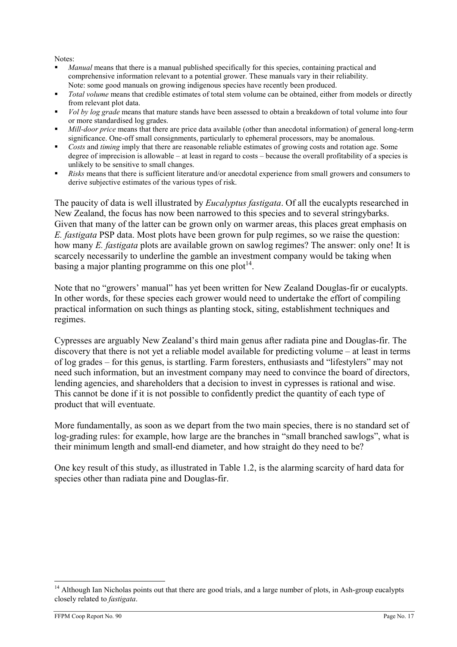Notes:

- Manual means that there is a manual published specifically for this species, containing practical and comprehensive information relevant to a potential grower. These manuals vary in their reliability. Note: some good manuals on growing indigenous species have recently been produced.
- Total volume means that credible estimates of total stem volume can be obtained, either from models or directly from relevant plot data.
- Vol by log grade means that mature stands have been assessed to obtain a breakdown of total volume into four or more standardised log grades.
- Mill-door price means that there are price data available (other than anecdotal information) of general long-term significance. One-off small consignments, particularly to ephemeral processors, may be anomalous.
- Costs and timing imply that there are reasonable reliable estimates of growing costs and rotation age. Some degree of imprecision is allowable – at least in regard to costs – because the overall profitability of a species is unlikely to be sensitive to small changes.
- Risks means that there is sufficient literature and/or anecdotal experience from small growers and consumers to derive subjective estimates of the various types of risk.

The paucity of data is well illustrated by *Eucalyptus fastigata*. Of all the eucalypts researched in New Zealand, the focus has now been narrowed to this species and to several stringybarks. Given that many of the latter can be grown only on warmer areas, this places great emphasis on E. fastigata PSP data. Most plots have been grown for pulp regimes, so we raise the question: how many E. fastigata plots are available grown on sawlog regimes? The answer: only one! It is scarcely necessarily to underline the gamble an investment company would be taking when basing a major planting programme on this one plot<sup>14</sup>.

Note that no "growers' manual" has yet been written for New Zealand Douglas-fir or eucalypts. In other words, for these species each grower would need to undertake the effort of compiling practical information on such things as planting stock, siting, establishment techniques and regimes.

Cypresses are arguably New Zealand's third main genus after radiata pine and Douglas-fir. The discovery that there is not yet a reliable model available for predicting volume – at least in terms of log grades – for this genus, is startling. Farm foresters, enthusiasts and "lifestylers" may not need such information, but an investment company may need to convince the board of directors, lending agencies, and shareholders that a decision to invest in cypresses is rational and wise. This cannot be done if it is not possible to confidently predict the quantity of each type of product that will eventuate.

More fundamentally, as soon as we depart from the two main species, there is no standard set of log-grading rules: for example, how large are the branches in "small branched sawlogs", what is their minimum length and small-end diameter, and how straight do they need to be?

One key result of this study, as illustrated in Table 1.2, is the alarming scarcity of hard data for species other than radiata pine and Douglas-fir.

 $\overline{a}$ <sup>14</sup> Although Ian Nicholas points out that there are good trials, and a large number of plots, in Ash-group eucalypts closely related to fastigata.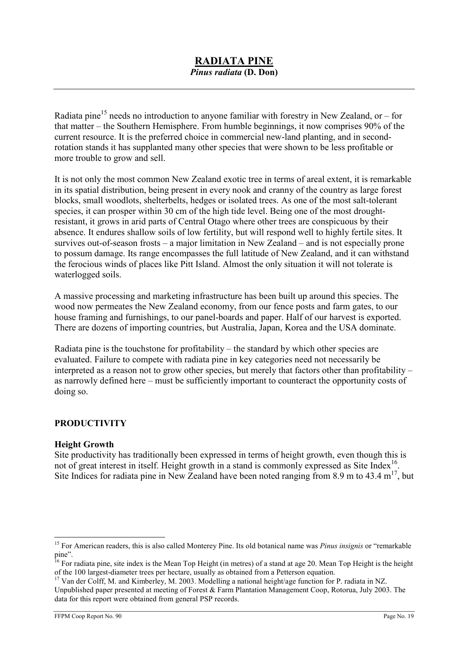Radiata pine<sup>15</sup> needs no introduction to anyone familiar with forestry in New Zealand, or – for that matter – the Southern Hemisphere. From humble beginnings, it now comprises 90% of the current resource. It is the preferred choice in commercial new-land planting, and in secondrotation stands it has supplanted many other species that were shown to be less profitable or more trouble to grow and sell.

It is not only the most common New Zealand exotic tree in terms of areal extent, it is remarkable in its spatial distribution, being present in every nook and cranny of the country as large forest blocks, small woodlots, shelterbelts, hedges or isolated trees. As one of the most salt-tolerant species, it can prosper within 30 cm of the high tide level. Being one of the most droughtresistant, it grows in arid parts of Central Otago where other trees are conspicuous by their absence. It endures shallow soils of low fertility, but will respond well to highly fertile sites. It survives out-of-season frosts – a major limitation in New Zealand – and is not especially prone to possum damage. Its range encompasses the full latitude of New Zealand, and it can withstand the ferocious winds of places like Pitt Island. Almost the only situation it will not tolerate is waterlogged soils.

A massive processing and marketing infrastructure has been built up around this species. The wood now permeates the New Zealand economy, from our fence posts and farm gates, to our house framing and furnishings, to our panel-boards and paper. Half of our harvest is exported. There are dozens of importing countries, but Australia, Japan, Korea and the USA dominate.

Radiata pine is the touchstone for profitability – the standard by which other species are evaluated. Failure to compete with radiata pine in key categories need not necessarily be interpreted as a reason not to grow other species, but merely that factors other than profitability – as narrowly defined here – must be sufficiently important to counteract the opportunity costs of doing so.

### PRODUCTIVITY

### Height Growth

 $\overline{a}$ 

Site productivity has traditionally been expressed in terms of height growth, even though this is not of great interest in itself. Height growth in a stand is commonly expressed as Site Index<sup>16</sup>. Site Indices for radiata pine in New Zealand have been noted ranging from 8.9 m to 43.4  $m^{17}$ , but

<sup>&</sup>lt;sup>15</sup> For American readers, this is also called Monterey Pine. Its old botanical name was *Pinus insignis* or "remarkable" pine".

<sup>&</sup>lt;sup>16</sup> For radiata pine, site index is the Mean Top Height (in metres) of a stand at age 20. Mean Top Height is the height of the 100 largest-diameter trees per hectare, usually as obtained from a Petterson equation.

<sup>&</sup>lt;sup>17</sup> Van der Colff, M. and Kimberley, M. 2003. Modelling a national height/age function for P. radiata in NZ.

Unpublished paper presented at meeting of Forest & Farm Plantation Management Coop, Rotorua, July 2003. The data for this report were obtained from general PSP records.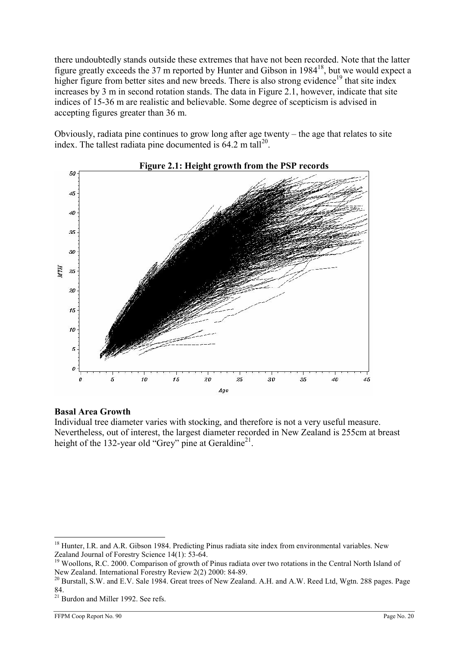there undoubtedly stands outside these extremes that have not been recorded. Note that the latter figure greatly exceeds the 37 m reported by Hunter and Gibson in 1984<sup>18</sup>, but we would expect a higher figure from better sites and new breeds. There is also strong evidence<sup>19</sup> that site index increases by 3 m in second rotation stands. The data in Figure 2.1, however, indicate that site indices of 15-36 m are realistic and believable. Some degree of scepticism is advised in accepting figures greater than 36 m.

Obviously, radiata pine continues to grow long after age twenty – the age that relates to site index. The tallest radiata pine documented is  $64.2$  m tall<sup>20</sup>.



#### Basal Area Growth

Individual tree diameter varies with stocking, and therefore is not a very useful measure. Nevertheless, out of interest, the largest diameter recorded in New Zealand is 255cm at breast height of the 132-year old "Grey" pine at Geraldine<sup>21</sup>.

<sup>&</sup>lt;sup>18</sup> Hunter, I.R. and A.R. Gibson 1984. Predicting Pinus radiata site index from environmental variables. New Zealand Journal of Forestry Science 14(1): 53-64.

<sup>&</sup>lt;sup>19</sup> Woollons, R.C. 2000. Comparison of growth of Pinus radiata over two rotations in the Central North Island of New Zealand. International Forestry Review 2(2) 2000: 84-89.

<sup>&</sup>lt;sup>20</sup> Burstall, S.W. and E.V. Sale 1984. Great trees of New Zealand. A.H. and A.W. Reed Ltd, Wgtn. 288 pages. Page 84.

<sup>&</sup>lt;sup>21</sup> Burdon and Miller 1992. See refs.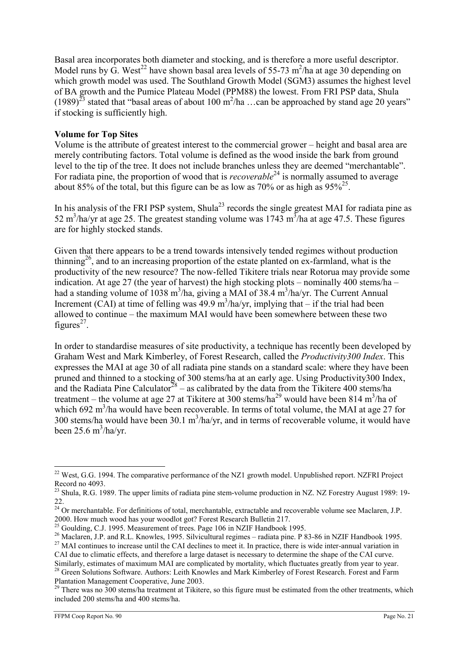Basal area incorporates both diameter and stocking, and is therefore a more useful descriptor. Model runs by  $\dot{G}$ . West<sup>22</sup> have shown basal area levels of 55-73 m<sup>2</sup>/ha at age 30 depending on which growth model was used. The Southland Growth Model (SGM3) assumes the highest level of BA growth and the Pumice Plateau Model (PPM88) the lowest. From FRI PSP data, Shula  $(1989)^{23}$  stated that "basal areas of about 100 m<sup>2</sup>/ha ...can be approached by stand age 20 years" if stocking is sufficiently high.

### Volume for Top Sites

Volume is the attribute of greatest interest to the commercial grower – height and basal area are merely contributing factors. Total volume is defined as the wood inside the bark from ground level to the tip of the tree. It does not include branches unless they are deemed "merchantable". For radiata pine, the proportion of wood that is *recoverable*<sup>24</sup> is normally assumed to average about 85% of the total, but this figure can be as low as 70% or as high as  $95\%^{25}$ .

In his analysis of the FRI PSP system, Shula<sup>23</sup> records the single greatest MAI for radiata pine as 52 m<sup>3</sup>/ha/yr at age 25. The greatest standing volume was 1743 m<sup>3</sup>/ha at age 47.5. These figures are for highly stocked stands.

Given that there appears to be a trend towards intensively tended regimes without production thinning<sup>26</sup>, and to an increasing proportion of the estate planted on ex-farmland, what is the productivity of the new resource? The now-felled Tikitere trials near Rotorua may provide some indication. At age 27 (the year of harvest) the high stocking plots – nominally 400 stems/ha – had a standing volume of 1038 m<sup>3</sup>/ha, giving a MAI of 38.4 m<sup>3</sup>/ha/yr. The Current Annual Increment (CAI) at time of felling was  $49.9 \text{ m}^3$ /ha/yr, implying that – if the trial had been allowed to continue – the maximum MAI would have been somewhere between these two figures $^{27}$ .

In order to standardise measures of site productivity, a technique has recently been developed by Graham West and Mark Kimberley, of Forest Research, called the Productivity300 Index. This expresses the MAI at age 30 of all radiata pine stands on a standard scale: where they have been pruned and thinned to a stocking of 300 stems/ha at an early age. Using Productivity300 Index, and the Radiata Pine Calculator<sup>28</sup> – as calibrated by the data from the Tikitere 400 stems/ha treatment – the volume at age 27 at Tikitere at 300 stems/ha<sup>29</sup> would have been 814 m<sup>3</sup>/ha of which 692 m<sup>3</sup>/ha would have been recoverable. In terms of total volume, the MAI at age 27 for 300 stems/ha would have been 30.1  $m^3$ /ha/yr, and in terms of recoverable volume, it would have been  $25.6 \text{ m}^3/\text{ha/yr.}$ 

 $\overline{a}$  $22$  West, G.G. 1994. The comparative performance of the NZ1 growth model. Unpublished report. NZFRI Project Record no 4093.

 $^{23}$  Shula, R.G. 1989. The upper limits of radiata pine stem-volume production in NZ. NZ Forestry August 1989: 19-22.

 $^{24}$  Or merchantable. For definitions of total, merchantable, extractable and recoverable volume see Maclaren, J.P. 2000. How much wood has your woodlot got? Forest Research Bulletin 217.

 $^{25}$  Goulding, C.J. 1995. Measurement of trees. Page 106 in NZIF Handbook 1995.

<sup>&</sup>lt;sup>26</sup> Maclaren, J.P. and R.L. Knowles, 1995. Silvicultural regimes – radiata pine. P 83-86 in NZIF Handbook 1995.  $^{27}$  MAI continues to increase until the CAI declines to meet it. In practice, there is wide inter-annual variation in

CAI due to climatic effects, and therefore a large dataset is necessary to determine the shape of the CAI curve. Similarly, estimates of maximum MAI are complicated by mortality, which fluctuates greatly from year to year. <sup>28</sup> Green Solutions Software. Authors: Leith Knowles and Mark Kimberley of Forest Research. Forest and Farm

Plantation Management Cooperative, June 2003.  $29$  There was no 300 stems/ha treatment at Tikitere, so this figure must be estimated from the other treatments, which included 200 stems/ha and 400 stems/ha.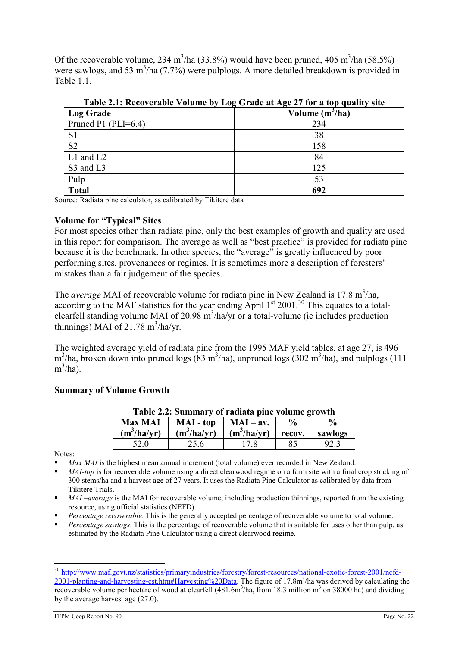Of the recoverable volume, 234 m<sup>3</sup>/ha (33.8%) would have been pruned, 405 m<sup>3</sup>/ha (58.5%) were sawlogs, and 53 m<sup>3</sup>/ha (7.7%) were pulplogs. A more detailed breakdown is provided in Table 1.1.

| <b>Log Grade</b>        | Volume $(m^3/ha)$ |
|-------------------------|-------------------|
| Pruned P1 (PLI= $6.4$ ) | 234               |
| S <sub>1</sub>          | 38                |
| S <sub>2</sub>          | 158               |
| $L1$ and $L2$           | 84                |
| S3 and L3               | 125               |
| Pulp                    | 53                |
| <b>Total</b>            | 692               |

Table 2.1: Recoverable Volume by Log Grade at Age 27 for a top quality site

Source: Radiata pine calculator, as calibrated by Tikitere data

#### Volume for "Typical" Sites

For most species other than radiata pine, only the best examples of growth and quality are used in this report for comparison. The average as well as "best practice" is provided for radiata pine because it is the benchmark. In other species, the "average" is greatly influenced by poor performing sites, provenances or regimes. It is sometimes more a description of foresters' mistakes than a fair judgement of the species.

The *average* MAI of recoverable volume for radiata pine in New Zealand is 17.8 m<sup>3</sup>/ha, according to the MAF statistics for the year ending April  $1<sup>st</sup>$  2001.<sup>30</sup> This equates to a totalclearfell standing volume MAI of 20.98  $m^3$ /ha/yr or a total-volume (ie includes production thinnings) MAI of 21.78  $\text{m}^3/\text{ha/yr}$ .

The weighted average yield of radiata pine from the 1995 MAF yield tables, at age 27, is 496  $m^3/ha$ , broken down into pruned logs (83 m<sup>3</sup>/ha), unpruned logs (302 m<sup>3</sup>/ha), and pulplogs (111  $m^3/ha$ ).

### Summary of Volume Growth

| <b>Max MAI</b> | MAI - top     | $MAI - av.$          | $\frac{0}{0}$ | $\frac{0}{0}$ |
|----------------|---------------|----------------------|---------------|---------------|
| $(m^3/ha/yr)$  | $(m^3/ha/yr)$ | $(m^3/ha/yr)$ recov. |               | sawlogs       |
|                | 25.6          |                      |               |               |

Table 2.2: Summary of radiata pine volume growth

Notes:

 $\overline{a}$ 

Max MAI is the highest mean annual increment (total volume) ever recorded in New Zealand.

MAI-top is for recoverable volume using a direct clearwood regime on a farm site with a final crop stocking of 300 stems/ha and a harvest age of 27 years. It uses the Radiata Pine Calculator as calibrated by data from Tikitere Trials.

- $MAI$  –average is the MAI for recoverable volume, including production thinnings, reported from the existing resource, using official statistics (NEFD).
- Percentage recoverable. This is the generally accepted percentage of recoverable volume to total volume.
- Percentage sawlogs. This is the percentage of recoverable volume that is suitable for uses other than pulp, as estimated by the Radiata Pine Calculator using a direct clearwood regime.

<sup>&</sup>lt;sup>30</sup> http://www.maf.govt.nz/statistics/primaryindustries/forestry/forest-resources/national-exotic-forest-2001/nefd-2001-planting-and-harvesting-est.htm#Harvesting%20Data. The figure of 17.8m<sup>3</sup>/ha was derived by calculating the recoverable volume per hectare of wood at clearfell  $(481.6m<sup>3</sup>/ha,$  from 18.3 million  $m<sup>3</sup>$  on 38000 ha) and dividing by the average harvest age (27.0).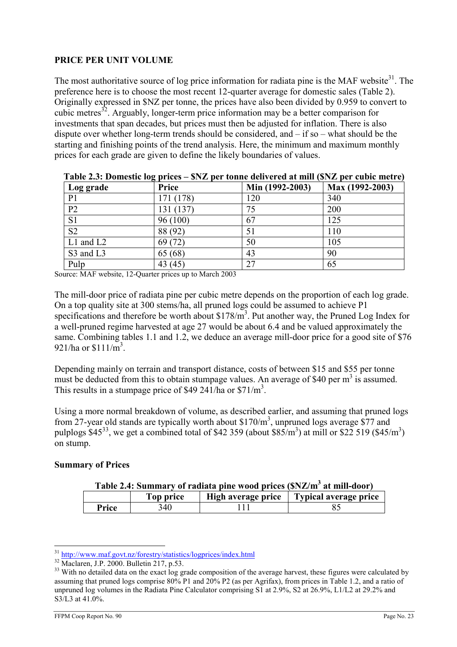### PRICE PER UNIT VOLUME

The most authoritative source of log price information for radiata pine is the MAF website $31$ . The preference here is to choose the most recent 12-quarter average for domestic sales (Table 2). Originally expressed in \$NZ per tonne, the prices have also been divided by 0.959 to convert to cubic metres<sup>32</sup>. Arguably, longer-term price information may be a better comparison for investments that span decades, but prices must then be adjusted for inflation. There is also dispute over whether long-term trends should be considered, and – if so – what should be the starting and finishing points of the trend analysis. Here, the minimum and maximum monthly prices for each grade are given to define the likely boundaries of values.

|                | $1400 \times 200$ , Domestic $10 \leq$ prices<br>$\psi_1$ $\omega$ per counce achiever can achieve $\psi_1$ $\omega$ per capite meet e |                 |                 |  |  |  |  |  |
|----------------|----------------------------------------------------------------------------------------------------------------------------------------|-----------------|-----------------|--|--|--|--|--|
| Log grade      | Price                                                                                                                                  | Min (1992-2003) | Max (1992-2003) |  |  |  |  |  |
| P <sub>1</sub> | 171 (178)                                                                                                                              | 120             | 340             |  |  |  |  |  |
| P <sub>2</sub> | 131 (137)                                                                                                                              | 75              | 200             |  |  |  |  |  |
| S <sub>1</sub> | 96(100)                                                                                                                                | 67              | 125             |  |  |  |  |  |
| S <sub>2</sub> | 88 (92)                                                                                                                                | 51              | 110             |  |  |  |  |  |
| $L1$ and $L2$  | 69 (72)                                                                                                                                | 50              | 105             |  |  |  |  |  |
| S3 and L3      | 65 (68)                                                                                                                                | 43              | 90              |  |  |  |  |  |
| Pulp           | 43(45)                                                                                                                                 | 27              | 65              |  |  |  |  |  |

Table 2.3: Domestic log prices – \$NZ per tonne delivered at mill (\$NZ per cubic metre)

Source: MAF website, 12-Quarter prices up to March 2003

The mill-door price of radiata pine per cubic metre depends on the proportion of each log grade. On a top quality site at 300 stems/ha, all pruned logs could be assumed to achieve P1 specifications and therefore be worth about  $$178/m<sup>3</sup>$ . Put another way, the Pruned Log Index for a well-pruned regime harvested at age 27 would be about 6.4 and be valued approximately the same. Combining tables 1.1 and 1.2, we deduce an average mill-door price for a good site of \$76 921/ha or  $$111/m<sup>3</sup>$ .

Depending mainly on terrain and transport distance, costs of between \$15 and \$55 per tonne must be deducted from this to obtain stumpage values. An average of \$40 per  $m<sup>3</sup>$  is assumed. This results in a stumpage price of \$49 241/ha or  $$71/m<sup>3</sup>$ .

Using a more normal breakdown of volume, as described earlier, and assuming that pruned logs from 27-year old stands are typically worth about  $$170/m<sup>3</sup>$ , unpruned logs average  $$77$  and pulplogs \$45<sup>33</sup>, we get a combined total of \$42 359 (about \$85/m<sup>3</sup>) at mill or \$22 519 (\$45/m<sup>3</sup>) on stump.

### Summary of Prices

|  |  |  | Table 2.4: Summary of radiata pine wood prices (SNZ/m <sup>3</sup> at mill-door) |  |
|--|--|--|----------------------------------------------------------------------------------|--|
|  |  |  |                                                                                  |  |

|       | 1 op price | High average price | Typical average price |
|-------|------------|--------------------|-----------------------|
| Price | '40        |                    |                       |

 $\overline{a}$ <sup>31</sup> http://www.maf.govt.nz/forestry/statistics/logprices/index.html

<sup>32</sup> Maclaren, J.P. 2000. Bulletin 217, p.53.

<sup>&</sup>lt;sup>33</sup> With no detailed data on the exact log grade composition of the average harvest, these figures were calculated by assuming that pruned logs comprise 80% P1 and 20% P2 (as per Agrifax), from prices in Table 1.2, and a ratio of unpruned log volumes in the Radiata Pine Calculator comprising S1 at 2.9%, S2 at 26.9%, L1/L2 at 29.2% and S3/L3 at 41.0%.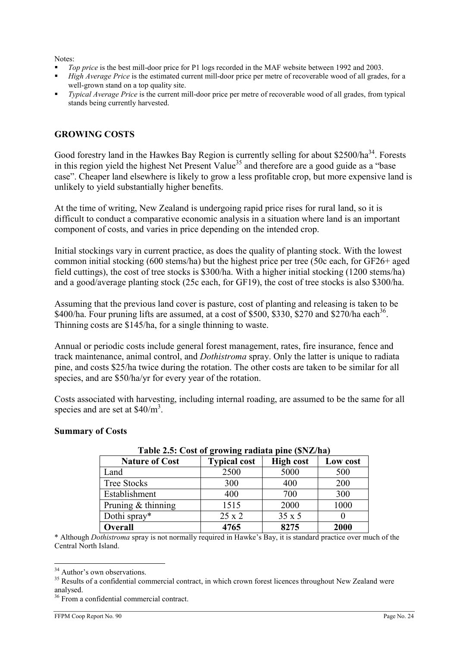Notes:

- Top price is the best mill-door price for P1 logs recorded in the MAF website between 1992 and 2003.
- High Average Price is the estimated current mill-door price per metre of recoverable wood of all grades, for a well-grown stand on a top quality site.
- Typical Average Price is the current mill-door price per metre of recoverable wood of all grades, from typical stands being currently harvested.

### GROWING COSTS

Good forestry land in the Hawkes Bay Region is currently selling for about \$2500/ha<sup>34</sup>. Forests in this region yield the highest Net Present Value<sup>35</sup> and therefore are a good guide as a "base" case". Cheaper land elsewhere is likely to grow a less profitable crop, but more expensive land is unlikely to yield substantially higher benefits.

At the time of writing, New Zealand is undergoing rapid price rises for rural land, so it is difficult to conduct a comparative economic analysis in a situation where land is an important component of costs, and varies in price depending on the intended crop.

Initial stockings vary in current practice, as does the quality of planting stock. With the lowest common initial stocking (600 stems/ha) but the highest price per tree (50c each, for GF26+ aged field cuttings), the cost of tree stocks is \$300/ha. With a higher initial stocking (1200 stems/ha) and a good/average planting stock (25c each, for GF19), the cost of tree stocks is also \$300/ha.

Assuming that the previous land cover is pasture, cost of planting and releasing is taken to be \$400/ha. Four pruning lifts are assumed, at a cost of \$500, \$330, \$270 and \$270/ha each<sup>36</sup>. Thinning costs are \$145/ha, for a single thinning to waste.

Annual or periodic costs include general forest management, rates, fire insurance, fence and track maintenance, animal control, and Dothistroma spray. Only the latter is unique to radiata pine, and costs \$25/ha twice during the rotation. The other costs are taken to be similar for all species, and are \$50/ha/yr for every year of the rotation.

Costs associated with harvesting, including internal roading, are assumed to be the same for all species and are set at  $$40/m<sup>3</sup>$ .

#### Summary of Costs

|                       | Table 2.3. Cost of growing radiata plut (\$152/11a) |                  |          |  |  |  |  |  |
|-----------------------|-----------------------------------------------------|------------------|----------|--|--|--|--|--|
| <b>Nature of Cost</b> | <b>Typical cost</b>                                 | <b>High cost</b> | Low cost |  |  |  |  |  |
| Land                  | 2500                                                | 5000             | 500      |  |  |  |  |  |
| <b>Tree Stocks</b>    | 300                                                 | 400              | 200      |  |  |  |  |  |
| Establishment         | 400                                                 | 700              | 300      |  |  |  |  |  |
| Pruning $&$ thinning  | 1515                                                | 2000             | 1000     |  |  |  |  |  |
| Dothi spray*          | $25 \times 2$                                       | 35 x 5           |          |  |  |  |  |  |
| Overall               | 4765                                                | 8275             | 2000     |  |  |  |  |  |

### Table 2.5: Cost of growing radiata pine (\$NZ/ha)

\* Although Dothistroma spray is not normally required in Hawke's Bay, it is standard practice over much of the Central North Island.

 $\overline{a}$ <sup>34</sup> Author's own observations.

<sup>&</sup>lt;sup>35</sup> Results of a confidential commercial contract, in which crown forest licences throughout New Zealand were analysed.

<sup>&</sup>lt;sup>36</sup> From a confidential commercial contract.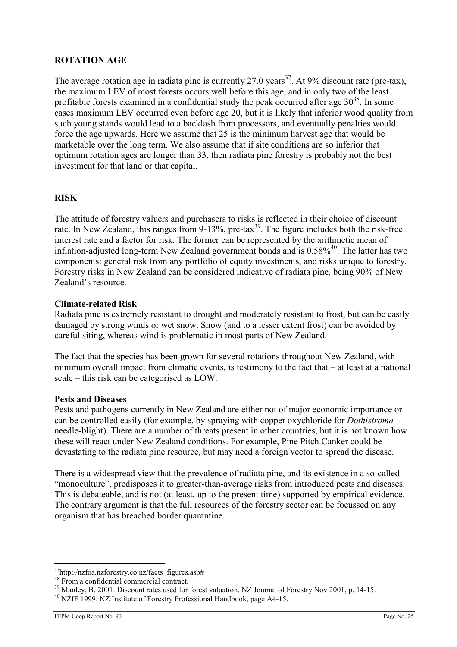### ROTATION AGE

The average rotation age in radiata pine is currently 27.0 years<sup>37</sup>. At 9% discount rate (pre-tax), the maximum LEV of most forests occurs well before this age, and in only two of the least profitable forests examined in a confidential study the peak occurred after age  $30^{38}$ . In some cases maximum LEV occurred even before age 20, but it is likely that inferior wood quality from such young stands would lead to a backlash from processors, and eventually penalties would force the age upwards. Here we assume that 25 is the minimum harvest age that would be marketable over the long term. We also assume that if site conditions are so inferior that optimum rotation ages are longer than 33, then radiata pine forestry is probably not the best investment for that land or that capital.

### RISK

The attitude of forestry valuers and purchasers to risks is reflected in their choice of discount rate. In New Zealand, this ranges from 9-13%, pre-tax<sup>39</sup>. The figure includes both the risk-free interest rate and a factor for risk. The former can be represented by the arithmetic mean of inflation-adjusted long-term New Zealand government bonds and is  $0.58\%$ <sup>40</sup>. The latter has two components: general risk from any portfolio of equity investments, and risks unique to forestry. Forestry risks in New Zealand can be considered indicative of radiata pine, being 90% of New Zealand's resource.

### Climate-related Risk

Radiata pine is extremely resistant to drought and moderately resistant to frost, but can be easily damaged by strong winds or wet snow. Snow (and to a lesser extent frost) can be avoided by careful siting, whereas wind is problematic in most parts of New Zealand.

The fact that the species has been grown for several rotations throughout New Zealand, with minimum overall impact from climatic events, is testimony to the fact that – at least at a national scale – this risk can be categorised as LOW.

#### Pests and Diseases

Pests and pathogens currently in New Zealand are either not of major economic importance or can be controlled easily (for example, by spraying with copper oxychloride for Dothistroma needle-blight). There are a number of threats present in other countries, but it is not known how these will react under New Zealand conditions. For example, Pine Pitch Canker could be devastating to the radiata pine resource, but may need a foreign vector to spread the disease.

There is a widespread view that the prevalence of radiata pine, and its existence in a so-called "monoculture", predisposes it to greater-than-average risks from introduced pests and diseases. This is debateable, and is not (at least, up to the present time) supported by empirical evidence. The contrary argument is that the full resources of the forestry sector can be focussed on any organism that has breached border quarantine.

 $\overline{a}$ <sup>37</sup>http://nzfoa.nzforestry.co.nz/facts\_figures.asp#

<sup>&</sup>lt;sup>38</sup> From a confidential commercial contract.

<sup>&</sup>lt;sup>39</sup> Manley, B. 2001. Discount rates used for forest valuation. NZ Journal of Forestry Nov 2001, p. 14-15.

<sup>&</sup>lt;sup>40</sup> NZIF 1999. NZ Institute of Forestry Professional Handbook, page A4-15.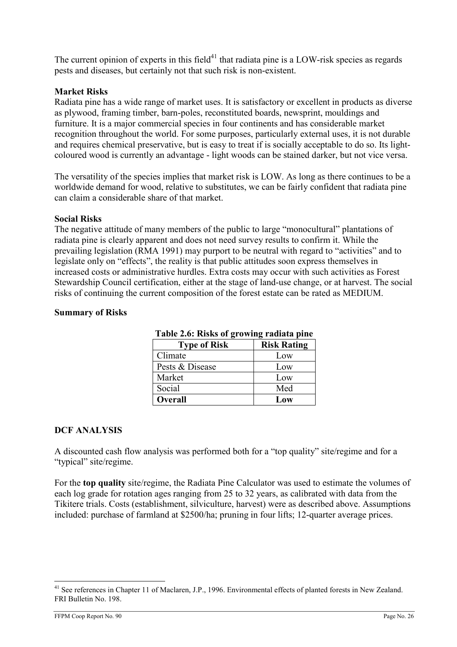The current opinion of experts in this field<sup>41</sup> that radiata pine is a LOW-risk species as regards pests and diseases, but certainly not that such risk is non-existent.

### Market Risks

Radiata pine has a wide range of market uses. It is satisfactory or excellent in products as diverse as plywood, framing timber, barn-poles, reconstituted boards, newsprint, mouldings and furniture. It is a major commercial species in four continents and has considerable market recognition throughout the world. For some purposes, particularly external uses, it is not durable and requires chemical preservative, but is easy to treat if is socially acceptable to do so. Its lightcoloured wood is currently an advantage - light woods can be stained darker, but not vice versa.

The versatility of the species implies that market risk is LOW. As long as there continues to be a worldwide demand for wood, relative to substitutes, we can be fairly confident that radiata pine can claim a considerable share of that market.

#### Social Risks

The negative attitude of many members of the public to large "monocultural" plantations of radiata pine is clearly apparent and does not need survey results to confirm it. While the prevailing legislation (RMA 1991) may purport to be neutral with regard to "activities" and to legislate only on "effects", the reality is that public attitudes soon express themselves in increased costs or administrative hurdles. Extra costs may occur with such activities as Forest Stewardship Council certification, either at the stage of land-use change, or at harvest. The social risks of continuing the current composition of the forest estate can be rated as MEDIUM.

#### Summary of Risks

| Table 2.0. INSKS 01 growing radiata pluc |                    |  |  |
|------------------------------------------|--------------------|--|--|
| <b>Type of Risk</b>                      | <b>Risk Rating</b> |  |  |
| Climate                                  | Low                |  |  |
| Pests & Disease                          | Low                |  |  |
| Market                                   | Low                |  |  |
| Social                                   | Med                |  |  |
| Overall                                  | Low                |  |  |

### Table 2.6: Risks of growing radiata pine

#### DCF ANALYSIS

A discounted cash flow analysis was performed both for a "top quality" site/regime and for a "typical" site/regime.

For the top quality site/regime, the Radiata Pine Calculator was used to estimate the volumes of each log grade for rotation ages ranging from 25 to 32 years, as calibrated with data from the Tikitere trials. Costs (establishment, silviculture, harvest) were as described above. Assumptions included: purchase of farmland at \$2500/ha; pruning in four lifts; 12-quarter average prices.

 $\overline{a}$ <sup>41</sup> See references in Chapter 11 of Maclaren, J.P., 1996. Environmental effects of planted forests in New Zealand. FRI Bulletin No. 198.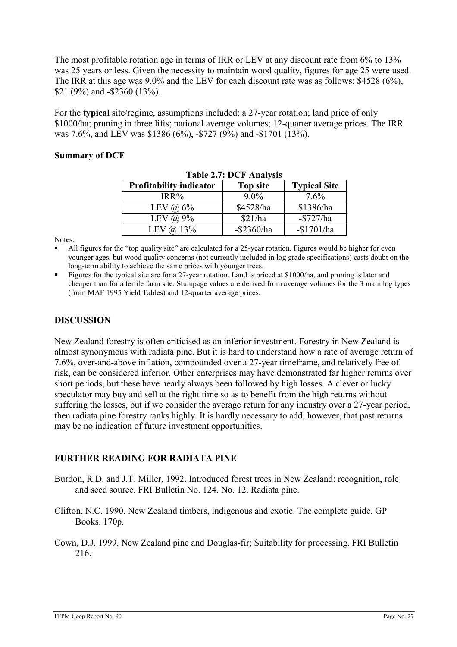The most profitable rotation age in terms of IRR or LEV at any discount rate from 6% to 13% was 25 years or less. Given the necessity to maintain wood quality, figures for age 25 were used. The IRR at this age was 9.0% and the LEV for each discount rate was as follows: \$4528 (6%), \$21 (9%) and -\$2360 (13%).

For the typical site/regime, assumptions included: a 27-year rotation; land price of only \$1000/ha; pruning in three lifts; national average volumes; 12-quarter average prices. The IRR was 7.6%, and LEV was \$1386 (6%), -\$727 (9%) and -\$1701 (13%).

#### Summary of DCF

| <b>Table 2.7: DUF Analysis</b> |                 |                     |  |  |
|--------------------------------|-----------------|---------------------|--|--|
| <b>Profitability indicator</b> | <b>Top site</b> | <b>Typical Site</b> |  |  |
| $IRR\%$                        | $9.0\%$         | 7.6%                |  |  |
| LEV $\omega$ 6%                | \$4528/ha       | \$1386/ha           |  |  |
| LEV $\omega$ 9%                | \$21/ha         | $-$727/ha$          |  |  |
| LEV $\omega$ 13%               | $-$ \$2360/ha   | $-$1701/ha$         |  |  |

Table 2.7: DCF Analysis

Notes:

 All figures for the "top quality site" are calculated for a 25-year rotation. Figures would be higher for even younger ages, but wood quality concerns (not currently included in log grade specifications) casts doubt on the long-term ability to achieve the same prices with younger trees.

 Figures for the typical site are for a 27-year rotation. Land is priced at \$1000/ha, and pruning is later and cheaper than for a fertile farm site. Stumpage values are derived from average volumes for the 3 main log types (from MAF 1995 Yield Tables) and 12-quarter average prices.

### DISCUSSION

New Zealand forestry is often criticised as an inferior investment. Forestry in New Zealand is almost synonymous with radiata pine. But it is hard to understand how a rate of average return of 7.6%, over-and-above inflation, compounded over a 27-year timeframe, and relatively free of risk, can be considered inferior. Other enterprises may have demonstrated far higher returns over short periods, but these have nearly always been followed by high losses. A clever or lucky speculator may buy and sell at the right time so as to benefit from the high returns without suffering the losses, but if we consider the average return for any industry over a 27-year period, then radiata pine forestry ranks highly. It is hardly necessary to add, however, that past returns may be no indication of future investment opportunities.

### FURTHER READING FOR RADIATA PINE

- Burdon, R.D. and J.T. Miller, 1992. Introduced forest trees in New Zealand: recognition, role and seed source. FRI Bulletin No. 124. No. 12. Radiata pine.
- Clifton, N.C. 1990. New Zealand timbers, indigenous and exotic. The complete guide. GP Books. 170p.
- Cown, D.J. 1999. New Zealand pine and Douglas-fir; Suitability for processing. FRI Bulletin 216.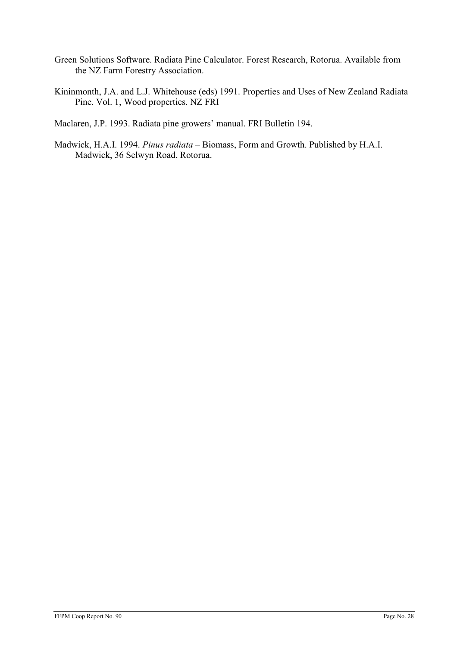- Green Solutions Software. Radiata Pine Calculator. Forest Research, Rotorua. Available from the NZ Farm Forestry Association.
- Kininmonth, J.A. and L.J. Whitehouse (eds) 1991. Properties and Uses of New Zealand Radiata Pine. Vol. 1, Wood properties. NZ FRI

Maclaren, J.P. 1993. Radiata pine growers' manual. FRI Bulletin 194.

Madwick, H.A.I. 1994. Pinus radiata – Biomass, Form and Growth. Published by H.A.I. Madwick, 36 Selwyn Road, Rotorua.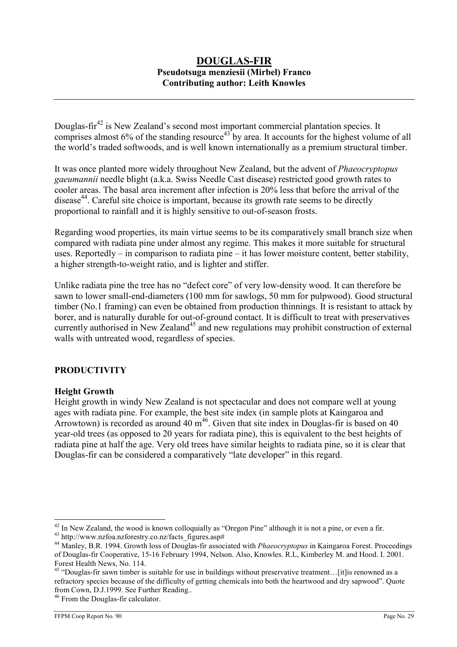### DOUGLAS-FIR Pseudotsuga menziesii (Mirbel) Franco Contributing author: Leith Knowles

Douglas-fir<sup>42</sup> is New Zealand's second most important commercial plantation species. It comprises almost  $6\%$  of the standing resource  $43$  by area. It accounts for the highest volume of all the world's traded softwoods, and is well known internationally as a premium structural timber.

It was once planted more widely throughout New Zealand, but the advent of Phaeocryptopus gaeumannii needle blight (a.k.a. Swiss Needle Cast disease) restricted good growth rates to cooler areas. The basal area increment after infection is 20% less that before the arrival of the disease<sup>44</sup>. Careful site choice is important, because its growth rate seems to be directly proportional to rainfall and it is highly sensitive to out-of-season frosts.

Regarding wood properties, its main virtue seems to be its comparatively small branch size when compared with radiata pine under almost any regime. This makes it more suitable for structural uses. Reportedly – in comparison to radiata pine – it has lower moisture content, better stability, a higher strength-to-weight ratio, and is lighter and stiffer.

Unlike radiata pine the tree has no "defect core" of very low-density wood. It can therefore be sawn to lower small-end-diameters (100 mm for sawlogs, 50 mm for pulpwood). Good structural timber (No.1 framing) can even be obtained from production thinnings. It is resistant to attack by borer, and is naturally durable for out-of-ground contact. It is difficult to treat with preservatives currently authorised in New Zealand<sup>45</sup> and new regulations may prohibit construction of external walls with untreated wood, regardless of species.

### PRODUCTIVITY

#### Height Growth

Height growth in windy New Zealand is not spectacular and does not compare well at young ages with radiata pine. For example, the best site index (in sample plots at Kaingaroa and Arrowtown) is recorded as around 40  $m^{46}$ . Given that site index in Douglas-fir is based on 40 year-old trees (as opposed to 20 years for radiata pine), this is equivalent to the best heights of radiata pine at half the age. Very old trees have similar heights to radiata pine, so it is clear that Douglas-fir can be considered a comparatively "late developer" in this regard.

 $42$  In New Zealand, the wood is known colloquially as "Oregon Pine" although it is not a pine, or even a fir. <sup>43</sup> http://www.nzfoa.nzforestry.co.nz/facts\_figures.asp#

<sup>&</sup>lt;sup>44</sup> Manley, B.R. 1994. Growth loss of Douglas-fir associated with *Phaeocryptopus* in Kaingaroa Forest. Proceedings of Douglas-fir Cooperative, 15-16 February 1994, Nelson. Also, Knowles. R.L, Kimberley M. and Hood. I. 2001. Forest Health News, No. 114.

<sup>&</sup>lt;sup>45</sup> "Douglas-fir sawn timber is suitable for use in buildings without preservative treatment...[it]is renowned as a refractory species because of the difficulty of getting chemicals into both the heartwood and dry sapwood". Quote from Cown, D.J.1999. See Further Reading..

<sup>&</sup>lt;sup>46</sup> From the Douglas-fir calculator.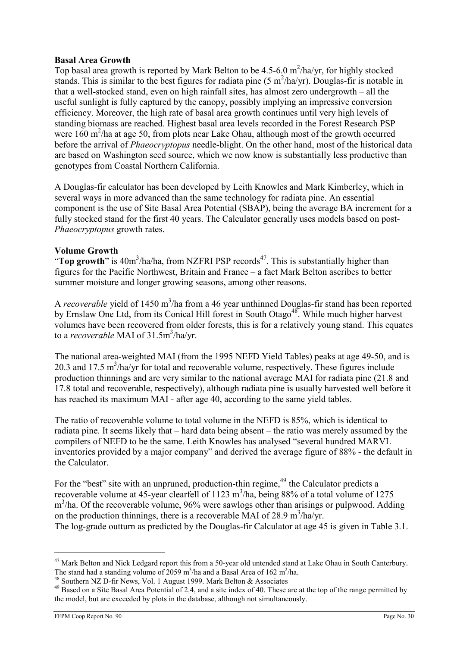### Basal Area Growth

Top basal area growth is reported by Mark Belton to be  $4.5{\text -}6.0$  m<sup>2</sup>/ha/yr, for highly stocked stands. This is similar to the best figures for radiata pine  $(5 \text{ m}^2/\text{ha/yr})$ . Douglas-fir is notable in that a well-stocked stand, even on high rainfall sites, has almost zero undergrowth – all the useful sunlight is fully captured by the canopy, possibly implying an impressive conversion efficiency. Moreover, the high rate of basal area growth continues until very high levels of standing biomass are reached. Highest basal area levels recorded in the Forest Research PSP were  $160 \text{ m}^2/\text{ha}$  at age 50, from plots near Lake Ohau, although most of the growth occurred before the arrival of *Phaeocryptopus* needle-blight. On the other hand, most of the historical data are based on Washington seed source, which we now know is substantially less productive than genotypes from Coastal Northern California.

A Douglas-fir calculator has been developed by Leith Knowles and Mark Kimberley, which in several ways in more advanced than the same technology for radiata pine. An essential component is the use of Site Basal Area Potential (SBAP), being the average BA increment for a fully stocked stand for the first 40 years. The Calculator generally uses models based on post-Phaeocryptopus growth rates.

### Volume Growth

"Top growth" is  $40m^3/ha/ha$ , from NZFRI PSP records<sup>47</sup>. This is substantially higher than figures for the Pacific Northwest, Britain and France – a fact Mark Belton ascribes to better summer moisture and longer growing seasons, among other reasons.

A *recoverable* yield of 1450 m<sup>3</sup>/ha from a 46 year unthinned Douglas-fir stand has been reported by Ernslaw One Ltd, from its Conical Hill forest in South Otago<sup>48</sup>. While much higher harvest volumes have been recovered from older forests, this is for a relatively young stand. This equates to a *recoverable* MAI of 31.5m<sup>3</sup>/ha/yr.

The national area-weighted MAI (from the 1995 NEFD Yield Tables) peaks at age 49-50, and is 20.3 and 17.5  $\text{m}^3/\text{ha/yr}$  for total and recoverable volume, respectively. These figures include production thinnings and are very similar to the national average MAI for radiata pine (21.8 and 17.8 total and recoverable, respectively), although radiata pine is usually harvested well before it has reached its maximum MAI - after age 40, according to the same yield tables.

The ratio of recoverable volume to total volume in the NEFD is 85%, which is identical to radiata pine. It seems likely that – hard data being absent – the ratio was merely assumed by the compilers of NEFD to be the same. Leith Knowles has analysed "several hundred MARVL inventories provided by a major company" and derived the average figure of 88% - the default in the Calculator.

For the "best" site with an unpruned, production-thin regime, $49$  the Calculator predicts a recoverable volume at 45-year clearfell of 1123  $m<sup>3</sup>/ha$ , being 88% of a total volume of 1275 m<sup>3</sup>/ha. Of the recoverable volume, 96% were sawlogs other than arisings or pulpwood. Adding on the production thinnings, there is a recoverable MAI of 28.9 m<sup>3</sup>/ha/yr. The log-grade outturn as predicted by the Douglas-fir Calculator at age 45 is given in Table 3.1.

<sup>&</sup>lt;sup>47</sup> Mark Belton and Nick Ledgard report this from a 50-year old untended stand at Lake Ohau in South Canterbury. The stand had a standing volume of 2059 m<sup>3</sup>/ha and a Basal Area of 162 m<sup>2</sup>/ha.

<sup>&</sup>lt;sup>48</sup> Southern NZ D-fir News, Vol. 1 August 1999. Mark Belton & Associates

<sup>&</sup>lt;sup>49</sup> Based on a Site Basal Area Potential of 2.4, and a site index of 40. These are at the top of the range permitted by the model, but are exceeded by plots in the database, although not simultaneously.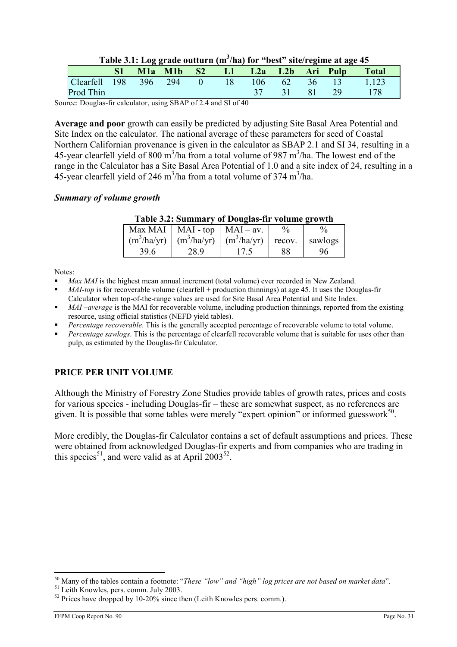| Table 3.1: Log grade outturn $(m^3/ha)$ for "best" site/regime at age 45 |  |  |
|--------------------------------------------------------------------------|--|--|
|                                                                          |  |  |

|                                         |  |  | M1a M1b S2 L1 L2a L2b Ari Pulp |             |  | <b>Total</b> |
|-----------------------------------------|--|--|--------------------------------|-------------|--|--------------|
| Clearfell 198 396 294 0 18 106 62 36 13 |  |  |                                |             |  | 1,123        |
| Prod Thin                               |  |  |                                | 37 31 81 29 |  | - 178        |

Source: Douglas-fir calculator, using SBAP of 2.4 and SI of 40

Average and poor growth can easily be predicted by adjusting Site Basal Area Potential and Site Index on the calculator. The national average of these parameters for seed of Coastal Northern Californian provenance is given in the calculator as SBAP 2.1 and SI 34, resulting in a 45-year clearfell yield of 800 m<sup>3</sup>/ha from a total volume of 987 m<sup>3</sup>/ha. The lowest end of the range in the Calculator has a Site Basal Area Potential of 1.0 and a site index of 24, resulting in a 45-year clearfell yield of 246 m<sup>3</sup>/ha from a total volume of 374 m<sup>3</sup>/ha.

#### Summary of volume growth

|      | Max MAI   MAI - top   MAI - av.           | $\%$   |         |
|------|-------------------------------------------|--------|---------|
|      | $(m^3/ha/yr)$ $(m^3/ha/yr)$ $(m^3/ha/yr)$ | recov. | sawlogs |
| 39.6 | 28.9                                      | 88     | 96      |
|      |                                           |        |         |

Notes:

- Max MAI is the highest mean annual increment (total volume) ever recorded in New Zealand.
- MAI-top is for recoverable volume (clearfell + production thinnings) at age 45. It uses the Douglas-fir Calculator when top-of-the-range values are used for Site Basal Area Potential and Site Index.
- MAI –average is the MAI for recoverable volume, including production thinnings, reported from the existing resource, using official statistics (NEFD yield tables).
- Percentage recoverable. This is the generally accepted percentage of recoverable volume to total volume.
- Percentage sawlogs. This is the percentage of clearfell recoverable volume that is suitable for uses other than pulp, as estimated by the Douglas-fir Calculator.

### PRICE PER UNIT VOLUME

Although the Ministry of Forestry Zone Studies provide tables of growth rates, prices and costs for various species - including Douglas-fir – these are somewhat suspect, as no references are given. It is possible that some tables were merely "expert opinion" or informed guesswork $50$ .

More credibly, the Douglas-fir Calculator contains a set of default assumptions and prices. These were obtained from acknowledged Douglas-fir experts and from companies who are trading in this species<sup>51</sup>, and were valid as at April 2003<sup>52</sup>.

 $50$  Many of the tables contain a footnote: "These "low" and "high" log prices are not based on market data".

<sup>&</sup>lt;sup>51</sup> Leith Knowles, pers. comm. July 2003.

 $52$  Prices have dropped by 10-20% since then (Leith Knowles pers. comm.).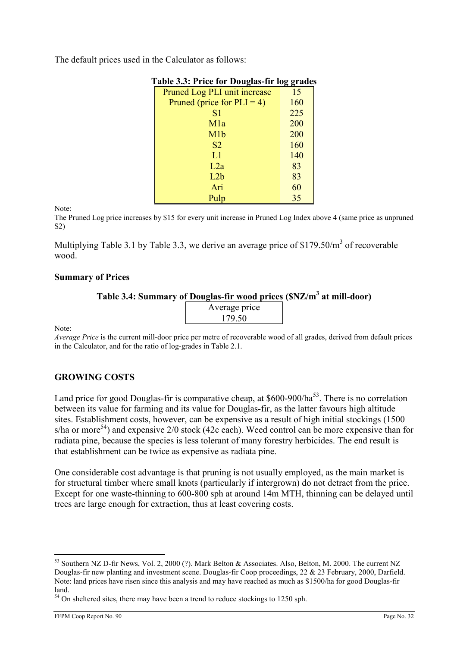The default prices used in the Calculator as follows:

|                               | 00  |
|-------------------------------|-----|
| Pruned Log PLI unit increase  | 15  |
| Pruned (price for $PLI = 4$ ) | 160 |
| S <sub>1</sub>                | 225 |
| M1a                           | 200 |
| M1b                           | 200 |
| S <sub>2</sub>                | 160 |
| L1                            | 140 |
| L2a                           | 83  |
| L2b                           | 83  |
| Ari                           | 60  |
| Pulp                          | 35  |

### Table 3.3: Price for Douglas-fir log grades

Note:

The Pruned Log price increases by \$15 for every unit increase in Pruned Log Index above 4 (same price as unpruned S2)

Multiplying Table 3.1 by Table 3.3, we derive an average price of \$179.50/ $m<sup>3</sup>$  of recoverable wood.

#### Summary of Prices

### Table 3.4: Summary of Douglas-fir wood prices (\$NZ/m<sup>3</sup> at mill-door)

| Average price |  |
|---------------|--|
| 179.50        |  |
|               |  |

Note:

Average Price is the current mill-door price per metre of recoverable wood of all grades, derived from default prices in the Calculator, and for the ratio of log-grades in Table 2.1.

### GROWING COSTS

Land price for good Douglas-fir is comparative cheap, at  $$600-900/ha^{53}$ . There is no correlation between its value for farming and its value for Douglas-fir, as the latter favours high altitude sites. Establishment costs, however, can be expensive as a result of high initial stockings (1500 s/ha or more<sup>54</sup>) and expensive 2/0 stock (42c each). Weed control can be more expensive than for radiata pine, because the species is less tolerant of many forestry herbicides. The end result is that establishment can be twice as expensive as radiata pine.

One considerable cost advantage is that pruning is not usually employed, as the main market is for structural timber where small knots (particularly if intergrown) do not detract from the price. Except for one waste-thinning to 600-800 sph at around 14m MTH, thinning can be delayed until trees are large enough for extraction, thus at least covering costs.

<sup>&</sup>lt;sup>53</sup> Southern NZ D-fir News, Vol. 2, 2000 (?). Mark Belton & Associates. Also, Belton, M. 2000. The current NZ Douglas-fir new planting and investment scene. Douglas-fir Coop proceedings, 22 & 23 February, 2000, Darfield. Note: land prices have risen since this analysis and may have reached as much as \$1500/ha for good Douglas-fir land.

 $54$  On sheltered sites, there may have been a trend to reduce stockings to 1250 sph.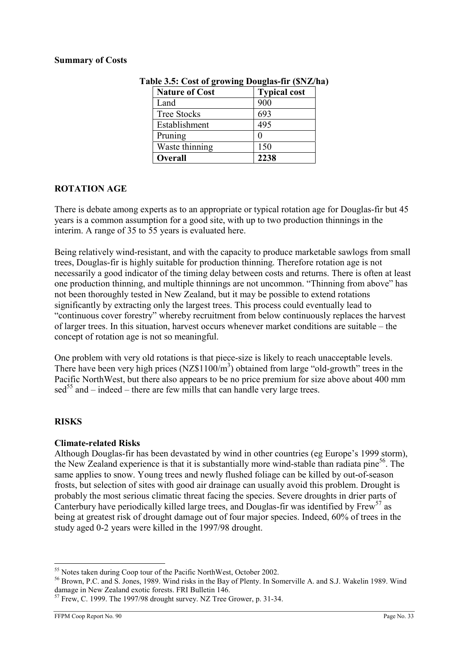#### Summary of Costs

| <b>Nature of Cost</b> | <b>Typical cost</b> |
|-----------------------|---------------------|
| Land                  | 900                 |
| <b>Tree Stocks</b>    | 693                 |
| Establishment         | 495                 |
| Pruning               |                     |
| Waste thinning        | 150                 |
| <b>Overall</b>        | 2238                |

| Table 3.5: Cost of growing Douglas-fir (\$NZ/ha) |  |  |  |
|--------------------------------------------------|--|--|--|
|--------------------------------------------------|--|--|--|

### ROTATION AGE

There is debate among experts as to an appropriate or typical rotation age for Douglas-fir but 45 years is a common assumption for a good site, with up to two production thinnings in the interim. A range of 35 to 55 years is evaluated here.

Being relatively wind-resistant, and with the capacity to produce marketable sawlogs from small trees, Douglas-fir is highly suitable for production thinning. Therefore rotation age is not necessarily a good indicator of the timing delay between costs and returns. There is often at least one production thinning, and multiple thinnings are not uncommon. "Thinning from above" has not been thoroughly tested in New Zealand, but it may be possible to extend rotations significantly by extracting only the largest trees. This process could eventually lead to "continuous cover forestry" whereby recruitment from below continuously replaces the harvest of larger trees. In this situation, harvest occurs whenever market conditions are suitable – the concept of rotation age is not so meaningful.

One problem with very old rotations is that piece-size is likely to reach unacceptable levels. There have been very high prices (NZ\$1100/ $m<sup>3</sup>$ ) obtained from large "old-growth" trees in the Pacific NorthWest, but there also appears to be no price premium for size above about 400 mm  $\text{sed}^{55}$  and – indeed – there are few mills that can handle very large trees.

### **RISKS**

### Climate-related Risks

Although Douglas-fir has been devastated by wind in other countries (eg Europe's 1999 storm), the New Zealand experience is that it is substantially more wind-stable than radiata pine<sup>56</sup>. The same applies to snow. Young trees and newly flushed foliage can be killed by out-of-season frosts, but selection of sites with good air drainage can usually avoid this problem. Drought is probably the most serious climatic threat facing the species. Severe droughts in drier parts of Canterbury have periodically killed large trees, and Douglas-fir was identified by Frew<sup>57</sup> as being at greatest risk of drought damage out of four major species. Indeed, 60% of trees in the study aged 0-2 years were killed in the 1997/98 drought.

 $\overline{a}$ <sup>55</sup> Notes taken during Coop tour of the Pacific NorthWest, October 2002.

<sup>56</sup> Brown, P.C. and S. Jones, 1989. Wind risks in the Bay of Plenty. In Somerville A. and S.J. Wakelin 1989. Wind damage in New Zealand exotic forests. FRI Bulletin 146.

<sup>&</sup>lt;sup>57</sup> Frew, C. 1999. The 1997/98 drought survey. NZ Tree Grower, p. 31-34.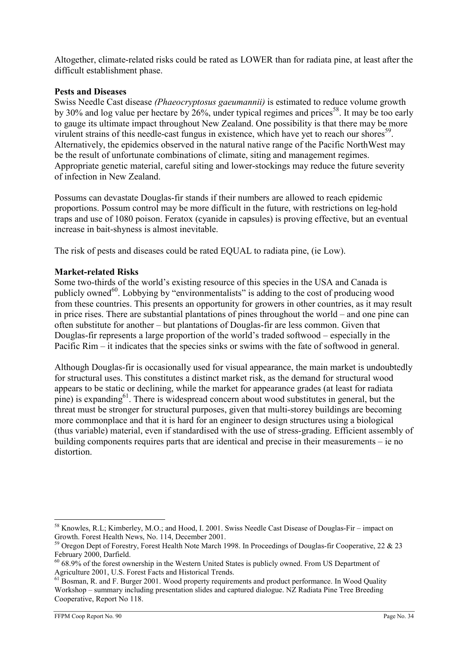Altogether, climate-related risks could be rated as LOWER than for radiata pine, at least after the difficult establishment phase.

### Pests and Diseases

Swiss Needle Cast disease (Phaeocryptosus gaeumannii) is estimated to reduce volume growth by 30% and log value per hectare by  $26\%$ , under typical regimes and prices<sup>58</sup>. It may be too early to gauge its ultimate impact throughout New Zealand. One possibility is that there may be more virulent strains of this needle-cast fungus in existence, which have yet to reach our shores<sup>59</sup>. Alternatively, the epidemics observed in the natural native range of the Pacific NorthWest may be the result of unfortunate combinations of climate, siting and management regimes. Appropriate genetic material, careful siting and lower-stockings may reduce the future severity of infection in New Zealand.

Possums can devastate Douglas-fir stands if their numbers are allowed to reach epidemic proportions. Possum control may be more difficult in the future, with restrictions on leg-hold traps and use of 1080 poison. Feratox (cyanide in capsules) is proving effective, but an eventual increase in bait-shyness is almost inevitable.

The risk of pests and diseases could be rated EQUAL to radiata pine, (ie Low).

#### Market-related Risks

Some two-thirds of the world's existing resource of this species in the USA and Canada is publicly owned<sup>60</sup>. Lobbying by "environmentalists" is adding to the cost of producing wood from these countries. This presents an opportunity for growers in other countries, as it may result in price rises. There are substantial plantations of pines throughout the world – and one pine can often substitute for another – but plantations of Douglas-fir are less common. Given that Douglas-fir represents a large proportion of the world's traded softwood – especially in the Pacific Rim – it indicates that the species sinks or swims with the fate of softwood in general.

Although Douglas-fir is occasionally used for visual appearance, the main market is undoubtedly for structural uses. This constitutes a distinct market risk, as the demand for structural wood appears to be static or declining, while the market for appearance grades (at least for radiata pine) is expanding $^{61}$ . There is widespread concern about wood substitutes in general, but the threat must be stronger for structural purposes, given that multi-storey buildings are becoming more commonplace and that it is hard for an engineer to design structures using a biological (thus variable) material, even if standardised with the use of stress-grading. Efficient assembly of building components requires parts that are identical and precise in their measurements – ie no distortion.

 $\overline{a}$ <sup>58</sup> Knowles, R.L; Kimberley, M.O.; and Hood, I. 2001. Swiss Needle Cast Disease of Douglas-Fir – impact on Growth. Forest Health News, No. 114, December 2001.

<sup>&</sup>lt;sup>59</sup> Oregon Dept of Forestry, Forest Health Note March 1998. In Proceedings of Douglas-fir Cooperative, 22 & 23 February 2000, Darfield.

<sup>&</sup>lt;sup>60</sup> 68.9% of the forest ownership in the Western United States is publicly owned. From US Department of Agriculture 2001, U.S. Forest Facts and Historical Trends.

<sup>&</sup>lt;sup>61</sup> Bosman, R. and F. Burger 2001. Wood property requirements and product performance. In Wood Quality Workshop – summary including presentation slides and captured dialogue. NZ Radiata Pine Tree Breeding Cooperative, Report No 118.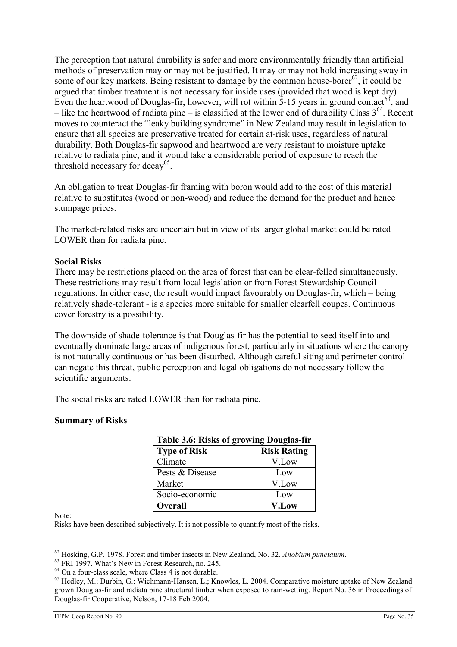The perception that natural durability is safer and more environmentally friendly than artificial methods of preservation may or may not be justified. It may or may not hold increasing sway in some of our key markets. Being resistant to damage by the common house-borer<sup>62</sup>, it could be argued that timber treatment is not necessary for inside uses (provided that wood is kept dry). Even the heartwood of Douglas-fir, however, will rot within  $5-15$  years in ground contact<sup>63</sup>, and – like the heartwood of radiata pine – is classified at the lower end of durability Class  $3^{64}$ . Recent moves to counteract the "leaky building syndrome" in New Zealand may result in legislation to ensure that all species are preservative treated for certain at-risk uses, regardless of natural durability. Both Douglas-fir sapwood and heartwood are very resistant to moisture uptake relative to radiata pine, and it would take a considerable period of exposure to reach the threshold necessary for decay<sup>65</sup>.

An obligation to treat Douglas-fir framing with boron would add to the cost of this material relative to substitutes (wood or non-wood) and reduce the demand for the product and hence stumpage prices.

The market-related risks are uncertain but in view of its larger global market could be rated LOWER than for radiata pine.

### Social Risks

There may be restrictions placed on the area of forest that can be clear-felled simultaneously. These restrictions may result from local legislation or from Forest Stewardship Council regulations. In either case, the result would impact favourably on Douglas-fir, which – being relatively shade-tolerant - is a species more suitable for smaller clearfell coupes. Continuous cover forestry is a possibility.

The downside of shade-tolerance is that Douglas-fir has the potential to seed itself into and eventually dominate large areas of indigenous forest, particularly in situations where the canopy is not naturally continuous or has been disturbed. Although careful siting and perimeter control can negate this threat, public perception and legal obligations do not necessary follow the scientific arguments.

The social risks are rated LOWER than for radiata pine.

### Summary of Risks

| Table 5.0. KISKS 01 growing Douglas-III |                    |  |  |
|-----------------------------------------|--------------------|--|--|
| <b>Type of Risk</b>                     | <b>Risk Rating</b> |  |  |
| Climate                                 | V.Low              |  |  |
| Pests & Disease                         | Low                |  |  |
| Market                                  | V.Low              |  |  |
| Socio-economic                          | Low                |  |  |
| <b>Overall</b>                          | <b>V.Low</b>       |  |  |

## Table 3.6: Risks of growing Douglas-fir

Note:

Risks have been described subjectively. It is not possible to quantify most of the risks.

 $\overline{a}$  $62$  Hosking, G.P. 1978. Forest and timber insects in New Zealand, No. 32. Anobium punctatum.

 $63$  FRI 1997. What's New in Forest Research, no. 245.

<sup>&</sup>lt;sup>64</sup> On a four-class scale, where Class 4 is not durable.

<sup>65</sup> Hedley, M.; Durbin, G.: Wichmann-Hansen, L.; Knowles, L. 2004. Comparative moisture uptake of New Zealand grown Douglas-fir and radiata pine structural timber when exposed to rain-wetting. Report No. 36 in Proceedings of Douglas-fir Cooperative, Nelson, 17-18 Feb 2004.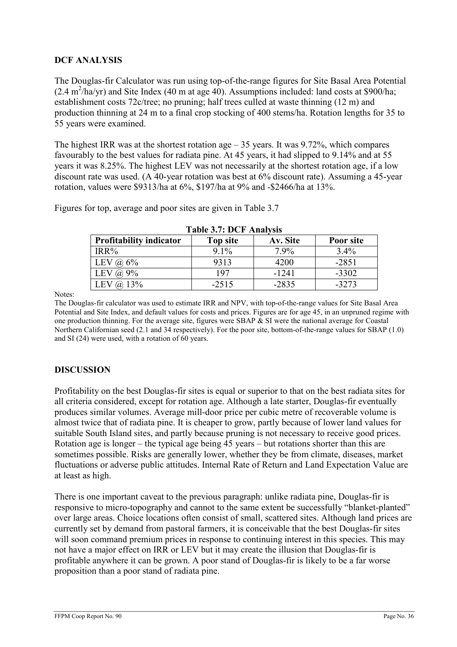### DCF ANALYSIS

The Douglas-fir Calculator was run using top-of-the-range figures for Site Basal Area Potential  $(2.4 \text{ m}^2/\text{ha/yr})$  and Site Index (40 m at age 40). Assumptions included: land costs at \$900/ha; establishment costs 72c/tree; no pruning; half trees culled at waste thinning (12 m) and production thinning at 24 m to a final crop stocking of 400 stems/ha. Rotation lengths for 35 to 55 years were examined.

The highest IRR was at the shortest rotation age  $-35$  years. It was 9.72%, which compares favourably to the best values for radiata pine. At 45 years, it had slipped to 9.14% and at 55 years it was 8.25%. The highest LEV was not necessarily at the shortest rotation age, if a low discount rate was used. (A 40-year rotation was best at 6% discount rate). Assuming a 45-year rotation, values were \$9313/ha at 6%, \$197/ha at 9% and -\$2466/ha at 13%.

| <b>Table 3.7: DCF Analysis</b> |                 |          |           |  |
|--------------------------------|-----------------|----------|-----------|--|
| <b>Profitability indicator</b> | <b>Top site</b> | Av. Site | Poor site |  |
| IRR%                           | $9.1\%$         | 7.9%     | $3.4\%$   |  |
| LEV $\omega$ 6%                | 9313            | 4200     | $-2851$   |  |
| $(a) 9\%$<br>LEV               | 197             | $-1241$  | $-3302$   |  |
| 13%<br>LEV                     | $-2515$         | $-2835$  | $-3273$   |  |

Figures for top, average and poor sites are given in Table 3.7

Notes:

The Douglas-fir calculator was used to estimate IRR and NPV, with top-of-the-range values for Site Basal Area Potential and Site Index, and default values for costs and prices. Figures are for age 45, in an unpruned regime with one production thinning. For the average site, figures were SBAP & SI were the national average for Coastal Northern Californian seed (2.1 and 34 respectively). For the poor site, bottom-of-the-range values for SBAP (1.0) and SI (24) were used, with a rotation of 60 years.

### DISCUSSION

Profitability on the best Douglas-fir sites is equal or superior to that on the best radiata sites for all criteria considered, except for rotation age. Although a late starter, Douglas-fir eventually produces similar volumes. Average mill-door price per cubic metre of recoverable volume is almost twice that of radiata pine. It is cheaper to grow, partly because of lower land values for suitable South Island sites, and partly because pruning is not necessary to receive good prices. Rotation age is longer – the typical age being 45 years – but rotations shorter than this are sometimes possible. Risks are generally lower, whether they be from climate, diseases, market fluctuations or adverse public attitudes. Internal Rate of Return and Land Expectation Value are at least as high.

There is one important caveat to the previous paragraph: unlike radiata pine, Douglas-fir is responsive to micro-topography and cannot to the same extent be successfully "blanket-planted" over large areas. Choice locations often consist of small, scattered sites. Although land prices are currently set by demand from pastoral farmers, it is conceivable that the best Douglas-fir sites will soon command premium prices in response to continuing interest in this species. This may not have a major effect on IRR or LEV but it may create the illusion that Douglas-fir is profitable anywhere it can be grown. A poor stand of Douglas-fir is likely to be a far worse proposition than a poor stand of radiata pine.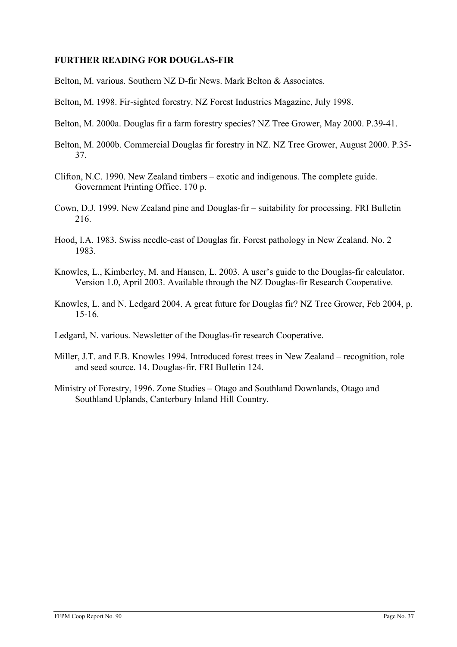# FURTHER READING FOR DOUGLAS-FIR

- Belton, M. various. Southern NZ D-fir News. Mark Belton & Associates.
- Belton, M. 1998. Fir-sighted forestry. NZ Forest Industries Magazine, July 1998.
- Belton, M. 2000a. Douglas fir a farm forestry species? NZ Tree Grower, May 2000. P.39-41.
- Belton, M. 2000b. Commercial Douglas fir forestry in NZ. NZ Tree Grower, August 2000. P.35- 37.
- Clifton, N.C. 1990. New Zealand timbers exotic and indigenous. The complete guide. Government Printing Office. 170 p.
- Cown, D.J. 1999. New Zealand pine and Douglas-fir suitability for processing. FRI Bulletin 216.
- Hood, I.A. 1983. Swiss needle-cast of Douglas fir. Forest pathology in New Zealand. No. 2 1983.
- Knowles, L., Kimberley, M. and Hansen, L. 2003. A user's guide to the Douglas-fir calculator. Version 1.0, April 2003. Available through the NZ Douglas-fir Research Cooperative.
- Knowles, L. and N. Ledgard 2004. A great future for Douglas fir? NZ Tree Grower, Feb 2004, p. 15-16.
- Ledgard, N. various. Newsletter of the Douglas-fir research Cooperative.
- Miller, J.T. and F.B. Knowles 1994. Introduced forest trees in New Zealand recognition, role and seed source. 14. Douglas-fir. FRI Bulletin 124.
- Ministry of Forestry, 1996. Zone Studies Otago and Southland Downlands, Otago and Southland Uplands, Canterbury Inland Hill Country.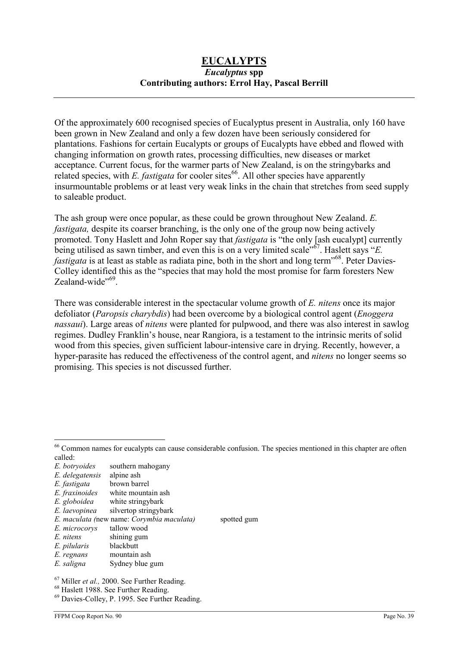# EUCALYPTS Eucalyptus spp Contributing authors: Errol Hay, Pascal Berrill

Of the approximately 600 recognised species of Eucalyptus present in Australia, only 160 have been grown in New Zealand and only a few dozen have been seriously considered for plantations. Fashions for certain Eucalypts or groups of Eucalypts have ebbed and flowed with changing information on growth rates, processing difficulties, new diseases or market acceptance. Current focus, for the warmer parts of New Zealand, is on the stringybarks and related species, with E. fastigata for cooler sites<sup>66</sup>. All other species have apparently insurmountable problems or at least very weak links in the chain that stretches from seed supply to saleable product.

The ash group were once popular, as these could be grown throughout New Zealand. E. fastigata, despite its coarser branching, is the only one of the group now being actively promoted. Tony Haslett and John Roper say that *fastigata* is "the only [ash eucalypt] currently being utilised as sawn timber, and even this is on a very limited scale"<sup>67</sup>. Haslett says "E. *fastigata* is at least as stable as radiata pine, both in the short and long term<sup> $.68$ </sup>. Peter Davies-Colley identified this as the "species that may hold the most promise for farm foresters New Zealand-wide"<sup>69</sup>.

There was considerable interest in the spectacular volume growth of E. nitens once its major defoliator (*Paropsis charybdis*) had been overcome by a biological control agent (*Enoggera*) nassaui). Large areas of nitens were planted for pulpwood, and there was also interest in sawlog regimes. Dudley Franklin's house, near Rangiora, is a testament to the intrinsic merits of solid wood from this species, given sufficient labour-intensive care in drying. Recently, however, a hyper-parasite has reduced the effectiveness of the control agent, and nitens no longer seems so promising. This species is not discussed further.

 $\overline{a}$ 

E. regnans mountain ash<br>E. saligna Sydney blue

<sup>&</sup>lt;sup>66</sup> Common names for eucalypts can cause considerable confusion. The species mentioned in this chapter are often called:

E. botryoides southern mahogany

E. delegatensis alpine ash E. fastigata brown bari

E. fastigata brown barrel<br>E. fraxinoides white mounta

E. fraxinoides white mountain ash<br>E. globoidea white stringybark white stringybark

E. laevopinea silvertop stringybark

E. maculata (new name: Corymbia maculata) spotted gum

E. microcorys tallow wood

E. nitens shining gum

E. pilularis blackbutt

Sydney blue gum

 $67$  Miller *et al.*, 2000. See Further Reading.

<sup>68</sup> Haslett 1988. See Further Reading.

<sup>69</sup> Davies-Colley, P. 1995. See Further Reading.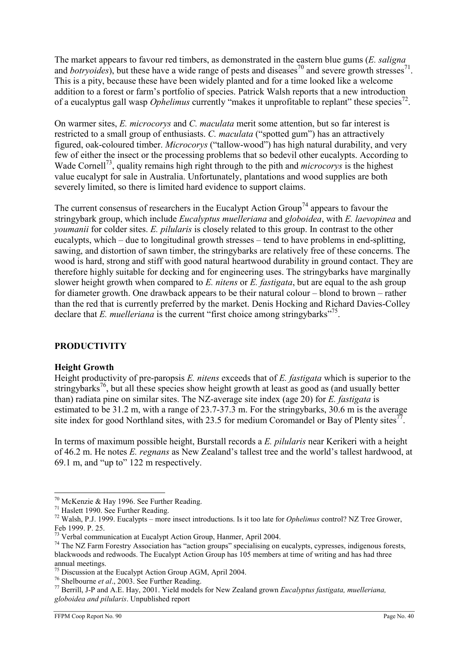The market appears to favour red timbers, as demonstrated in the eastern blue gums (*E. saligna*) and *botryoides*), but these have a wide range of pests and diseases<sup>70</sup> and severe growth stresses<sup>71</sup>. This is a pity, because these have been widely planted and for a time looked like a welcome addition to a forest or farm's portfolio of species. Patrick Walsh reports that a new introduction of a eucalyptus gall wasp *Ophelimus* currently "makes it unprofitable to replant" these species<sup>72</sup>.

On warmer sites, E. microcorys and C. maculata merit some attention, but so far interest is restricted to a small group of enthusiasts. C. maculata ("spotted gum") has an attractively figured, oak-coloured timber. Microcorys ("tallow-wood") has high natural durability, and very few of either the insect or the processing problems that so bedevil other eucalypts. According to Wade Cornell<sup>73</sup>, quality remains high right through to the pith and *microcorys* is the highest value eucalypt for sale in Australia. Unfortunately, plantations and wood supplies are both severely limited, so there is limited hard evidence to support claims.

The current consensus of researchers in the Eucalypt Action Group<sup>74</sup> appears to favour the stringybark group, which include Eucalyptus muelleriana and globoidea, with E. laevopinea and youmanii for colder sites. E. pilularis is closely related to this group. In contrast to the other eucalypts, which – due to longitudinal growth stresses – tend to have problems in end-splitting, sawing, and distortion of sawn timber, the stringybarks are relatively free of these concerns. The wood is hard, strong and stiff with good natural heartwood durability in ground contact. They are therefore highly suitable for decking and for engineering uses. The stringybarks have marginally slower height growth when compared to  $E$ , *nitens* or  $E$ , *fastigata*, but are equal to the ash group for diameter growth. One drawback appears to be their natural colour – blond to brown – rather than the red that is currently preferred by the market. Denis Hocking and Richard Davies-Colley declare that E. muelleriana is the current "first choice among stringybarks"<sup>75</sup>.

# PRODUCTIVITY

# Height Growth

Height productivity of pre-paropsis  $E$ , nitens exceeds that of  $E$ , fastigata which is superior to the stringybarks<sup>76</sup>, but all these species show height growth at least as good as (and usually better than) radiata pine on similar sites. The NZ-average site index (age 20) for E. fastigata is estimated to be 31.2 m, with a range of 23.7-37.3 m. For the stringybarks, 30.6 m is the average site index for good Northland sites, with 23.5 for medium Coromandel or Bay of Plenty sites $^{77}$ .

In terms of maximum possible height, Burstall records a E. pilularis near Kerikeri with a height of 46.2 m. He notes E. regnans as New Zealand's tallest tree and the world's tallest hardwood, at 69.1 m, and "up to" 122 m respectively.

 $\overline{a}$ <sup>70</sup> McKenzie & Hay 1996. See Further Reading.

<sup>71</sup> Haslett 1990. See Further Reading.

 $^{72}$  Walsh, P.J. 1999. Eucalypts – more insect introductions. Is it too late for *Ophelimus* control? NZ Tree Grower, Feb 1999. P. 25.

<sup>73</sup> Verbal communication at Eucalypt Action Group, Hanmer, April 2004.

<sup>&</sup>lt;sup>74</sup> The NZ Farm Forestry Association has "action groups" specialising on eucalypts, cypresses, indigenous forests, blackwoods and redwoods. The Eucalypt Action Group has 105 members at time of writing and has had three annual meetings.

<sup>75</sup> Discussion at the Eucalypt Action Group AGM, April 2004.

<sup>&</sup>lt;sup>76</sup> Shelbourne *et al.*, 2003. See Further Reading.

<sup>&</sup>lt;sup>77</sup> Berrill, J-P and A.E. Hay, 2001. Yield models for New Zealand grown *Eucalyptus fastigata, muelleriana*, globoidea and pilularis. Unpublished report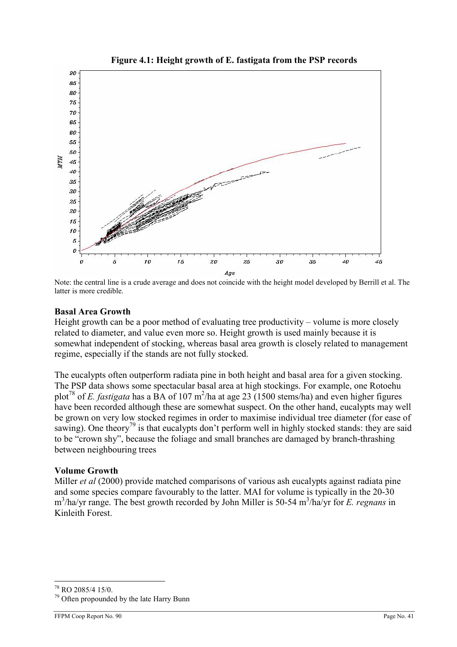

Figure 4.1: Height growth of E. fastigata from the PSP records

Note: the central line is a crude average and does not coincide with the height model developed by Berrill et al. The latter is more credible.

### Basal Area Growth

Height growth can be a poor method of evaluating tree productivity – volume is more closely related to diameter, and value even more so. Height growth is used mainly because it is somewhat independent of stocking, whereas basal area growth is closely related to management regime, especially if the stands are not fully stocked.

The eucalypts often outperform radiata pine in both height and basal area for a given stocking. The PSP data shows some spectacular basal area at high stockings. For example, one Rotoehu plot<sup>78</sup> of *E. fastigata* has a BA of 107 m<sup>2</sup>/ha at age 23 (1500 stems/ha) and even higher figures have been recorded although these are somewhat suspect. On the other hand, eucalypts may well be grown on very low stocked regimes in order to maximise individual tree diameter (for ease of sawing). One theory<sup>79</sup> is that eucalypts don't perform well in highly stocked stands: they are said to be "crown shy", because the foliage and small branches are damaged by branch-thrashing between neighbouring trees

# Volume Growth

Miller *et al* (2000) provide matched comparisons of various ash eucalypts against radiata pine and some species compare favourably to the latter. MAI for volume is typically in the 20-30 m<sup>3</sup>/ha/yr range. The best growth recorded by John Miller is 50-54 m<sup>3</sup>/ha/yr for *E. regnans* in Kinleith Forest.

 $\overline{a}$ <sup>78</sup> RO 2085/4 15/0.

<sup>&</sup>lt;sup>79</sup> Often propounded by the late Harry Bunn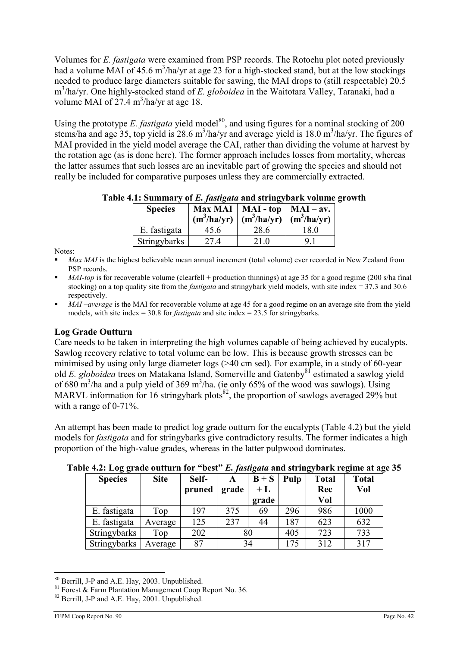Volumes for E. fastigata were examined from PSP records. The Rotoehu plot noted previously had a volume MAI of 45.6  $m^3$ /ha/yr at age 23 for a high-stocked stand, but at the low stockings needed to produce large diameters suitable for sawing, the MAI drops to (still respectable) 20.5 m<sup>3</sup>/ha/yr. One highly-stocked stand of E. globoidea in the Waitotara Valley, Taranaki, had a volume MAI of  $27.4 \text{ m}^3/\text{ha/yr}$  at age 18.

Using the prototype E. fastigata yield model<sup>80</sup>, and using figures for a nominal stocking of 200 stems/ha and age 35, top yield is 28.6 m<sup>3</sup>/ha/yr and average yield is 18.0 m<sup>3</sup>/ha/yr. The figures of MAI provided in the yield model average the CAI, rather than dividing the volume at harvest by the rotation age (as is done here). The former approach includes losses from mortality, whereas the latter assumes that such losses are an inevitable part of growing the species and should not really be included for comparative purposes unless they are commercially extracted.

| <b>Species</b> | $(m^3/ha/yr)$ | Max MAI   MAI - top   MAI - av.<br>$\left  \frac{m^3}{h a/yr} \right  \frac{m^3}{h a/yr}$ |      |
|----------------|---------------|-------------------------------------------------------------------------------------------|------|
| E. fastigata   | 45.6          | 28.6                                                                                      | 18.0 |
| Stringybarks   | 27.4          | 21 0                                                                                      | Q    |

Table 4.1: Summary of E. fastigata and stringybark volume growth

Notes:

- Max MAI is the highest believable mean annual increment (total volume) ever recorded in New Zealand from PSP records.
- MAI-top is for recoverable volume (clearfell + production thinnings) at age 35 for a good regime (200 s/ha final stocking) on a top quality site from the *fastigata* and stringybark yield models, with site index = 37.3 and 30.6 respectively.
- MAI –average is the MAI for recoverable volume at age 45 for a good regime on an average site from the yield models, with site index = 30.8 for *fastigata* and site index = 23.5 for stringybarks.

# Log Grade Outturn

Care needs to be taken in interpreting the high volumes capable of being achieved by eucalypts. Sawlog recovery relative to total volume can be low. This is because growth stresses can be minimised by using only large diameter logs (>40 cm sed). For example, in a study of 60-year old E. globoidea trees on Matakana Island, Somerville and Gatenby<sup>81</sup> estimated a sawlog yield of 680 m<sup>3</sup>/ha and a pulp yield of 369 m<sup>3</sup>/ha. (ie only 65% of the wood was sawlogs). Using MARVL information for 16 stringybark plots $^{82}$ , the proportion of sawlogs averaged 29% but with a range of 0-71%.

An attempt has been made to predict log grade outturn for the eucalypts (Table 4.2) but the yield models for fastigata and for stringybarks give contradictory results. The former indicates a high proportion of the high-value grades, whereas in the latter pulpwood dominates.

| <b>Species</b> | <b>Site</b> | Self-<br>pruned | grade | $B + S$<br>$+L$<br>grade | Pulp | <b>Total</b><br>Rec<br>Vol | <b>Total</b><br>Vol |
|----------------|-------------|-----------------|-------|--------------------------|------|----------------------------|---------------------|
| E. fastigata   | Top         | 197             | 375   | 69                       | 296  | 986                        | 1000                |
| E. fastigata   | Average     | 125             | 237   | 44                       | 187  | 623                        | 632                 |
| Stringybarks   | Top         | 202             | 80    |                          | 405  | 723                        | 733                 |
| Stringybarks   | Average     | 87              | 34    |                          | 175  | 312                        | 317                 |

# Table 4.2: Log grade outturn for "best" E. fastigata and string whark regime at age 35

 $\overline{a}$ <sup>80</sup> Berrill, J-P and A.E. Hay, 2003. Unpublished.

 $81$  Forest & Farm Plantation Management Coop Report No. 36.

<sup>&</sup>lt;sup>82</sup> Berrill, J-P and A.E. Hay, 2001. Unpublished.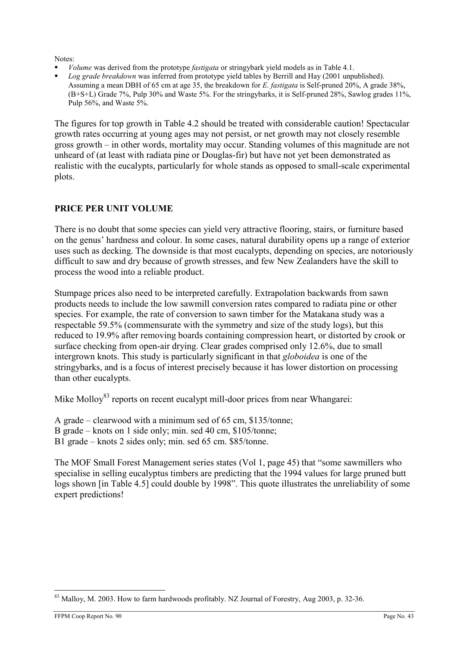Notes:

- Volume was derived from the prototype fastigata or stringybark yield models as in Table 4.1.
- Log grade breakdown was inferred from prototype yield tables by Berrill and Hay (2001 unpublished). Assuming a mean DBH of 65 cm at age 35, the breakdown for E. fastigata is Self-pruned 20%, A grade 38%, (B+S+L) Grade 7%, Pulp 30% and Waste 5%. For the stringybarks, it is Self-pruned 28%, Sawlog grades 11%, Pulp 56%, and Waste 5%.

The figures for top growth in Table 4.2 should be treated with considerable caution! Spectacular growth rates occurring at young ages may not persist, or net growth may not closely resemble gross growth – in other words, mortality may occur. Standing volumes of this magnitude are not unheard of (at least with radiata pine or Douglas-fir) but have not yet been demonstrated as realistic with the eucalypts, particularly for whole stands as opposed to small-scale experimental plots.

# PRICE PER UNIT VOLUME

There is no doubt that some species can yield very attractive flooring, stairs, or furniture based on the genus' hardness and colour. In some cases, natural durability opens up a range of exterior uses such as decking. The downside is that most eucalypts, depending on species, are notoriously difficult to saw and dry because of growth stresses, and few New Zealanders have the skill to process the wood into a reliable product.

Stumpage prices also need to be interpreted carefully. Extrapolation backwards from sawn products needs to include the low sawmill conversion rates compared to radiata pine or other species. For example, the rate of conversion to sawn timber for the Matakana study was a respectable 59.5% (commensurate with the symmetry and size of the study logs), but this reduced to 19.9% after removing boards containing compression heart, or distorted by crook or surface checking from open-air drying. Clear grades comprised only 12.6%, due to small intergrown knots. This study is particularly significant in that *globoidea* is one of the stringybarks, and is a focus of interest precisely because it has lower distortion on processing than other eucalypts.

Mike Molloy<sup>83</sup> reports on recent eucalypt mill-door prices from near Whangarei:

- A grade clearwood with a minimum sed of 65 cm, \$135/tonne;
- B grade knots on 1 side only; min. sed 40 cm, \$105/tonne;
- B1 grade knots 2 sides only; min. sed 65 cm. \$85/tonne.

The MOF Small Forest Management series states (Vol 1, page 45) that "some sawmillers who specialise in selling eucalyptus timbers are predicting that the 1994 values for large pruned butt logs shown [in Table 4.5] could double by 1998". This quote illustrates the unreliability of some expert predictions!

 $\overline{a}$ <sup>83</sup> Malloy, M. 2003. How to farm hardwoods profitably. NZ Journal of Forestry, Aug 2003, p. 32-36.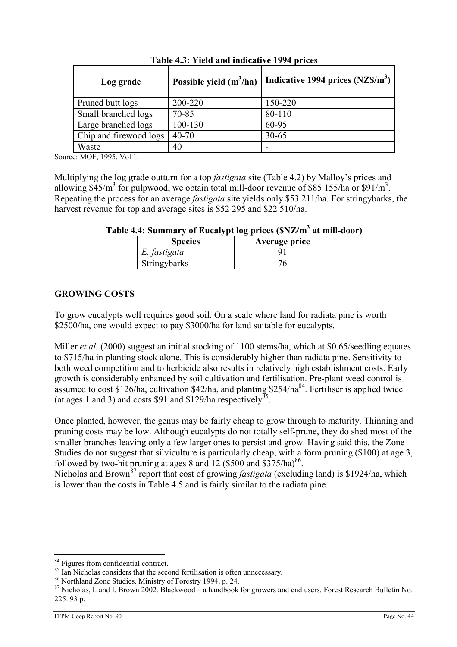| Log grade              | Possible yield $(m^3/ha)$ | Indicative 1994 prices $(NZ\$ {S/m}^3) |
|------------------------|---------------------------|----------------------------------------|
| Pruned butt logs       | 200-220                   | 150-220                                |
| Small branched logs    | 70-85                     | 80-110                                 |
| Large branched logs    | 100-130                   | 60-95                                  |
| Chip and firewood logs | $40 - 70$                 | $30 - 65$                              |
| Waste                  | 40                        |                                        |

Table 4.3: Yield and indicative 1994 prices

Source: MOF, 1995. Vol 1.

Multiplying the log grade outturn for a top *fastigata* site (Table 4.2) by Malloy's prices and allowing  $$45/m^3$  for pulpwood, we obtain total mill-door revenue of \$85 155/ha or \$91/m<sup>3</sup>. Repeating the process for an average *fastigata* site yields only \$53 211/ha. For string wharks, the harvest revenue for top and average sites is \$52 295 and \$22 510/ha.

| Table 4.4: Summary of Eucalypt log prices (\$NZ/m <sup>3</sup> at mill-door) |  |  |
|------------------------------------------------------------------------------|--|--|
|                                                                              |  |  |

| <b>Species</b> | Average price |
|----------------|---------------|
| E. fastigata   |               |
| Stringybarks   |               |

# GROWING COSTS

To grow eucalypts well requires good soil. On a scale where land for radiata pine is worth \$2500/ha, one would expect to pay \$3000/ha for land suitable for eucalypts.

Miller *et al.* (2000) suggest an initial stocking of 1100 stems/ha, which at \$0.65/seedling equates to \$715/ha in planting stock alone. This is considerably higher than radiata pine. Sensitivity to both weed competition and to herbicide also results in relatively high establishment costs. Early growth is considerably enhanced by soil cultivation and fertilisation. Pre-plant weed control is assumed to cost \$126/ha, cultivation \$42/ha, and planting \$254/ha<sup>84</sup>. Fertiliser is applied twice (at ages 1 and 3) and costs \$91 and \$129/ha respectively<sup>85</sup>.

Once planted, however, the genus may be fairly cheap to grow through to maturity. Thinning and pruning costs may be low. Although eucalypts do not totally self-prune, they do shed most of the smaller branches leaving only a few larger ones to persist and grow. Having said this, the Zone Studies do not suggest that silviculture is particularly cheap, with a form pruning (\$100) at age 3, followed by two-hit pruning at ages 8 and 12  $(\$500$  and  $\$375/ha)$ <sup>86</sup>.

Nicholas and Brown<sup>87</sup> report that cost of growing *fastigata* (excluding land) is \$1924/ha, which is lower than the costs in Table 4.5 and is fairly similar to the radiata pine.

 $\overline{a}$ <sup>84</sup> Figures from confidential contract.

<sup>&</sup>lt;sup>85</sup> Ian Nicholas considers that the second fertilisation is often unnecessary.

<sup>86</sup> Northland Zone Studies. Ministry of Forestry 1994, p. 24.

<sup>&</sup>lt;sup>87</sup> Nicholas, I. and I. Brown 2002. Blackwood – a handbook for growers and end users. Forest Research Bulletin No. 225. 93 p.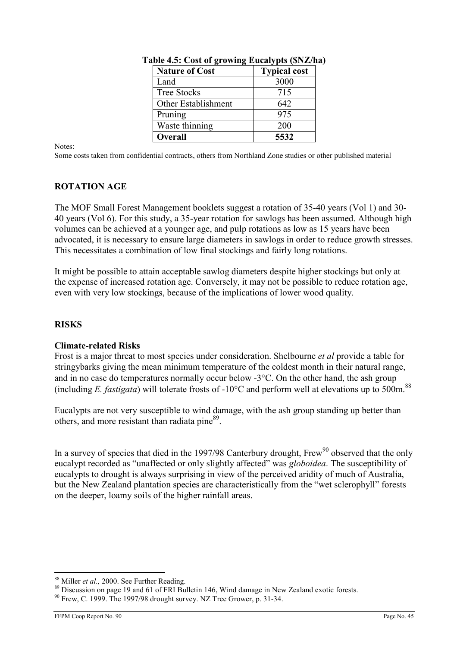| <b>Nature of Cost</b> | <b>Typical cost</b> |
|-----------------------|---------------------|
| Land                  | 3000                |
| <b>Tree Stocks</b>    | 715                 |
| Other Establishment   | 642                 |
| Pruning               | 975                 |
| Waste thinning        | 200                 |
| <b>Overall</b>        | 5532                |

Table 4.5: Cost of growing Eucalypts (\$NZ/ha)

Notes:

Some costs taken from confidential contracts, others from Northland Zone studies or other published material

# ROTATION AGE

The MOF Small Forest Management booklets suggest a rotation of 35-40 years (Vol 1) and 30- 40 years (Vol 6). For this study, a 35-year rotation for sawlogs has been assumed. Although high volumes can be achieved at a younger age, and pulp rotations as low as 15 years have been advocated, it is necessary to ensure large diameters in sawlogs in order to reduce growth stresses. This necessitates a combination of low final stockings and fairly long rotations.

It might be possible to attain acceptable sawlog diameters despite higher stockings but only at the expense of increased rotation age. Conversely, it may not be possible to reduce rotation age, even with very low stockings, because of the implications of lower wood quality.

# **RISKS**

# Climate-related Risks

Frost is a major threat to most species under consideration. Shelbourne et al provide a table for stringybarks giving the mean minimum temperature of the coldest month in their natural range, and in no case do temperatures normally occur below -3°C. On the other hand, the ash group (including E. fastigata) will tolerate frosts of -10°C and perform well at elevations up to 500m.<sup>88</sup>

Eucalypts are not very susceptible to wind damage, with the ash group standing up better than others, and more resistant than radiata pine<sup>89</sup>.

In a survey of species that died in the 1997/98 Canterbury drought, Frew<sup>90</sup> observed that the only eucalypt recorded as "unaffected or only slightly affected" was globoidea. The susceptibility of eucalypts to drought is always surprising in view of the perceived aridity of much of Australia, but the New Zealand plantation species are characteristically from the "wet sclerophyll" forests on the deeper, loamy soils of the higher rainfall areas.

 $\overline{a}$ <sup>88</sup> Miller et al., 2000. See Further Reading.

<sup>&</sup>lt;sup>89</sup> Discussion on page 19 and 61 of FRI Bulletin 146, Wind damage in New Zealand exotic forests.

 $90$  Frew, C. 1999. The 1997/98 drought survey. NZ Tree Grower, p. 31-34.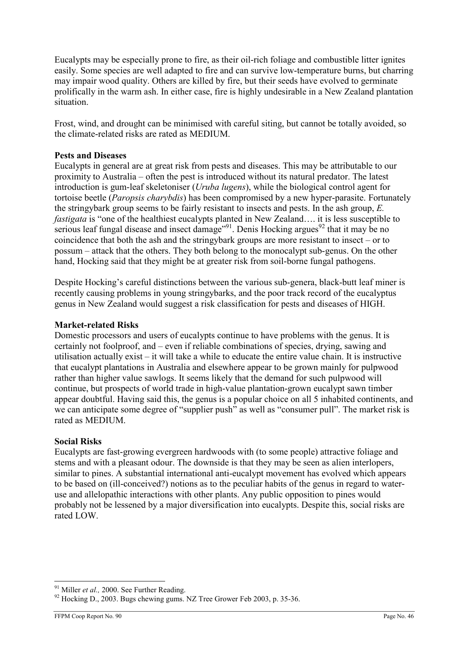Eucalypts may be especially prone to fire, as their oil-rich foliage and combustible litter ignites easily. Some species are well adapted to fire and can survive low-temperature burns, but charring may impair wood quality. Others are killed by fire, but their seeds have evolved to germinate prolifically in the warm ash. In either case, fire is highly undesirable in a New Zealand plantation situation.

Frost, wind, and drought can be minimised with careful siting, but cannot be totally avoided, so the climate-related risks are rated as MEDIUM.

### Pests and Diseases

Eucalypts in general are at great risk from pests and diseases. This may be attributable to our proximity to Australia – often the pest is introduced without its natural predator. The latest introduction is gum-leaf skeletoniser (Uruba lugens), while the biological control agent for tortoise beetle (Paropsis charybdis) has been compromised by a new hyper-parasite. Fortunately the stringybark group seems to be fairly resistant to insects and pests. In the ash group, E. fastigata is "one of the healthiest eucalypts planted in New Zealand…. it is less susceptible to serious leaf fungal disease and insect damage<sup>"91</sup>. Denis Hocking argues<sup>92</sup> that it may be no coincidence that both the ash and the stringybark groups are more resistant to insect – or to possum – attack that the others. They both belong to the monocalypt sub-genus. On the other hand, Hocking said that they might be at greater risk from soil-borne fungal pathogens.

Despite Hocking's careful distinctions between the various sub-genera, black-butt leaf miner is recently causing problems in young stringybarks, and the poor track record of the eucalyptus genus in New Zealand would suggest a risk classification for pests and diseases of HIGH.

#### Market-related Risks

Domestic processors and users of eucalypts continue to have problems with the genus. It is certainly not foolproof, and – even if reliable combinations of species, drying, sawing and utilisation actually exist – it will take a while to educate the entire value chain. It is instructive that eucalypt plantations in Australia and elsewhere appear to be grown mainly for pulpwood rather than higher value sawlogs. It seems likely that the demand for such pulpwood will continue, but prospects of world trade in high-value plantation-grown eucalypt sawn timber appear doubtful. Having said this, the genus is a popular choice on all 5 inhabited continents, and we can anticipate some degree of "supplier push" as well as "consumer pull". The market risk is rated as MEDIUM.

#### Social Risks

Eucalypts are fast-growing evergreen hardwoods with (to some people) attractive foliage and stems and with a pleasant odour. The downside is that they may be seen as alien interlopers, similar to pines. A substantial international anti-eucalypt movement has evolved which appears to be based on (ill-conceived?) notions as to the peculiar habits of the genus in regard to wateruse and allelopathic interactions with other plants. Any public opposition to pines would probably not be lessened by a major diversification into eucalypts. Despite this, social risks are rated LOW.

 $\overline{a}$  $91$  Miller *et al.*, 2000. See Further Reading.

<sup>&</sup>lt;sup>92</sup> Hocking D., 2003. Bugs chewing gums. NZ Tree Grower Feb 2003, p. 35-36.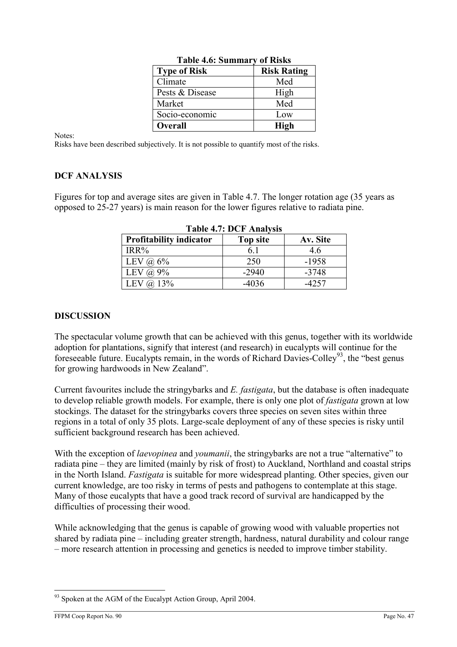| <b>Type of Risk</b> | <b>Risk Rating</b> |
|---------------------|--------------------|
| Climate             | Med                |
| Pests & Disease     | High               |
| Market              | Med                |
| Socio-economic      | Low                |
| <b>Overall</b>      | <b>High</b>        |

Table 4.6: Summary of Risks

Notes:

Risks have been described subjectively. It is not possible to quantify most of the risks.

# DCF ANALYSIS

Figures for top and average sites are given in Table 4.7. The longer rotation age (35 years as opposed to 25-27 years) is main reason for the lower figures relative to radiata pine.

| LAVIU 7.7. DUT AHAIYSIS        |          |          |  |  |
|--------------------------------|----------|----------|--|--|
| <b>Profitability indicator</b> | Top site | Av. Site |  |  |
| $IRR\%$                        |          | 4.6      |  |  |
| LEV $\omega$ 6%                | 250      | $-1958$  |  |  |
| LEV<br>$(a) 9\%$               | $-2940$  | $-3748$  |  |  |
| $@.13\%$<br>∸ Ev⊹              | $-4036$  | -4257    |  |  |

Table 4.7: DCF Analysis

### **DISCUSSION**

The spectacular volume growth that can be achieved with this genus, together with its worldwide adoption for plantations, signify that interest (and research) in eucalypts will continue for the foreseeable future. Eucalypts remain, in the words of Richard Davies-Colley<sup>93</sup>, the "best genus for growing hardwoods in New Zealand".

Current favourites include the string vbarks and  $E$ . *fastigata*, but the database is often inadequate to develop reliable growth models. For example, there is only one plot of fastigata grown at low stockings. The dataset for the stringybarks covers three species on seven sites within three regions in a total of only 35 plots. Large-scale deployment of any of these species is risky until sufficient background research has been achieved.

With the exception of *laevopinea* and *youmanii*, the stringybarks are not a true "alternative" to radiata pine – they are limited (mainly by risk of frost) to Auckland, Northland and coastal strips in the North Island. Fastigata is suitable for more widespread planting. Other species, given our current knowledge, are too risky in terms of pests and pathogens to contemplate at this stage. Many of those eucalypts that have a good track record of survival are handicapped by the difficulties of processing their wood.

While acknowledging that the genus is capable of growing wood with valuable properties not shared by radiata pine – including greater strength, hardness, natural durability and colour range – more research attention in processing and genetics is needed to improve timber stability.

<sup>&</sup>lt;sup>93</sup> Spoken at the AGM of the Eucalypt Action Group, April 2004.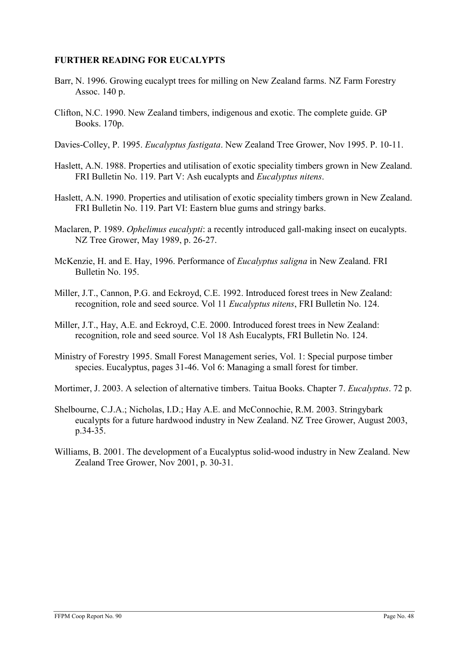## FURTHER READING FOR EUCALYPTS

- Barr, N. 1996. Growing eucalypt trees for milling on New Zealand farms. NZ Farm Forestry Assoc. 140 p.
- Clifton, N.C. 1990. New Zealand timbers, indigenous and exotic. The complete guide. GP Books. 170p.
- Davies-Colley, P. 1995. *Eucalyptus fastigata*. New Zealand Tree Grower, Nov 1995. P. 10-11.
- Haslett, A.N. 1988. Properties and utilisation of exotic speciality timbers grown in New Zealand. FRI Bulletin No. 119. Part V: Ash eucalypts and *Eucalyptus nitens*.
- Haslett, A.N. 1990. Properties and utilisation of exotic speciality timbers grown in New Zealand. FRI Bulletin No. 119. Part VI: Eastern blue gums and stringy barks.
- Maclaren, P. 1989. *Ophelimus eucalypti*: a recently introduced gall-making insect on eucalypts. NZ Tree Grower, May 1989, p. 26-27.
- McKenzie, H. and E. Hay, 1996. Performance of Eucalyptus saligna in New Zealand. FRI Bulletin No. 195.
- Miller, J.T., Cannon, P.G. and Eckroyd, C.E. 1992. Introduced forest trees in New Zealand: recognition, role and seed source. Vol 11 Eucalyptus nitens, FRI Bulletin No. 124.
- Miller, J.T., Hay, A.E. and Eckroyd, C.E. 2000. Introduced forest trees in New Zealand: recognition, role and seed source. Vol 18 Ash Eucalypts, FRI Bulletin No. 124.
- Ministry of Forestry 1995. Small Forest Management series, Vol. 1: Special purpose timber species. Eucalyptus, pages 31-46. Vol 6: Managing a small forest for timber.
- Mortimer, J. 2003. A selection of alternative timbers. Taitua Books. Chapter 7. *Eucalyptus*. 72 p.
- Shelbourne, C.J.A.; Nicholas, I.D.; Hay A.E. and McConnochie, R.M. 2003. Stringybark eucalypts for a future hardwood industry in New Zealand. NZ Tree Grower, August 2003, p.34-35.
- Williams, B. 2001. The development of a Eucalyptus solid-wood industry in New Zealand. New Zealand Tree Grower, Nov 2001, p. 30-31.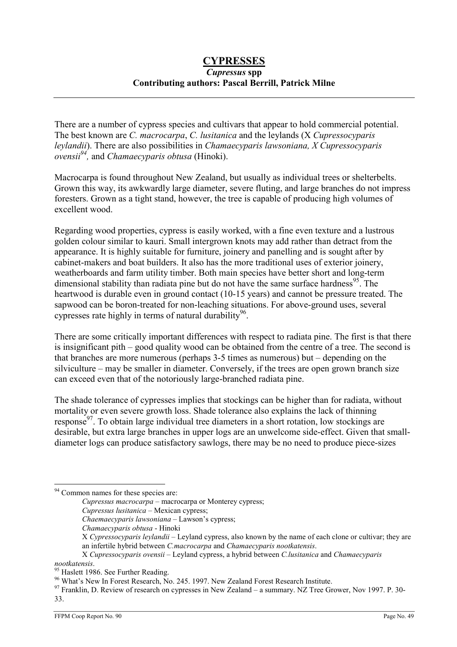## **CYPRESSES** Cupressus spp Contributing authors: Pascal Berrill, Patrick Milne

There are a number of cypress species and cultivars that appear to hold commercial potential. The best known are C. macrocarpa, C. lusitanica and the leylands (X Cupressocyparis leylandii). There are also possibilities in Chamaecyparis lawsoniana, X Cupressocyparis *ovensii*<sup>94</sup>, and *Chamaecyparis obtusa* (Hinoki).

Macrocarpa is found throughout New Zealand, but usually as individual trees or shelterbelts. Grown this way, its awkwardly large diameter, severe fluting, and large branches do not impress foresters. Grown as a tight stand, however, the tree is capable of producing high volumes of excellent wood.

Regarding wood properties, cypress is easily worked, with a fine even texture and a lustrous golden colour similar to kauri. Small intergrown knots may add rather than detract from the appearance. It is highly suitable for furniture, joinery and panelling and is sought after by cabinet-makers and boat builders. It also has the more traditional uses of exterior joinery, weatherboards and farm utility timber. Both main species have better short and long-term dimensional stability than radiata pine but do not have the same surface hardness<sup>95</sup>. The heartwood is durable even in ground contact (10-15 years) and cannot be pressure treated. The sapwood can be boron-treated for non-leaching situations. For above-ground uses, several cypresses rate highly in terms of natural durability<sup>96</sup>.

There are some critically important differences with respect to radiata pine. The first is that there is insignificant pith – good quality wood can be obtained from the centre of a tree. The second is that branches are more numerous (perhaps 3-5 times as numerous) but – depending on the silviculture – may be smaller in diameter. Conversely, if the trees are open grown branch size can exceed even that of the notoriously large-branched radiata pine.

The shade tolerance of cypresses implies that stockings can be higher than for radiata, without mortality or even severe growth loss. Shade tolerance also explains the lack of thinning response<sup>97</sup>. To obtain large individual tree diameters in a short rotation, low stockings are desirable, but extra large branches in upper logs are an unwelcome side-effect. Given that smalldiameter logs can produce satisfactory sawlogs, there may be no need to produce piece-sizes

- Cupressus lusitanica Mexican cypress;
- Chaemaecyparis lawsoniana Lawson's cypress;

<sup>&</sup>lt;sup>94</sup> Common names for these species are:

Cupressus macrocarpa – macrocarpa or Monterey cypress;

Chamaecyparis obtusa - Hinoki

X Cypressocyparis leylandii – Leyland cypress, also known by the name of each clone or cultivar; they are an infertile hybrid between C.macrocarpa and Chamaecyparis nootkatensis.

X Cupressocyparis ovensii – Leyland cypress, a hybrid between C.lusitanica and Chamaecyparis

nootkatensis.

<sup>&</sup>lt;sup>95</sup> Haslett 1986. See Further Reading.

<sup>&</sup>lt;sup>96</sup> What's New In Forest Research, No. 245. 1997. New Zealand Forest Research Institute.

<sup>&</sup>lt;sup>97</sup> Franklin, D. Review of research on cypresses in New Zealand – a summary. NZ Tree Grower, Nov 1997. P. 30-33.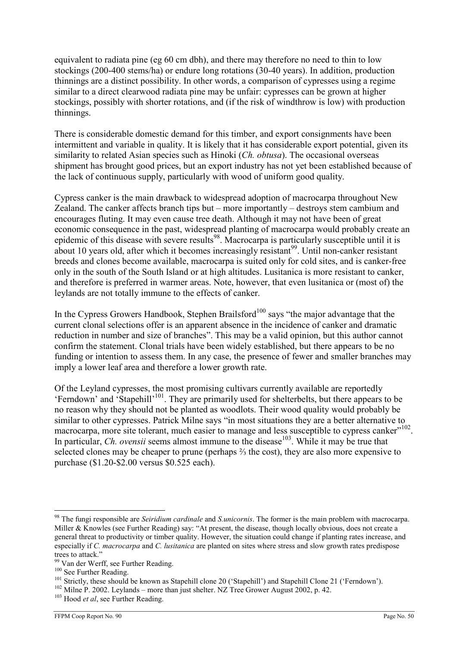equivalent to radiata pine (eg 60 cm dbh), and there may therefore no need to thin to low stockings (200-400 stems/ha) or endure long rotations (30-40 years). In addition, production thinnings are a distinct possibility. In other words, a comparison of cypresses using a regime similar to a direct clearwood radiata pine may be unfair: cypresses can be grown at higher stockings, possibly with shorter rotations, and (if the risk of windthrow is low) with production thinnings.

There is considerable domestic demand for this timber, and export consignments have been intermittent and variable in quality. It is likely that it has considerable export potential, given its similarity to related Asian species such as Hinoki *(Ch. obtusa)*. The occasional overseas shipment has brought good prices, but an export industry has not yet been established because of the lack of continuous supply, particularly with wood of uniform good quality.

Cypress canker is the main drawback to widespread adoption of macrocarpa throughout New Zealand. The canker affects branch tips but – more importantly – destroys stem cambium and encourages fluting. It may even cause tree death. Although it may not have been of great economic consequence in the past, widespread planting of macrocarpa would probably create an epidemic of this disease with severe results<sup>98</sup>. Macrocarpa is particularly susceptible until it is about 10 years old, after which it becomes increasingly resistant<sup>99</sup>. Until non-canker resistant breeds and clones become available, macrocarpa is suited only for cold sites, and is canker-free only in the south of the South Island or at high altitudes. Lusitanica is more resistant to canker, and therefore is preferred in warmer areas. Note, however, that even lusitanica or (most of) the leylands are not totally immune to the effects of canker.

In the Cypress Growers Handbook, Stephen Brailsford<sup>100</sup> says "the major advantage that the current clonal selections offer is an apparent absence in the incidence of canker and dramatic reduction in number and size of branches". This may be a valid opinion, but this author cannot confirm the statement. Clonal trials have been widely established, but there appears to be no funding or intention to assess them. In any case, the presence of fewer and smaller branches may imply a lower leaf area and therefore a lower growth rate.

Of the Leyland cypresses, the most promising cultivars currently available are reportedly 'Ferndown' and 'Stapehill'<sup>101</sup>. They are primarily used for shelterbelts, but there appears to be no reason why they should not be planted as woodlots. Their wood quality would probably be similar to other cypresses. Patrick Milne says "in most situations they are a better alternative to macrocarpa, more site tolerant, much easier to manage and less susceptible to cypress canker"<sup>102</sup>. In particular, *Ch. ovensii* seems almost immune to the disease<sup>103</sup>. While it may be true that selected clones may be cheaper to prune (perhaps ⅔ the cost), they are also more expensive to purchase (\$1.20-\$2.00 versus \$0.525 each).

 $\overline{a}$ <sup>98</sup> The fungi responsible are Seiridium cardinale and S.unicornis. The former is the main problem with macrocarpa. Miller & Knowles (see Further Reading) say: "At present, the disease, though locally obvious, does not create a general threat to productivity or timber quality. However, the situation could change if planting rates increase, and especially if C. macrocarpa and C. lusitanica are planted on sites where stress and slow growth rates predispose trees to attack."

<sup>99</sup> Van der Werff, see Further Reading.

<sup>&</sup>lt;sup>100</sup> See Further Reading.

<sup>&</sup>lt;sup>101</sup> Strictly, these should be known as Stapehill clone 20 ('Stapehill') and Stapehill Clone 21 ('Ferndown').

 $102$  Milne P. 2002. Leylands – more than just shelter. NZ Tree Grower August 2002, p. 42.

 $103$  Hood *et al*, see Further Reading.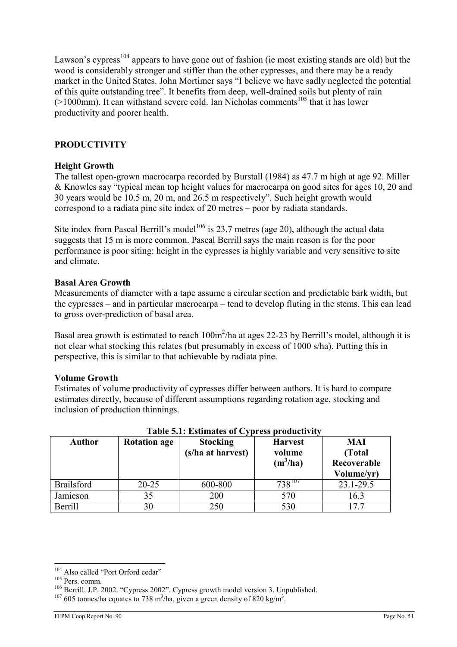Lawson's cypress<sup>104</sup> appears to have gone out of fashion (ie most existing stands are old) but the wood is considerably stronger and stiffer than the other cypresses, and there may be a ready market in the United States. John Mortimer says "I believe we have sadly neglected the potential of this quite outstanding tree". It benefits from deep, well-drained soils but plenty of rain  $(>1000$ mm). It can withstand severe cold. Ian Nicholas comments<sup>105</sup> that it has lower productivity and poorer health.

# PRODUCTIVITY

# Height Growth

The tallest open-grown macrocarpa recorded by Burstall (1984) as 47.7 m high at age 92. Miller & Knowles say "typical mean top height values for macrocarpa on good sites for ages 10, 20 and 30 years would be 10.5 m, 20 m, and 26.5 m respectively". Such height growth would correspond to a radiata pine site index of 20 metres – poor by radiata standards.

Site index from Pascal Berrill's model<sup>106</sup> is 23.7 metres (age 20), although the actual data suggests that 15 m is more common. Pascal Berrill says the main reason is for the poor performance is poor siting: height in the cypresses is highly variable and very sensitive to site and climate.

### Basal Area Growth

Measurements of diameter with a tape assume a circular section and predictable bark width, but the cypresses – and in particular macrocarpa – tend to develop fluting in the stems. This can lead to gross over-prediction of basal area.

Basal area growth is estimated to reach  $100m^2/h$ a at ages 22-23 by Berrill's model, although it is not clear what stocking this relates (but presumably in excess of 1000 s/ha). Putting this in perspective, this is similar to that achievable by radiata pine.

#### Volume Growth

Estimates of volume productivity of cypresses differ between authors. It is hard to compare estimates directly, because of different assumptions regarding rotation age, stocking and inclusion of production thinnings.

| <b>Author</b>     | <b>Rotation age</b> | <b>Stocking</b>   | <b>Harvest</b> | MAI         |
|-------------------|---------------------|-------------------|----------------|-------------|
|                   |                     | (s/ha at harvest) | volume         | (Total)     |
|                   |                     |                   | $(m^3/ha)$     | Recoverable |
|                   |                     |                   |                | Volume/yr)  |
| <b>Brailsford</b> | $20 - 25$           | 600-800           | $738^{10}$     | 23.1-29.5   |
| Jamieson          | 35                  | 200               | 570            | 16.3        |
| <b>Berrill</b>    | 30                  | 250               | 530            | 177         |

# Table 5.1: Estimates of Cypress productivity

 $\overline{a}$ <sup>104</sup> Also called "Port Orford cedar"

<sup>105</sup> Pers. comm.

<sup>106</sup> Berrill, J.P. 2002. "Cypress 2002". Cypress growth model version 3. Unpublished.

 $107605$  tonnes/ha equates to 738 m<sup>3</sup>/ha, given a green density of 820 kg/m<sup>3</sup>.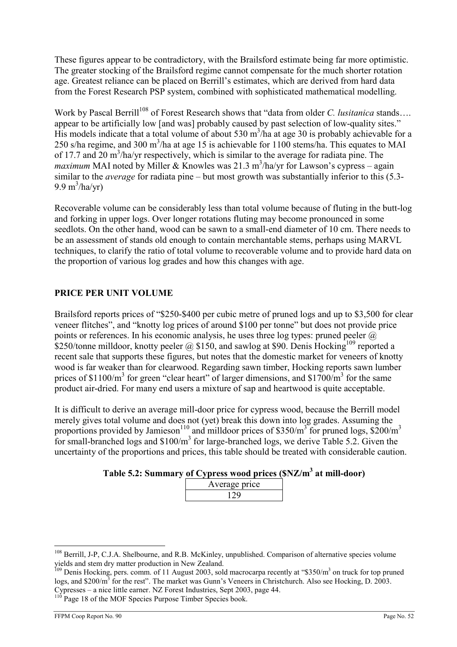These figures appear to be contradictory, with the Brailsford estimate being far more optimistic. The greater stocking of the Brailsford regime cannot compensate for the much shorter rotation age. Greatest reliance can be placed on Berrill's estimates, which are derived from hard data from the Forest Research PSP system, combined with sophisticated mathematical modelling.

Work by Pascal Berrill<sup>108</sup> of Forest Research shows that "data from older C. *lusitanica* stands.... appear to be artificially low [and was] probably caused by past selection of low-quality sites." His models indicate that a total volume of about 530  $m^3/ha$  at age 30 is probably achievable for a 250 s/ha regime, and 300 m<sup>3</sup>/ha at age 15 is achievable for 1100 stems/ha. This equates to MAI of 17.7 and 20  $\text{m}^3/\text{ha/yr}$  respectively, which is similar to the average for radiata pine. The *maximum* MAI noted by Miller & Knowles was 21.3 m<sup>3</sup>/ha/yr for Lawson's cypress – again similar to the average for radiata pine – but most growth was substantially inferior to this (5.3- 9.9 m<sup>3</sup>/ha/yr)

Recoverable volume can be considerably less than total volume because of fluting in the butt-log and forking in upper logs. Over longer rotations fluting may become pronounced in some seedlots. On the other hand, wood can be sawn to a small-end diameter of 10 cm. There needs to be an assessment of stands old enough to contain merchantable stems, perhaps using MARVL techniques, to clarify the ratio of total volume to recoverable volume and to provide hard data on the proportion of various log grades and how this changes with age.

# PRICE PER UNIT VOLUME

Brailsford reports prices of "\$250-\$400 per cubic metre of pruned logs and up to \$3,500 for clear veneer flitches", and "knotty log prices of around \$100 per tonne" but does not provide price points or references. In his economic analysis, he uses three log types: pruned peeler  $\omega$ \$250/tonne milldoor, knotty peeler @ \$150, and sawlog at \$90. Denis Hocking<sup>109</sup> reported a recent sale that supports these figures, but notes that the domestic market for veneers of knotty wood is far weaker than for clearwood. Regarding sawn timber, Hocking reports sawn lumber prices of \$1100/ $m<sup>3</sup>$  for green "clear heart" of larger dimensions, and \$1700/ $m<sup>3</sup>$  for the same product air-dried. For many end users a mixture of sap and heartwood is quite acceptable.

It is difficult to derive an average mill-door price for cypress wood, because the Berrill model merely gives total volume and does not (yet) break this down into log grades. Assuming the proportions provided by Jamieson<sup>110</sup> and milldoor prices of \$350/m<sup>3</sup> for pruned logs, \$200/m<sup>3</sup> for small-branched logs and  $$100/m<sup>3</sup>$  for large-branched logs, we derive Table 5.2. Given the uncertainty of the proportions and prices, this table should be treated with considerable caution.

| Table 5.2: Summary of Cypress wood prices (\$NZ/m <sup>3</sup> at mill-door) |  |  |  |  |
|------------------------------------------------------------------------------|--|--|--|--|
|------------------------------------------------------------------------------|--|--|--|--|

| Average price |  |
|---------------|--|
|               |  |

<sup>&</sup>lt;sup>108</sup> Berrill, J-P, C.J.A. Shelbourne, and R.B. McKinley, unpublished. Comparison of alternative species volume yields and stem dry matter production in New Zealand.

<sup>&</sup>lt;sup>109</sup> Denis Hocking, pers. comm. of 11 August 2003, sold macrocarpa recently at "\$350/m<sup>3</sup> on truck for top pruned logs, and \$200/m<sup>3</sup> for the rest". The market was Gunn's Veneers in Christchurch. Also see Hocking, D. 2003. Cypresses – a nice little earner. NZ Forest Industries, Sept 2003, page 44.

<sup>&</sup>lt;sup>110</sup> Page 18 of the MOF Species Purpose Timber Species book.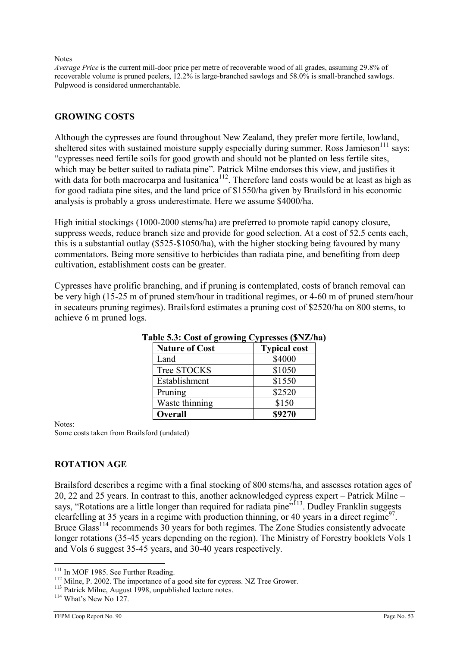#### **Notes**

Average Price is the current mill-door price per metre of recoverable wood of all grades, assuming 29.8% of recoverable volume is pruned peelers, 12.2% is large-branched sawlogs and 58.0% is small-branched sawlogs. Pulpwood is considered unmerchantable.

# GROWING COSTS

Although the cypresses are found throughout New Zealand, they prefer more fertile, lowland, sheltered sites with sustained moisture supply especially during summer. Ross Jamieson<sup>111</sup> says: "cypresses need fertile soils for good growth and should not be planted on less fertile sites, which may be better suited to radiata pine". Patrick Milne endorses this view, and justifies it with data for both macrocarpa and lusitanica<sup>112</sup>. Therefore land costs would be at least as high as for good radiata pine sites, and the land price of \$1550/ha given by Brailsford in his economic analysis is probably a gross underestimate. Here we assume \$4000/ha.

High initial stockings (1000-2000 stems/ha) are preferred to promote rapid canopy closure, suppress weeds, reduce branch size and provide for good selection. At a cost of 52.5 cents each, this is a substantial outlay (\$525-\$1050/ha), with the higher stocking being favoured by many commentators. Being more sensitive to herbicides than radiata pine, and benefiting from deep cultivation, establishment costs can be greater.

Cypresses have prolific branching, and if pruning is contemplated, costs of branch removal can be very high (15-25 m of pruned stem/hour in traditional regimes, or 4-60 m of pruned stem/hour in secateurs pruning regimes). Brailsford estimates a pruning cost of \$2520/ha on 800 stems, to achieve 6 m pruned logs.

| $\frac{1}{2}$         |                     |  |
|-----------------------|---------------------|--|
| <b>Nature of Cost</b> | <b>Typical cost</b> |  |
| Land                  | \$4000              |  |
| Tree STOCKS           | \$1050              |  |
| Establishment         | \$1550              |  |
| Pruning               | \$2520              |  |
| Waste thinning        | \$150               |  |
| <b>Overall</b>        | \$9270              |  |

# Table 5.3: Cost of growing Cypresses (\$NZ/ha)

Notes:

Some costs taken from Brailsford (undated)

# ROTATION AGE

Brailsford describes a regime with a final stocking of 800 stems/ha, and assesses rotation ages of 20, 22 and 25 years. In contrast to this, another acknowledged cypress expert – Patrick Milne – says, "Rotations are a little longer than required for radiata pine"<sup>113</sup>. Dudley Franklin suggests clearfelling at 35 years in a regime with production thinning, or 40 years in a direct regime<sup>97</sup>. Bruce Glass<sup>114</sup> recommends 30 years for both regimes. The Zone Studies consistently advocate longer rotations (35-45 years depending on the region). The Ministry of Forestry booklets Vols 1 and Vols 6 suggest 35-45 years, and 30-40 years respectively.

 $\overline{a}$ <sup>111</sup> In MOF 1985. See Further Reading.

<sup>&</sup>lt;sup>112</sup> Milne, P. 2002. The importance of a good site for cypress. NZ Tree Grower.

<sup>113</sup> Patrick Milne, August 1998, unpublished lecture notes.

 $114$  What's New No 127.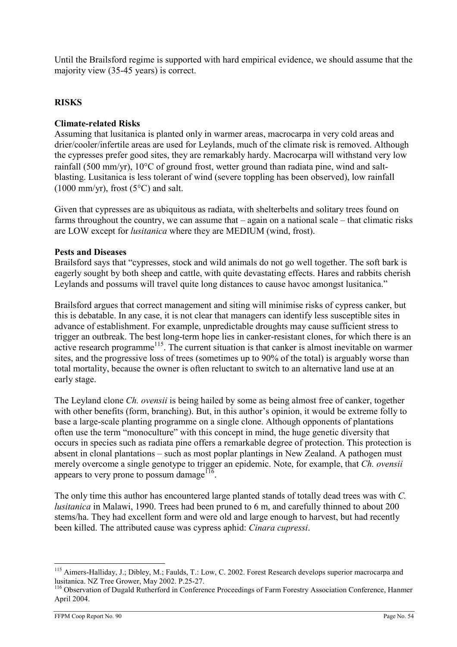Until the Brailsford regime is supported with hard empirical evidence, we should assume that the majority view (35-45 years) is correct.

# **RISKS**

# Climate-related Risks

Assuming that lusitanica is planted only in warmer areas, macrocarpa in very cold areas and drier/cooler/infertile areas are used for Leylands, much of the climate risk is removed. Although the cypresses prefer good sites, they are remarkably hardy. Macrocarpa will withstand very low rainfall (500 mm/yr), 10°C of ground frost, wetter ground than radiata pine, wind and saltblasting. Lusitanica is less tolerant of wind (severe toppling has been observed), low rainfall  $(1000 \text{ mm/yr})$ , frost  $(5^{\circ}$ C) and salt.

Given that cypresses are as ubiquitous as radiata, with shelterbelts and solitary trees found on farms throughout the country, we can assume that – again on a national scale – that climatic risks are LOW except for lusitanica where they are MEDIUM (wind, frost).

# Pests and Diseases

Brailsford says that "cypresses, stock and wild animals do not go well together. The soft bark is eagerly sought by both sheep and cattle, with quite devastating effects. Hares and rabbits cherish Leylands and possums will travel quite long distances to cause havoc amongst lusitanica."

Brailsford argues that correct management and siting will minimise risks of cypress canker, but this is debatable. In any case, it is not clear that managers can identify less susceptible sites in advance of establishment. For example, unpredictable droughts may cause sufficient stress to trigger an outbreak. The best long-term hope lies in canker-resistant clones, for which there is an active research programme<sup>115</sup>. The current situation is that canker is almost inevitable on warmer sites, and the progressive loss of trees (sometimes up to 90% of the total) is arguably worse than total mortality, because the owner is often reluctant to switch to an alternative land use at an early stage.

The Leyland clone *Ch. ovensii* is being hailed by some as being almost free of canker, together with other benefits (form, branching). But, in this author's opinion, it would be extreme folly to base a large-scale planting programme on a single clone. Although opponents of plantations often use the term "monoculture" with this concept in mind, the huge genetic diversity that occurs in species such as radiata pine offers a remarkable degree of protection. This protection is absent in clonal plantations – such as most poplar plantings in New Zealand. A pathogen must merely overcome a single genotype to trigger an epidemic. Note, for example, that Ch. ovensii appears to very prone to possum damage  $16$ .

The only time this author has encountered large planted stands of totally dead trees was with C. lusitanica in Malawi, 1990. Trees had been pruned to 6 m, and carefully thinned to about 200 stems/ha. They had excellent form and were old and large enough to harvest, but had recently been killed. The attributed cause was cypress aphid: Cinara cupressi.

 $\overline{a}$ <sup>115</sup> Aimers-Halliday, J.; Dibley, M.; Faulds, T.: Low, C. 2002. Forest Research develops superior macrocarpa and lusitanica. NZ Tree Grower, May 2002. P.25-27.

<sup>&</sup>lt;sup>116</sup> Observation of Dugald Rutherford in Conference Proceedings of Farm Forestry Association Conference, Hanmer April 2004.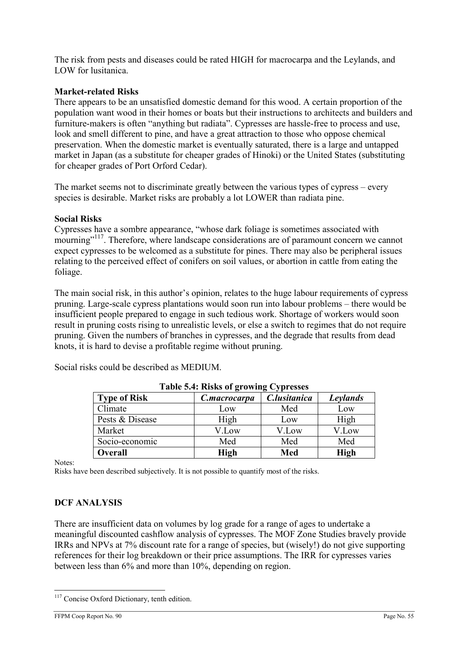The risk from pests and diseases could be rated HIGH for macrocarpa and the Leylands, and LOW for lusitanica.

# Market-related Risks

There appears to be an unsatisfied domestic demand for this wood. A certain proportion of the population want wood in their homes or boats but their instructions to architects and builders and furniture-makers is often "anything but radiata". Cypresses are hassle-free to process and use, look and smell different to pine, and have a great attraction to those who oppose chemical preservation. When the domestic market is eventually saturated, there is a large and untapped market in Japan (as a substitute for cheaper grades of Hinoki) or the United States (substituting for cheaper grades of Port Orford Cedar).

The market seems not to discriminate greatly between the various types of cypress – every species is desirable. Market risks are probably a lot LOWER than radiata pine.

#### Social Risks

Cypresses have a sombre appearance, "whose dark foliage is sometimes associated with mourning"<sup>117</sup>. Therefore, where landscape considerations are of paramount concern we cannot expect cypresses to be welcomed as a substitute for pines. There may also be peripheral issues relating to the perceived effect of conifers on soil values, or abortion in cattle from eating the foliage.

The main social risk, in this author's opinion, relates to the huge labour requirements of cypress pruning. Large-scale cypress plantations would soon run into labour problems – there would be insufficient people prepared to engage in such tedious work. Shortage of workers would soon result in pruning costs rising to unrealistic levels, or else a switch to regimes that do not require pruning. Given the numbers of branches in cypresses, and the degrade that results from dead knots, it is hard to devise a profitable regime without pruning.

| <b>Table 5.4: Risks of growing Cypresses</b>                           |             |       |             |  |  |
|------------------------------------------------------------------------|-------------|-------|-------------|--|--|
| C.lusitanica<br><b>Type of Risk</b><br><b>Leylands</b><br>C.macrocarpa |             |       |             |  |  |
| Climate                                                                | Low         | Med   | Low         |  |  |
| Pests & Disease                                                        | High        | Low   | High        |  |  |
| Market                                                                 | V.Low       | V.Low | V.Low       |  |  |
| Socio-economic                                                         | Med         | Med   | Med         |  |  |
| Overall                                                                | <b>High</b> | Med   | <b>High</b> |  |  |

Social risks could be described as MEDIUM.

Notes:

Risks have been described subjectively. It is not possible to quantify most of the risks.

# DCF ANALYSIS

There are insufficient data on volumes by log grade for a range of ages to undertake a meaningful discounted cashflow analysis of cypresses. The MOF Zone Studies bravely provide IRRs and NPVs at 7% discount rate for a range of species, but (wisely!) do not give supporting references for their log breakdown or their price assumptions. The IRR for cypresses varies between less than 6% and more than 10%, depending on region.

 $\overline{a}$ <sup>117</sup> Concise Oxford Dictionary, tenth edition.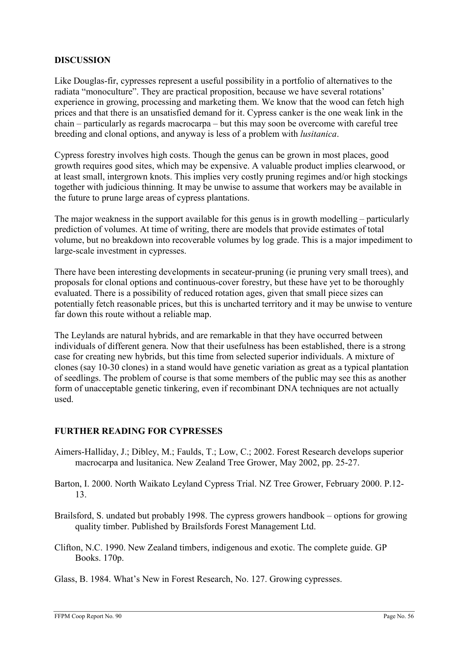# **DISCUSSION**

Like Douglas-fir, cypresses represent a useful possibility in a portfolio of alternatives to the radiata "monoculture". They are practical proposition, because we have several rotations' experience in growing, processing and marketing them. We know that the wood can fetch high prices and that there is an unsatisfied demand for it. Cypress canker is the one weak link in the chain – particularly as regards macrocarpa – but this may soon be overcome with careful tree breeding and clonal options, and anyway is less of a problem with lusitanica.

Cypress forestry involves high costs. Though the genus can be grown in most places, good growth requires good sites, which may be expensive. A valuable product implies clearwood, or at least small, intergrown knots. This implies very costly pruning regimes and/or high stockings together with judicious thinning. It may be unwise to assume that workers may be available in the future to prune large areas of cypress plantations.

The major weakness in the support available for this genus is in growth modelling – particularly prediction of volumes. At time of writing, there are models that provide estimates of total volume, but no breakdown into recoverable volumes by log grade. This is a major impediment to large-scale investment in cypresses.

There have been interesting developments in secateur-pruning (ie pruning very small trees), and proposals for clonal options and continuous-cover forestry, but these have yet to be thoroughly evaluated. There is a possibility of reduced rotation ages, given that small piece sizes can potentially fetch reasonable prices, but this is uncharted territory and it may be unwise to venture far down this route without a reliable map.

The Leylands are natural hybrids, and are remarkable in that they have occurred between individuals of different genera. Now that their usefulness has been established, there is a strong case for creating new hybrids, but this time from selected superior individuals. A mixture of clones (say 10-30 clones) in a stand would have genetic variation as great as a typical plantation of seedlings. The problem of course is that some members of the public may see this as another form of unacceptable genetic tinkering, even if recombinant DNA techniques are not actually used.

# FURTHER READING FOR CYPRESSES

- Aimers-Halliday, J.; Dibley, M.; Faulds, T.; Low, C.; 2002. Forest Research develops superior macrocarpa and lusitanica. New Zealand Tree Grower, May 2002, pp. 25-27.
- Barton, I. 2000. North Waikato Leyland Cypress Trial. NZ Tree Grower, February 2000. P.12- 13.
- Brailsford, S. undated but probably 1998. The cypress growers handbook options for growing quality timber. Published by Brailsfords Forest Management Ltd.
- Clifton, N.C. 1990. New Zealand timbers, indigenous and exotic. The complete guide. GP Books. 170p.
- Glass, B. 1984. What's New in Forest Research, No. 127. Growing cypresses.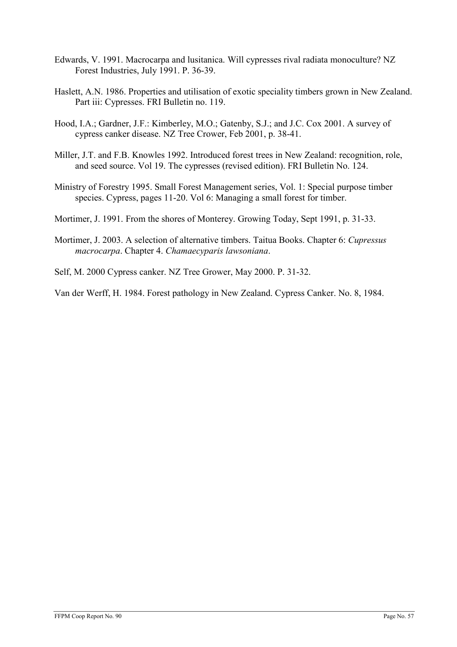- Edwards, V. 1991. Macrocarpa and lusitanica. Will cypresses rival radiata monoculture? NZ Forest Industries, July 1991. P. 36-39.
- Haslett, A.N. 1986. Properties and utilisation of exotic speciality timbers grown in New Zealand. Part iii: Cypresses. FRI Bulletin no. 119.
- Hood, I.A.; Gardner, J.F.: Kimberley, M.O.; Gatenby, S.J.; and J.C. Cox 2001. A survey of cypress canker disease. NZ Tree Crower, Feb 2001, p. 38-41.
- Miller, J.T. and F.B. Knowles 1992. Introduced forest trees in New Zealand: recognition, role, and seed source. Vol 19. The cypresses (revised edition). FRI Bulletin No. 124.
- Ministry of Forestry 1995. Small Forest Management series, Vol. 1: Special purpose timber species. Cypress, pages 11-20. Vol 6: Managing a small forest for timber.
- Mortimer, J. 1991. From the shores of Monterey. Growing Today, Sept 1991, p. 31-33.
- Mortimer, J. 2003. A selection of alternative timbers. Taitua Books. Chapter 6: Cupressus macrocarpa. Chapter 4. Chamaecyparis lawsoniana.
- Self, M. 2000 Cypress canker. NZ Tree Grower, May 2000. P. 31-32.

Van der Werff, H. 1984. Forest pathology in New Zealand. Cypress Canker. No. 8, 1984.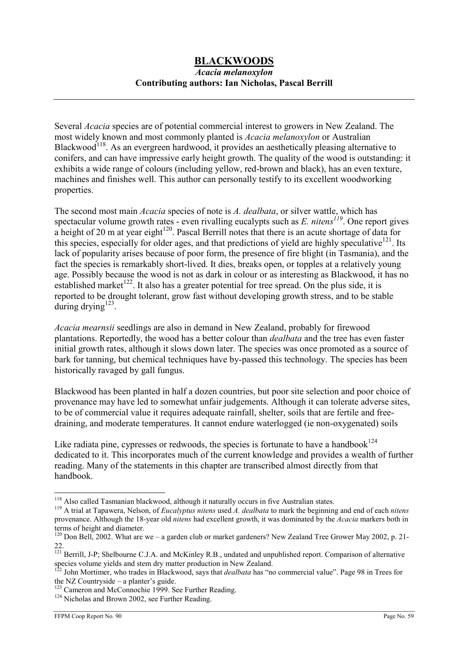# BLACKWOODS

### Acacia melanoxylon Contributing authors: Ian Nicholas, Pascal Berrill

Several Acacia species are of potential commercial interest to growers in New Zealand. The most widely known and most commonly planted is Acacia melanoxylon or Australian Blackwood<sup>118</sup>. As an evergreen hardwood, it provides an aesthetically pleasing alternative to conifers, and can have impressive early height growth. The quality of the wood is outstanding: it exhibits a wide range of colours (including yellow, red-brown and black), has an even texture, machines and finishes well. This author can personally testify to its excellent woodworking properties.

The second most main *Acacia* species of note is A. dealbata, or silver wattle, which has spectacular volume growth rates - even rivalling eucalypts such as E. nitens<sup>119</sup>. One report gives a height of 20 m at year eight $120$ . Pascal Berrill notes that there is an acute shortage of data for this species, especially for older ages, and that predictions of yield are highly speculative $121$ . Its lack of popularity arises because of poor form, the presence of fire blight (in Tasmania), and the fact the species is remarkably short-lived. It dies, breaks open, or topples at a relatively young age. Possibly because the wood is not as dark in colour or as interesting as Blackwood, it has no established market<sup>122</sup>. It also has a greater potential for tree spread. On the plus side, it is reported to be drought tolerant, grow fast without developing growth stress, and to be stable during drying $123$ .

Acacia mearnsii seedlings are also in demand in New Zealand, probably for firewood plantations. Reportedly, the wood has a better colour than dealbata and the tree has even faster initial growth rates, although it slows down later. The species was once promoted as a source of bark for tanning, but chemical techniques have by-passed this technology. The species has been historically ravaged by gall fungus.

Blackwood has been planted in half a dozen countries, but poor site selection and poor choice of provenance may have led to somewhat unfair judgements. Although it can tolerate adverse sites, to be of commercial value it requires adequate rainfall, shelter, soils that are fertile and freedraining, and moderate temperatures. It cannot endure waterlogged (ie non-oxygenated) soils

Like radiata pine, cypresses or redwoods, the species is fortunate to have a handbook $124$ dedicated to it. This incorporates much of the current knowledge and provides a wealth of further reading. Many of the statements in this chapter are transcribed almost directly from that handbook.

 $\overline{a}$ <sup>118</sup> Also called Tasmanian blackwood, although it naturally occurs in five Australian states.

<sup>&</sup>lt;sup>119</sup> A trial at Tapawera, Nelson, of *Eucalyptus nitens* used A. dealbata to mark the beginning and end of each nitens provenance. Although the 18-year old nitens had excellent growth, it was dominated by the Acacia markers both in terms of height and diameter.

 $120$  Don Bell, 2002. What are we – a garden club or market gardeners? New Zealand Tree Grower May 2002, p. 21-22.

<sup>&</sup>lt;sup>121</sup> Berrill, J-P; Shelbourne C.J.A. and McKinley R.B., undated and unpublished report. Comparison of alternative species volume yields and stem dry matter production in New Zealand.

<sup>&</sup>lt;sup>122</sup> John Mortimer, who trades in Blackwood, says that *dealbata* has "no commercial value". Page 98 in Trees for the NZ Countryside – a planter's guide.

<sup>&</sup>lt;sup>123</sup> Cameron and McConnochie 1999. See Further Reading.

<sup>&</sup>lt;sup>124</sup> Nicholas and Brown 2002, see Further Reading.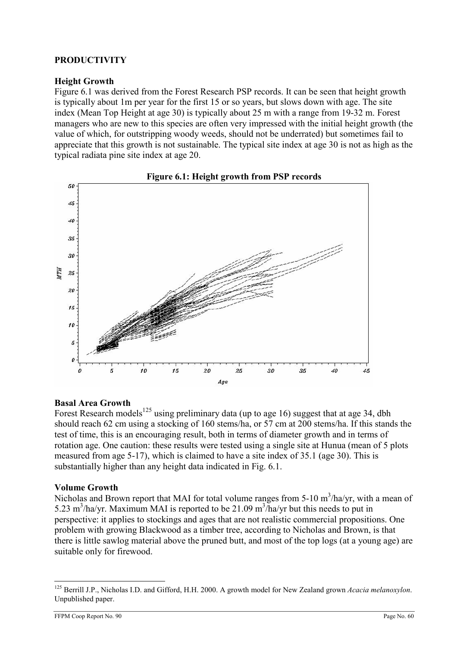# PRODUCTIVITY

# Height Growth

Figure 6.1 was derived from the Forest Research PSP records. It can be seen that height growth is typically about 1m per year for the first 15 or so years, but slows down with age. The site index (Mean Top Height at age 30) is typically about 25 m with a range from 19-32 m. Forest managers who are new to this species are often very impressed with the initial height growth (the value of which, for outstripping woody weeds, should not be underrated) but sometimes fail to appreciate that this growth is not sustainable. The typical site index at age 30 is not as high as the typical radiata pine site index at age 20.





# Basal Area Growth

Forest Research models<sup>125</sup> using preliminary data (up to age 16) suggest that at age 34, dbh should reach 62 cm using a stocking of 160 stems/ha, or 57 cm at 200 stems/ha. If this stands the test of time, this is an encouraging result, both in terms of diameter growth and in terms of rotation age. One caution: these results were tested using a single site at Hunua (mean of 5 plots measured from age 5-17), which is claimed to have a site index of 35.1 (age 30). This is substantially higher than any height data indicated in Fig. 6.1.

# Volume Growth

Nicholas and Brown report that MAI for total volume ranges from 5-10  $m^3/ha/yr$ , with a mean of 5.23 m<sup>3</sup>/ha/yr. Maximum MAI is reported to be 21.09 m<sup>3</sup>/ha/yr but this needs to put in perspective: it applies to stockings and ages that are not realistic commercial propositions. One problem with growing Blackwood as a timber tree, according to Nicholas and Brown, is that there is little sawlog material above the pruned butt, and most of the top logs (at a young age) are suitable only for firewood.

 $\overline{a}$ <sup>125</sup> Berrill J.P., Nicholas I.D. and Gifford, H.H. 2000. A growth model for New Zealand grown Acacia melanoxylon. Unpublished paper.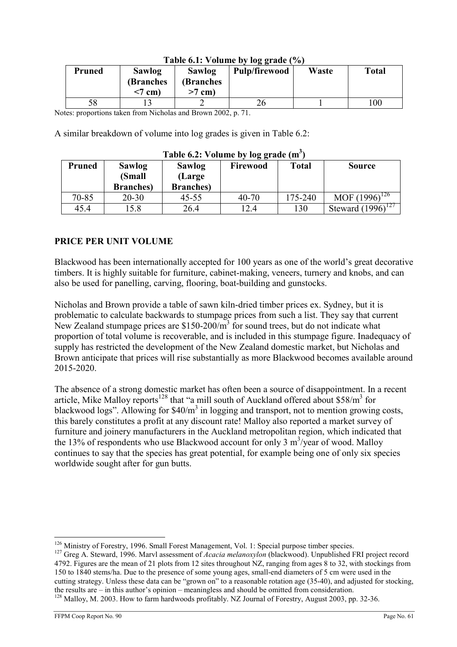| <b>Pruned</b> | <b>Sawlog</b><br>(Branches)<br>$<$ 7 cm) | Sawlog<br><b>(Branches</b><br>$>7$ cm) | <b>Pulp/firewood</b> | Waste | <b>Total</b> |
|---------------|------------------------------------------|----------------------------------------|----------------------|-------|--------------|
| 58            |                                          |                                        | 26                   |       | 00           |

# Table 6.1: Volume by log grade  $(% )$

Notes: proportions taken from Nicholas and Brown 2002, p. 71.

A similar breakdown of volume into log grades is given in Table 6.2:

| Table 0.2. VOIDING DY TOE grade (III) |                   |                   |          |         |                        |
|---------------------------------------|-------------------|-------------------|----------|---------|------------------------|
| <b>Pruned</b>                         | <b>Sawlog</b>     | <b>Sawlog</b>     | Firewood | Total   | <b>Source</b>          |
|                                       | (Small            | (Large            |          |         |                        |
|                                       | <b>Branches</b> ) | <b>Branches</b> ) |          |         |                        |
| $70 - 85$                             | $20 - 30$         | 45-55             | 40-70    | 175-240 | MOF $(1996)^{126}$     |
| 45.4                                  | l 5.8             | 26.4              | 12.4     | 130     | Steward $(1996)^{127}$ |

# Table 6.2: Volume by log grade  $(m^3)$

# PRICE PER UNIT VOLUME

Blackwood has been internationally accepted for 100 years as one of the world's great decorative timbers. It is highly suitable for furniture, cabinet-making, veneers, turnery and knobs, and can also be used for panelling, carving, flooring, boat-building and gunstocks.

Nicholas and Brown provide a table of sawn kiln-dried timber prices ex. Sydney, but it is problematic to calculate backwards to stumpage prices from such a list. They say that current New Zealand stumpage prices are  $$150-200/m^3$  for sound trees, but do not indicate what proportion of total volume is recoverable, and is included in this stumpage figure. Inadequacy of supply has restricted the development of the New Zealand domestic market, but Nicholas and Brown anticipate that prices will rise substantially as more Blackwood becomes available around 2015-2020.

The absence of a strong domestic market has often been a source of disappointment. In a recent article, Mike Malloy reports<sup>128</sup> that "a mill south of Auckland offered about \$58/ $m<sup>3</sup>$  for blackwood logs". Allowing for \$40/m<sup>3</sup> in logging and transport, not to mention growing costs, this barely constitutes a profit at any discount rate! Malloy also reported a market survey of furniture and joinery manufacturers in the Auckland metropolitan region, which indicated that the 13% of respondents who use Blackwood account for only 3  $m^3$ /year of wood. Malloy continues to say that the species has great potential, for example being one of only six species worldwide sought after for gun butts.

<sup>&</sup>lt;sup>126</sup> Ministry of Forestry, 1996. Small Forest Management, Vol. 1: Special purpose timber species.

<sup>&</sup>lt;sup>127</sup> Greg A. Steward, 1996. Marvl assessment of *Acacia melanoxylon* (blackwood). Unpublished FRI project record 4792. Figures are the mean of 21 plots from 12 sites throughout NZ, ranging from ages 8 to 32, with stockings from 150 to 1840 stems/ha. Due to the presence of some young ages, small-end diameters of 5 cm were used in the cutting strategy. Unless these data can be "grown on" to a reasonable rotation age (35-40), and adjusted for stocking, the results are – in this author's opinion – meaningless and should be omitted from consideration.

<sup>&</sup>lt;sup>128</sup> Malloy, M. 2003. How to farm hardwoods profitably. NZ Journal of Forestry, August 2003, pp. 32-36.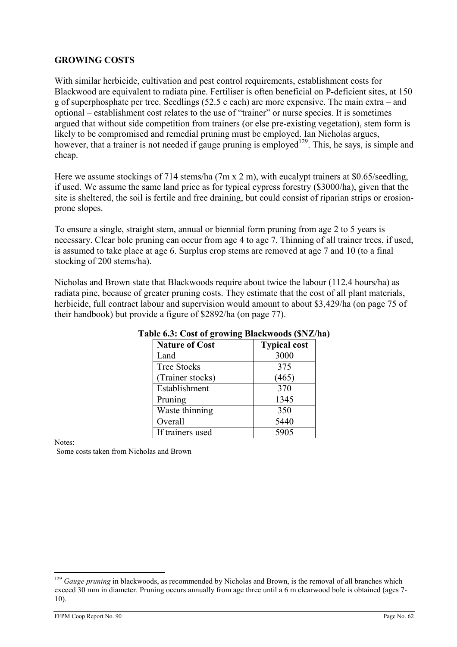# GROWING COSTS

With similar herbicide, cultivation and pest control requirements, establishment costs for Blackwood are equivalent to radiata pine. Fertiliser is often beneficial on P-deficient sites, at 150 g of superphosphate per tree. Seedlings (52.5 c each) are more expensive. The main extra – and optional – establishment cost relates to the use of "trainer" or nurse species. It is sometimes argued that without side competition from trainers (or else pre-existing vegetation), stem form is likely to be compromised and remedial pruning must be employed. Ian Nicholas argues, however, that a trainer is not needed if gauge pruning is employed<sup>129</sup>. This, he says, is simple and cheap.

Here we assume stockings of 714 stems/ha (7m x 2 m), with eucalypt trainers at \$0.65/seedling, if used. We assume the same land price as for typical cypress forestry (\$3000/ha), given that the site is sheltered, the soil is fertile and free draining, but could consist of riparian strips or erosionprone slopes.

To ensure a single, straight stem, annual or biennial form pruning from age 2 to 5 years is necessary. Clear bole pruning can occur from age 4 to age 7. Thinning of all trainer trees, if used, is assumed to take place at age 6. Surplus crop stems are removed at age 7 and 10 (to a final stocking of 200 stems/ha).

Nicholas and Brown state that Blackwoods require about twice the labour (112.4 hours/ha) as radiata pine, because of greater pruning costs. They estimate that the cost of all plant materials, herbicide, full contract labour and supervision would amount to about \$3,429/ha (on page 75 of their handbook) but provide a figure of \$2892/ha (on page 77).

| <b>Nature of Cost</b> | <b>Typical cost</b> |
|-----------------------|---------------------|
| Land                  | 3000                |
| <b>Tree Stocks</b>    | 375                 |
| (Trainer stocks)      | (465)               |
| Establishment         | 370                 |
| Pruning               | 1345                |
| Waste thinning        | 350                 |
| Overall               | 5440                |
| If trainers used      | 5905                |

# Table 6.3: Cost of growing Blackwoods (\$NZ/ha)

Notes:

 $\overline{a}$ 

Some costs taken from Nicholas and Brown

 $129$  Gauge pruning in blackwoods, as recommended by Nicholas and Brown, is the removal of all branches which exceed 30 mm in diameter. Pruning occurs annually from age three until a 6 m clearwood bole is obtained (ages 7-10).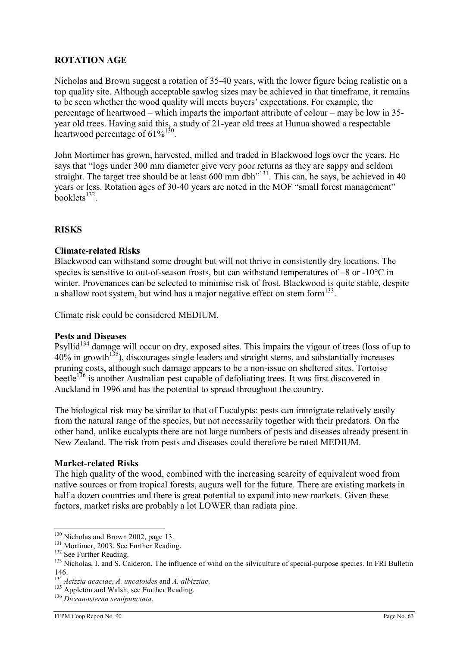# ROTATION AGE

Nicholas and Brown suggest a rotation of 35-40 years, with the lower figure being realistic on a top quality site. Although acceptable sawlog sizes may be achieved in that timeframe, it remains to be seen whether the wood quality will meets buyers' expectations. For example, the percentage of heartwood – which imparts the important attribute of colour – may be low in 35 year old trees. Having said this, a study of 21-year old trees at Hunua showed a respectable heartwood percentage of  $61\%^{130}$ .

John Mortimer has grown, harvested, milled and traded in Blackwood logs over the years. He says that "logs under 300 mm diameter give very poor returns as they are sappy and seldom straight. The target tree should be at least 600 mm dbh<sup> $n^{131}$ </sup>. This can, he says, be achieved in 40 years or less. Rotation ages of 30-40 years are noted in the MOF "small forest management"  $booklets$ <sup>132</sup>.

# **RISKS**

# Climate-related Risks

Blackwood can withstand some drought but will not thrive in consistently dry locations. The species is sensitive to out-of-season frosts, but can withstand temperatures of –8 or -10°C in winter. Provenances can be selected to minimise risk of frost. Blackwood is quite stable, despite a shallow root system, but wind has a major negative effect on stem form $^{133}$ .

Climate risk could be considered MEDIUM.

# Pests and Diseases

Psyllid<sup>134</sup> damage will occur on dry, exposed sites. This impairs the vigour of trees (loss of up to  $40\%$  in growth<sup>135</sup>), discourages single leaders and straight stems, and substantially increases pruning costs, although such damage appears to be a non-issue on sheltered sites. Tortoise beetle<sup>136</sup> is another Australian pest capable of defoliating trees. It was first discovered in Auckland in 1996 and has the potential to spread throughout the country.

The biological risk may be similar to that of Eucalypts: pests can immigrate relatively easily from the natural range of the species, but not necessarily together with their predators. On the other hand, unlike eucalypts there are not large numbers of pests and diseases already present in New Zealand. The risk from pests and diseases could therefore be rated MEDIUM.

# Market-related Risks

The high quality of the wood, combined with the increasing scarcity of equivalent wood from native sources or from tropical forests, augurs well for the future. There are existing markets in half a dozen countries and there is great potential to expand into new markets. Given these factors, market risks are probably a lot LOWER than radiata pine.

<sup>&</sup>lt;sup>130</sup> Nicholas and Brown 2002, page 13.

<sup>&</sup>lt;sup>131</sup> Mortimer, 2003. See Further Reading.

<sup>&</sup>lt;sup>132</sup> See Further Reading.

<sup>&</sup>lt;sup>133</sup> Nicholas. I. and S. Calderon. The influence of wind on the silviculture of special-purpose species. In FRI Bulletin 146.

 $134$  Acizzia acaciae, A. uncatoides and A. albizziae.

<sup>&</sup>lt;sup>135</sup> Appleton and Walsh, see Further Reading.

<sup>136</sup> Dicranosterna semipunctata.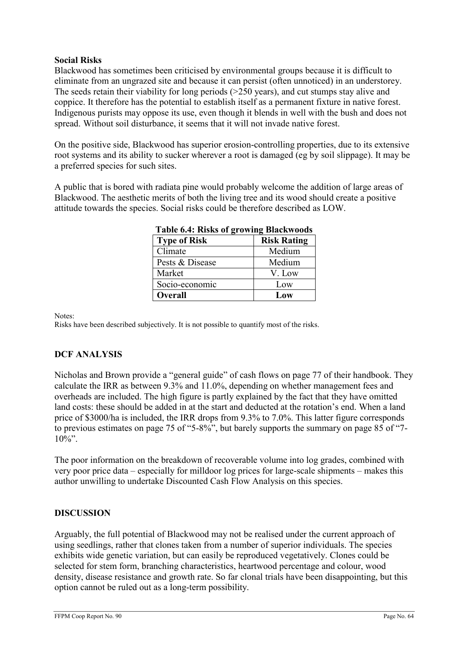# Social Risks

Blackwood has sometimes been criticised by environmental groups because it is difficult to eliminate from an ungrazed site and because it can persist (often unnoticed) in an understorey. The seeds retain their viability for long periods (>250 years), and cut stumps stay alive and coppice. It therefore has the potential to establish itself as a permanent fixture in native forest. Indigenous purists may oppose its use, even though it blends in well with the bush and does not spread. Without soil disturbance, it seems that it will not invade native forest.

On the positive side, Blackwood has superior erosion-controlling properties, due to its extensive root systems and its ability to sucker wherever a root is damaged (eg by soil slippage). It may be a preferred species for such sites.

A public that is bored with radiata pine would probably welcome the addition of large areas of Blackwood. The aesthetic merits of both the living tree and its wood should create a positive attitude towards the species. Social risks could be therefore described as LOW.

| Table 0.4. INSKS 01 growing Diackwoods |                    |  |  |  |
|----------------------------------------|--------------------|--|--|--|
| <b>Type of Risk</b>                    | <b>Risk Rating</b> |  |  |  |
| Climate                                | Medium             |  |  |  |
| Pests & Disease                        | Medium             |  |  |  |
| Market                                 | V. Low             |  |  |  |
| Socio-economic                         | Low                |  |  |  |
| Overall                                | Low                |  |  |  |

| Table 6.4: Risks of growing Blackwoods |  |
|----------------------------------------|--|
|                                        |  |

Notes:

Risks have been described subjectively. It is not possible to quantify most of the risks.

# DCF ANALYSIS

Nicholas and Brown provide a "general guide" of cash flows on page 77 of their handbook. They calculate the IRR as between 9.3% and 11.0%, depending on whether management fees and overheads are included. The high figure is partly explained by the fact that they have omitted land costs: these should be added in at the start and deducted at the rotation's end. When a land price of \$3000/ha is included, the IRR drops from 9.3% to 7.0%. This latter figure corresponds to previous estimates on page 75 of "5-8%", but barely supports the summary on page 85 of "7-  $10\%$ ".

The poor information on the breakdown of recoverable volume into log grades, combined with very poor price data – especially for milldoor log prices for large-scale shipments – makes this author unwilling to undertake Discounted Cash Flow Analysis on this species.

# **DISCUSSION**

Arguably, the full potential of Blackwood may not be realised under the current approach of using seedlings, rather that clones taken from a number of superior individuals. The species exhibits wide genetic variation, but can easily be reproduced vegetatively. Clones could be selected for stem form, branching characteristics, heartwood percentage and colour, wood density, disease resistance and growth rate. So far clonal trials have been disappointing, but this option cannot be ruled out as a long-term possibility.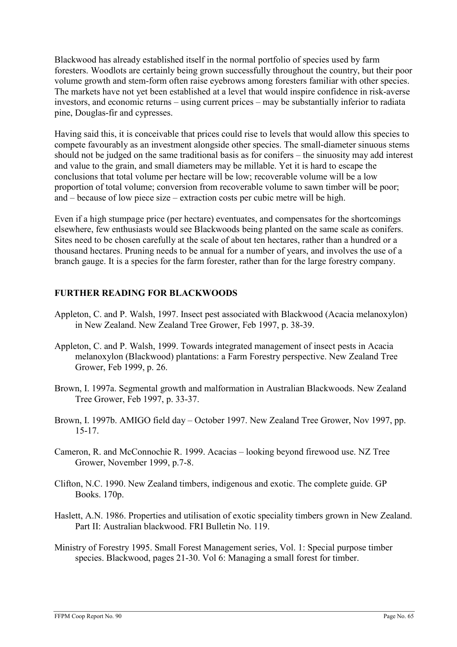Blackwood has already established itself in the normal portfolio of species used by farm foresters. Woodlots are certainly being grown successfully throughout the country, but their poor volume growth and stem-form often raise eyebrows among foresters familiar with other species. The markets have not yet been established at a level that would inspire confidence in risk-averse investors, and economic returns – using current prices – may be substantially inferior to radiata pine, Douglas-fir and cypresses.

Having said this, it is conceivable that prices could rise to levels that would allow this species to compete favourably as an investment alongside other species. The small-diameter sinuous stems should not be judged on the same traditional basis as for conifers – the sinuosity may add interest and value to the grain, and small diameters may be millable. Yet it is hard to escape the conclusions that total volume per hectare will be low; recoverable volume will be a low proportion of total volume; conversion from recoverable volume to sawn timber will be poor; and – because of low piece size – extraction costs per cubic metre will be high.

Even if a high stumpage price (per hectare) eventuates, and compensates for the shortcomings elsewhere, few enthusiasts would see Blackwoods being planted on the same scale as conifers. Sites need to be chosen carefully at the scale of about ten hectares, rather than a hundred or a thousand hectares. Pruning needs to be annual for a number of years, and involves the use of a branch gauge. It is a species for the farm forester, rather than for the large forestry company.

# FURTHER READING FOR BLACKWOODS

- Appleton, C. and P. Walsh, 1997. Insect pest associated with Blackwood (Acacia melanoxylon) in New Zealand. New Zealand Tree Grower, Feb 1997, p. 38-39.
- Appleton, C. and P. Walsh, 1999. Towards integrated management of insect pests in Acacia melanoxylon (Blackwood) plantations: a Farm Forestry perspective. New Zealand Tree Grower, Feb 1999, p. 26.
- Brown, I. 1997a. Segmental growth and malformation in Australian Blackwoods. New Zealand Tree Grower, Feb 1997, p. 33-37.
- Brown, I. 1997b. AMIGO field day October 1997. New Zealand Tree Grower, Nov 1997, pp. 15-17.
- Cameron, R. and McConnochie R. 1999. Acacias looking beyond firewood use. NZ Tree Grower, November 1999, p.7-8.
- Clifton, N.C. 1990. New Zealand timbers, indigenous and exotic. The complete guide. GP Books. 170p.
- Haslett, A.N. 1986. Properties and utilisation of exotic speciality timbers grown in New Zealand. Part II: Australian blackwood. FRI Bulletin No. 119.
- Ministry of Forestry 1995. Small Forest Management series, Vol. 1: Special purpose timber species. Blackwood, pages 21-30. Vol 6: Managing a small forest for timber.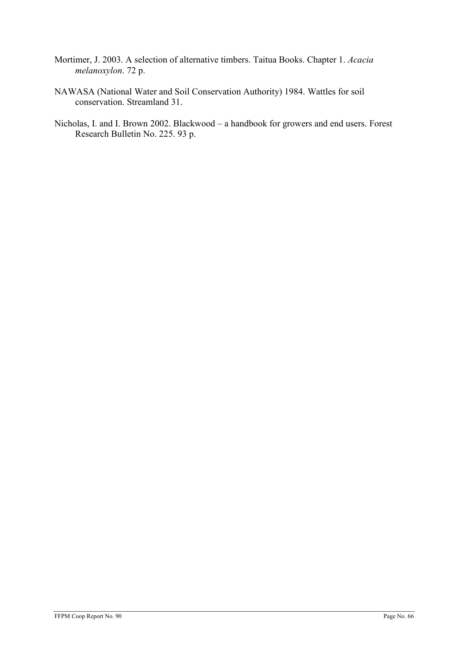- Mortimer, J. 2003. A selection of alternative timbers. Taitua Books. Chapter 1. Acacia melanoxylon. 72 p.
- NAWASA (National Water and Soil Conservation Authority) 1984. Wattles for soil conservation. Streamland 31.
- Nicholas, I. and I. Brown 2002. Blackwood a handbook for growers and end users. Forest Research Bulletin No. 225. 93 p.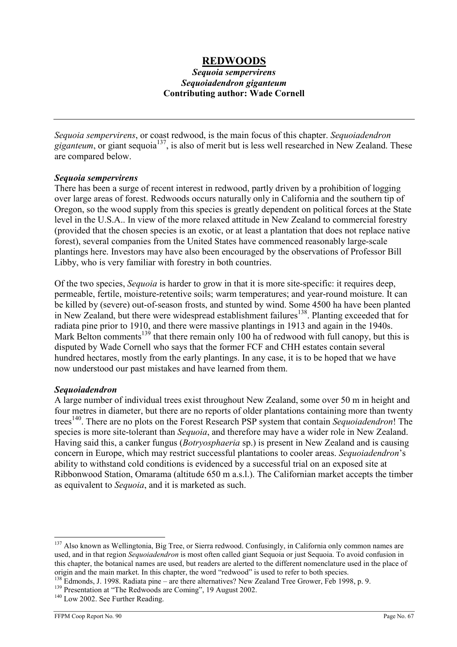# REDWOODS

## Sequoia sempervirens Sequoiadendron giganteum Contributing author: Wade Cornell

Sequoia sempervirens, or coast redwood, is the main focus of this chapter. Sequoiadendron giganteum, or giant sequoia<sup>137</sup>, is also of merit but is less well researched in New Zealand. These are compared below.

#### Sequoia sempervirens

There has been a surge of recent interest in redwood, partly driven by a prohibition of logging over large areas of forest. Redwoods occurs naturally only in California and the southern tip of Oregon, so the wood supply from this species is greatly dependent on political forces at the State level in the U.S.A.. In view of the more relaxed attitude in New Zealand to commercial forestry (provided that the chosen species is an exotic, or at least a plantation that does not replace native forest), several companies from the United States have commenced reasonably large-scale plantings here. Investors may have also been encouraged by the observations of Professor Bill Libby, who is very familiar with forestry in both countries.

Of the two species, *Sequoia* is harder to grow in that it is more site-specific: it requires deep, permeable, fertile, moisture-retentive soils; warm temperatures; and year-round moisture. It can be killed by (severe) out-of-season frosts, and stunted by wind. Some 4500 ha have been planted in New Zealand, but there were widespread establishment failures<sup>138</sup>. Planting exceeded that for radiata pine prior to 1910, and there were massive plantings in 1913 and again in the 1940s. Mark Belton comments<sup>139</sup> that there remain only 100 ha of redwood with full canopy, but this is disputed by Wade Cornell who says that the former FCF and CHH estates contain several hundred hectares, mostly from the early plantings. In any case, it is to be hoped that we have now understood our past mistakes and have learned from them.

#### Sequoiadendron

A large number of individual trees exist throughout New Zealand, some over 50 m in height and four metres in diameter, but there are no reports of older plantations containing more than twenty trees<sup>140</sup>. There are no plots on the Forest Research PSP system that contain Sequoiadendron! The species is more site-tolerant than Sequoia, and therefore may have a wider role in New Zealand. Having said this, a canker fungus (Botryosphaeria sp.) is present in New Zealand and is causing concern in Europe, which may restrict successful plantations to cooler areas. Sequoiadendron's ability to withstand cold conditions is evidenced by a successful trial on an exposed site at Ribbonwood Station, Omarama (altitude 650 m a.s.l.). The Californian market accepts the timber as equivalent to Sequoia, and it is marketed as such.

<sup>&</sup>lt;sup>137</sup> Also known as Wellingtonia, Big Tree, or Sierra redwood. Confusingly, in California only common names are used, and in that region Sequoiadendron is most often called giant Sequoia or just Sequoia. To avoid confusion in this chapter, the botanical names are used, but readers are alerted to the different nomenclature used in the place of origin and the main market. In this chapter, the word "redwood" is used to refer to both species.

<sup>&</sup>lt;sup>138</sup> Edmonds, J. 1998. Radiata pine – are there alternatives? New Zealand Tree Grower, Feb 1998, p. 9.

<sup>&</sup>lt;sup>139</sup> Presentation at "The Redwoods are Coming", 19 August 2002.

<sup>&</sup>lt;sup>140</sup> Low 2002. See Further Reading.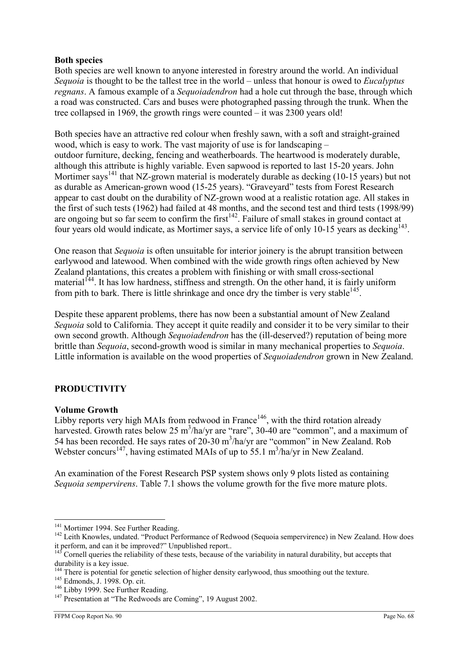# Both species

Both species are well known to anyone interested in forestry around the world. An individual Sequoia is thought to be the tallest tree in the world – unless that honour is owed to *Eucalyptus* regnans. A famous example of a Sequoiadendron had a hole cut through the base, through which a road was constructed. Cars and buses were photographed passing through the trunk. When the tree collapsed in 1969, the growth rings were counted – it was 2300 years old!

Both species have an attractive red colour when freshly sawn, with a soft and straight-grained wood, which is easy to work. The vast majority of use is for landscaping – outdoor furniture, decking, fencing and weatherboards. The heartwood is moderately durable, although this attribute is highly variable. Even sapwood is reported to last 15-20 years. John Mortimer says<sup>141</sup> that NZ-grown material is moderately durable as decking (10-15 years) but not as durable as American-grown wood (15-25 years). "Graveyard" tests from Forest Research appear to cast doubt on the durability of NZ-grown wood at a realistic rotation age. All stakes in the first of such tests (1962) had failed at 48 months, and the second test and third tests (1998/99) are ongoing but so far seem to confirm the first<sup>142</sup>. Failure of small stakes in ground contact at four years old would indicate, as Mortimer says, a service life of only 10-15 years as decking<sup>143</sup>.

One reason that Sequoia is often unsuitable for interior joinery is the abrupt transition between earlywood and latewood. When combined with the wide growth rings often achieved by New Zealand plantations, this creates a problem with finishing or with small cross-sectional material<sup> $144$ </sup>. It has low hardness, stiffness and strength. On the other hand, it is fairly uniform from pith to bark. There is little shrinkage and once dry the timber is very stable  $145$ .

Despite these apparent problems, there has now been a substantial amount of New Zealand Sequoia sold to California. They accept it quite readily and consider it to be very similar to their own second growth. Although Sequoiadendron has the (ill-deserved?) reputation of being more brittle than Sequoia, second-growth wood is similar in many mechanical properties to Sequoia. Little information is available on the wood properties of Sequoiadendron grown in New Zealand.

# PRODUCTIVITY

#### Volume Growth

Libby reports very high MAIs from redwood in France<sup>146</sup>, with the third rotation already harvested. Growth rates below 25 m<sup>3</sup>/ha/yr are "rare", 30-40 are "common", and a maximum of 54 has been recorded. He says rates of  $20-30$  m<sup>3</sup>/ha/yr are "common" in New Zealand. Rob Webster concurs<sup>147</sup>, having estimated MAIs of up to 55.1 m<sup>3</sup>/ha/yr in New Zealand.

An examination of the Forest Research PSP system shows only 9 plots listed as containing Sequoia sempervirens. Table 7.1 shows the volume growth for the five more mature plots.

<sup>&</sup>lt;sup>141</sup> Mortimer 1994. See Further Reading.

<sup>&</sup>lt;sup>142</sup> Leith Knowles, undated. "Product Performance of Redwood (Sequoia sempervirence) in New Zealand. How does it perform, and can it be improved?" Unpublished report..

 $143$  Cornell queries the reliability of these tests, because of the variability in natural durability, but accepts that durability is a key issue.

<sup>&</sup>lt;sup>144</sup> There is potential for genetic selection of higher density earlywood, thus smoothing out the texture.

<sup>145</sup> Edmonds, J. 1998. Op. cit.

<sup>&</sup>lt;sup>146</sup> Libby 1999. See Further Reading.

<sup>&</sup>lt;sup>147</sup> Presentation at "The Redwoods are Coming", 19 August 2002.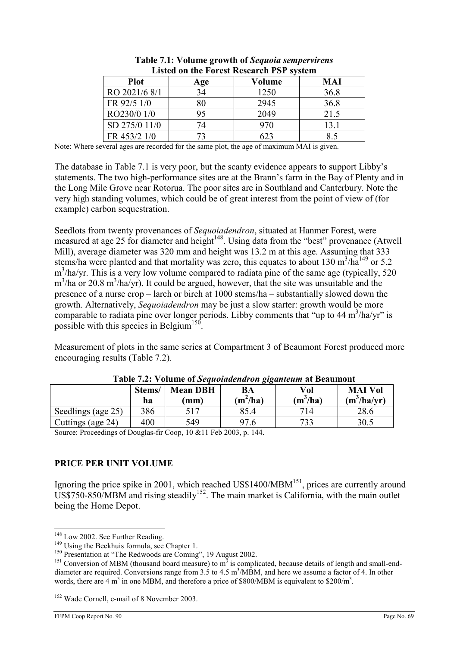| <u>Liber on the 1 of the research 1 of Stockin</u> |     |        |      |  |
|----------------------------------------------------|-----|--------|------|--|
| <b>Plot</b>                                        | Age | Volume | MAI  |  |
| RO 2021/6 8/1                                      | 34  | 1250   | 36.8 |  |
| FR 92/5 1/0                                        |     | 2945   | 36.8 |  |
| RO230/0 1/0                                        |     | 2049   | 21.5 |  |
| SD 275/0 11/0                                      |     | 970    | 13.1 |  |
| FR 453/2 1/0                                       |     | 623    |      |  |

| Table 7.1: Volume growth of Sequoia sempervirens |
|--------------------------------------------------|
| <b>Listed on the Forest Research PSP system</b>  |

Note: Where several ages are recorded for the same plot, the age of maximum MAI is given.

The database in Table 7.1 is very poor, but the scanty evidence appears to support Libby's statements. The two high-performance sites are at the Brann's farm in the Bay of Plenty and in the Long Mile Grove near Rotorua. The poor sites are in Southland and Canterbury. Note the very high standing volumes, which could be of great interest from the point of view of (for example) carbon sequestration.

Seedlots from twenty provenances of Sequoiadendron, situated at Hanmer Forest, were measured at age 25 for diameter and height $148$ . Using data from the "best" provenance (Atwell Mill), average diameter was 320 mm and height was 13.2 m at this age. Assuming that 333 stems/ha were planted and that mortality was zero, this equates to about 130 m<sup>3</sup>/ha<sup>149</sup> or 5.2 m<sup>3</sup>/ha/yr. This is a very low volume compared to radiata pine of the same age (typically, 520  $m<sup>3</sup>/ha$  or 20.8  $m<sup>3</sup>/ha/yr$ ). It could be argued, however, that the site was unsuitable and the presence of a nurse crop – larch or birch at 1000 stems/ha – substantially slowed down the growth. Alternatively, Sequoiadendron may be just a slow starter: growth would be more comparable to radiata pine over longer periods. Libby comments that "up to  $44 \text{ m}^3\text{/ha/yr}$ " is possible with this species in Belgium<sup>150</sup>.

Measurement of plots in the same series at Compartment 3 of Beaumont Forest produced more encouraging results (Table 7.2).

|                    | Stems/<br>ha | <b>Mean DBH</b><br>$\mathbf{m}\mathbf{m}$ | BA<br>$(m^2/ha)$ | Vol<br>$(m^3/ha)$ | <b>MAI Vol</b><br>$(m^3/ha/yr)$ |
|--------------------|--------------|-------------------------------------------|------------------|-------------------|---------------------------------|
| Seedlings (age 25) | 386          | 517                                       | 85.4             | 714               | 28.6                            |
| Cuttings (age 24)  | 400          | 549                                       | 97.6             | 733               | 30.5                            |

Table 7.2: Volume of Sequoiadendron giganteum at Beaumont

Source: Proceedings of Douglas-fir Coop, 10 &11 Feb 2003, p. 144.

# PRICE PER UNIT VOLUME

Ignoring the price spike in 2001, which reached  $\text{USS1400/MBM}^{151}$ , prices are currently around  $USS750-850/MBM$  and rising steadily<sup>152</sup>. The main market is California, with the main outlet being the Home Depot.

 $\overline{a}$ <sup>148</sup> Low 2002. See Further Reading.

 $149$  Using the Beekhuis formula, see Chapter 1.

<sup>&</sup>lt;sup>150</sup> Presentation at "The Redwoods are Coming", 19 August 2002.

<sup>&</sup>lt;sup>151</sup> Conversion of MBM (thousand board measure) to  $m<sup>3</sup>$  is complicated, because details of length and small-enddiameter are required. Conversions range from 3.5 to 4.5 m<sup>3</sup>/MBM, and here we assume a factor of 4. In other words, there are 4 m<sup>3</sup> in one MBM, and therefore a price of \$800/MBM is equivalent to \$200/m<sup>3</sup>.

<sup>&</sup>lt;sup>152</sup> Wade Cornell, e-mail of 8 November 2003.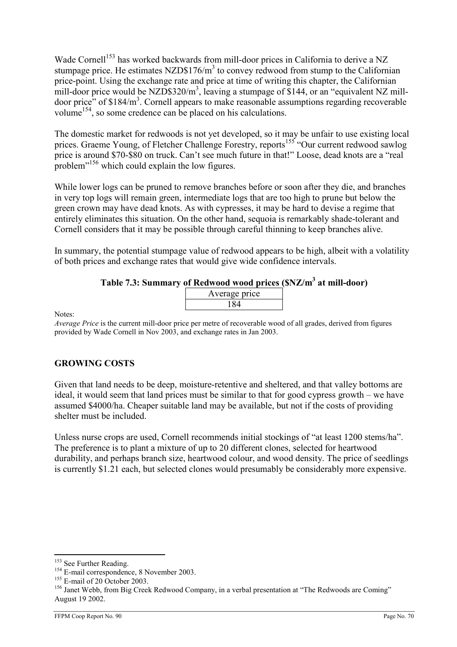Wade Cornell<sup>153</sup> has worked backwards from mill-door prices in California to derive a NZ stumpage price. He estimates  $NZD$176/m<sup>3</sup>$  to convey redwood from stump to the Californian price-point. Using the exchange rate and price at time of writing this chapter, the Californian mill-door price would be NZD\$320/ $m^3$ , leaving a stumpage of \$144, or an "equivalent NZ milldoor price" of  $$184/m<sup>3</sup>$ . Cornell appears to make reasonable assumptions regarding recoverable volume<sup>154</sup>, so some credence can be placed on his calculations.

The domestic market for redwoods is not yet developed, so it may be unfair to use existing local prices. Graeme Young, of Fletcher Challenge Forestry, reports<sup>155</sup> "Our current redwood sawlog price is around \$70-\$80 on truck. Can't see much future in that!" Loose, dead knots are a "real problem<sup>"156</sup> which could explain the low figures.

While lower logs can be pruned to remove branches before or soon after they die, and branches in very top logs will remain green, intermediate logs that are too high to prune but below the green crown may have dead knots. As with cypresses, it may be hard to devise a regime that entirely eliminates this situation. On the other hand, sequoia is remarkably shade-tolerant and Cornell considers that it may be possible through careful thinning to keep branches alive.

In summary, the potential stumpage value of redwood appears to be high, albeit with a volatility of both prices and exchange rates that would give wide confidence intervals.

# Table 7.3: Summary of Redwood wood prices (\$NZ/m<sup>3</sup> at mill-door)

| Average price |  |
|---------------|--|
|               |  |
|               |  |

Notes:

Average Price is the current mill-door price per metre of recoverable wood of all grades, derived from figures provided by Wade Cornell in Nov 2003, and exchange rates in Jan 2003.

# GROWING COSTS

Given that land needs to be deep, moisture-retentive and sheltered, and that valley bottoms are ideal, it would seem that land prices must be similar to that for good cypress growth – we have assumed \$4000/ha. Cheaper suitable land may be available, but not if the costs of providing shelter must be included.

Unless nurse crops are used, Cornell recommends initial stockings of "at least 1200 stems/ha". The preference is to plant a mixture of up to 20 different clones, selected for heartwood durability, and perhaps branch size, heartwood colour, and wood density. The price of seedlings is currently \$1.21 each, but selected clones would presumably be considerably more expensive.

 $\overline{a}$ <sup>153</sup> See Further Reading.

<sup>&</sup>lt;sup>154</sup> E-mail correspondence, 8 November 2003.

<sup>&</sup>lt;sup>155</sup> E-mail of 20 October 2003.

<sup>&</sup>lt;sup>156</sup> Janet Webb, from Big Creek Redwood Company, in a verbal presentation at "The Redwoods are Coming" August 19 2002.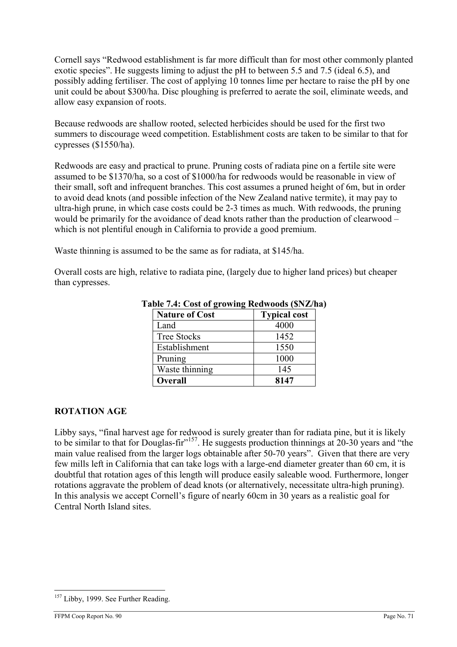Cornell says "Redwood establishment is far more difficult than for most other commonly planted exotic species". He suggests liming to adjust the pH to between 5.5 and 7.5 (ideal 6.5), and possibly adding fertiliser. The cost of applying 10 tonnes lime per hectare to raise the pH by one unit could be about \$300/ha. Disc ploughing is preferred to aerate the soil, eliminate weeds, and allow easy expansion of roots.

Because redwoods are shallow rooted, selected herbicides should be used for the first two summers to discourage weed competition. Establishment costs are taken to be similar to that for cypresses (\$1550/ha).

Redwoods are easy and practical to prune. Pruning costs of radiata pine on a fertile site were assumed to be \$1370/ha, so a cost of \$1000/ha for redwoods would be reasonable in view of their small, soft and infrequent branches. This cost assumes a pruned height of 6m, but in order to avoid dead knots (and possible infection of the New Zealand native termite), it may pay to ultra-high prune, in which case costs could be 2-3 times as much. With redwoods, the pruning would be primarily for the avoidance of dead knots rather than the production of clearwood – which is not plentiful enough in California to provide a good premium.

Waste thinning is assumed to be the same as for radiata, at \$145/ha.

Overall costs are high, relative to radiata pine, (largely due to higher land prices) but cheaper than cypresses.

| <b>Nature of Cost</b> | <b>Typical cost</b> |
|-----------------------|---------------------|
| Land                  | 4000                |
| <b>Tree Stocks</b>    | 1452                |
| Establishment         | 1550                |
| Pruning               | 1000                |
| Waste thinning        | 145                 |
| <b>Overall</b>        | 8147                |

Table 7.4: Cost of growing Redwoods (\$NZ/ha)

# ROTATION AGE

Libby says, "final harvest age for redwood is surely greater than for radiata pine, but it is likely to be similar to that for Douglas-fir $^{157}$ . He suggests production thinnings at 20-30 years and "the main value realised from the larger logs obtainable after 50-70 years". Given that there are very few mills left in California that can take logs with a large-end diameter greater than 60 cm, it is doubtful that rotation ages of this length will produce easily saleable wood. Furthermore, longer rotations aggravate the problem of dead knots (or alternatively, necessitate ultra-high pruning). In this analysis we accept Cornell's figure of nearly 60cm in 30 years as a realistic goal for Central North Island sites.

 $\overline{a}$ <sup>157</sup> Libby, 1999. See Further Reading.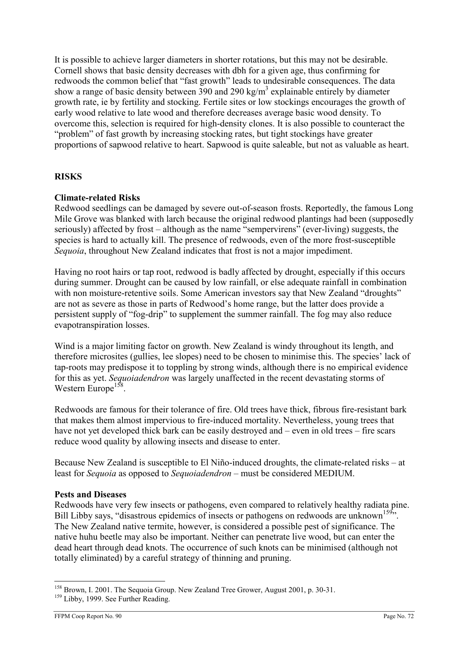It is possible to achieve larger diameters in shorter rotations, but this may not be desirable. Cornell shows that basic density decreases with dbh for a given age, thus confirming for redwoods the common belief that "fast growth" leads to undesirable consequences. The data show a range of basic density between 390 and 290 kg/m<sup>3</sup> explainable entirely by diameter growth rate, ie by fertility and stocking. Fertile sites or low stockings encourages the growth of early wood relative to late wood and therefore decreases average basic wood density. To overcome this, selection is required for high-density clones. It is also possible to counteract the "problem" of fast growth by increasing stocking rates, but tight stockings have greater proportions of sapwood relative to heart. Sapwood is quite saleable, but not as valuable as heart.

# **RISKS**

# Climate-related Risks

Redwood seedlings can be damaged by severe out-of-season frosts. Reportedly, the famous Long Mile Grove was blanked with larch because the original redwood plantings had been (supposedly seriously) affected by frost – although as the name "sempervirens" (ever-living) suggests, the species is hard to actually kill. The presence of redwoods, even of the more frost-susceptible Sequoia, throughout New Zealand indicates that frost is not a major impediment.

Having no root hairs or tap root, redwood is badly affected by drought, especially if this occurs during summer. Drought can be caused by low rainfall, or else adequate rainfall in combination with non moisture-retentive soils. Some American investors say that New Zealand "droughts" are not as severe as those in parts of Redwood's home range, but the latter does provide a persistent supply of "fog-drip" to supplement the summer rainfall. The fog may also reduce evapotranspiration losses.

Wind is a major limiting factor on growth. New Zealand is windy throughout its length, and therefore microsites (gullies, lee slopes) need to be chosen to minimise this. The species' lack of tap-roots may predispose it to toppling by strong winds, although there is no empirical evidence for this as yet. Sequoiadendron was largely unaffected in the recent devastating storms of Western Europe<sup>158</sup>.

Redwoods are famous for their tolerance of fire. Old trees have thick, fibrous fire-resistant bark that makes them almost impervious to fire-induced mortality. Nevertheless, young trees that have not yet developed thick bark can be easily destroyed and – even in old trees – fire scars reduce wood quality by allowing insects and disease to enter.

Because New Zealand is susceptible to El Niño-induced droughts, the climate-related risks – at least for Sequoia as opposed to Sequoiadendron – must be considered MEDIUM.

# Pests and Diseases

Redwoods have very few insects or pathogens, even compared to relatively healthy radiata pine. Bill Libby says, "disastrous epidemics of insects or pathogens on redwoods are unknown<sup>159</sup>". The New Zealand native termite, however, is considered a possible pest of significance. The native huhu beetle may also be important. Neither can penetrate live wood, but can enter the dead heart through dead knots. The occurrence of such knots can be minimised (although not totally eliminated) by a careful strategy of thinning and pruning.

<sup>&</sup>lt;sup>158</sup> Brown, I. 2001. The Sequoia Group. New Zealand Tree Grower, August 2001, p. 30-31.

<sup>&</sup>lt;sup>159</sup> Libby, 1999. See Further Reading.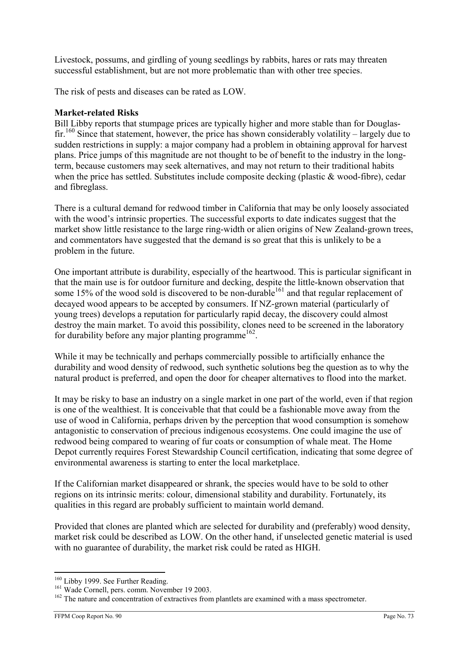Livestock, possums, and girdling of young seedlings by rabbits, hares or rats may threaten successful establishment, but are not more problematic than with other tree species.

The risk of pests and diseases can be rated as LOW.

### Market-related Risks

Bill Libby reports that stumpage prices are typically higher and more stable than for Douglasfir.<sup>160</sup> Since that statement, however, the price has shown considerably volatility – largely due to sudden restrictions in supply: a major company had a problem in obtaining approval for harvest plans. Price jumps of this magnitude are not thought to be of benefit to the industry in the longterm, because customers may seek alternatives, and may not return to their traditional habits when the price has settled. Substitutes include composite decking (plastic & wood-fibre), cedar and fibreglass.

There is a cultural demand for redwood timber in California that may be only loosely associated with the wood's intrinsic properties. The successful exports to date indicates suggest that the market show little resistance to the large ring-width or alien origins of New Zealand-grown trees, and commentators have suggested that the demand is so great that this is unlikely to be a problem in the future.

One important attribute is durability, especially of the heartwood. This is particular significant in that the main use is for outdoor furniture and decking, despite the little-known observation that some 15% of the wood sold is discovered to be non-durable<sup>161</sup> and that regular replacement of decayed wood appears to be accepted by consumers. If NZ-grown material (particularly of young trees) develops a reputation for particularly rapid decay, the discovery could almost destroy the main market. To avoid this possibility, clones need to be screened in the laboratory for durability before any major planting programme<sup>162</sup>.

While it may be technically and perhaps commercially possible to artificially enhance the durability and wood density of redwood, such synthetic solutions beg the question as to why the natural product is preferred, and open the door for cheaper alternatives to flood into the market.

It may be risky to base an industry on a single market in one part of the world, even if that region is one of the wealthiest. It is conceivable that that could be a fashionable move away from the use of wood in California, perhaps driven by the perception that wood consumption is somehow antagonistic to conservation of precious indigenous ecosystems. One could imagine the use of redwood being compared to wearing of fur coats or consumption of whale meat. The Home Depot currently requires Forest Stewardship Council certification, indicating that some degree of environmental awareness is starting to enter the local marketplace.

If the Californian market disappeared or shrank, the species would have to be sold to other regions on its intrinsic merits: colour, dimensional stability and durability. Fortunately, its qualities in this regard are probably sufficient to maintain world demand.

Provided that clones are planted which are selected for durability and (preferably) wood density, market risk could be described as LOW. On the other hand, if unselected genetic material is used with no guarantee of durability, the market risk could be rated as HIGH.

 $\overline{a}$ <sup>160</sup> Libby 1999. See Further Reading.

<sup>&</sup>lt;sup>161</sup> Wade Cornell, pers. comm. November 19 2003.

 $162$  The nature and concentration of extractives from plantlets are examined with a mass spectrometer.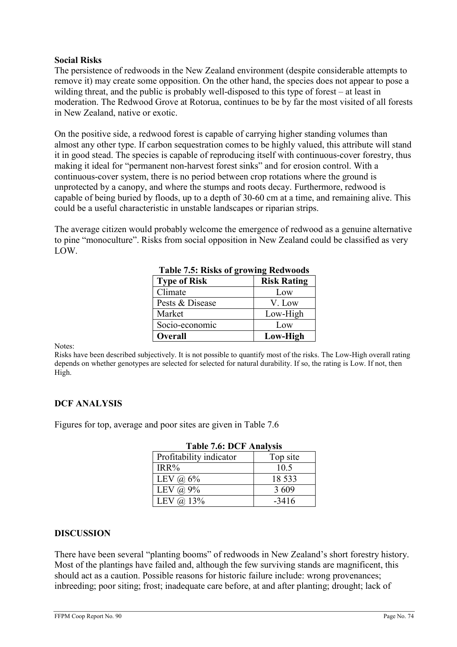### Social Risks

The persistence of redwoods in the New Zealand environment (despite considerable attempts to remove it) may create some opposition. On the other hand, the species does not appear to pose a wilding threat, and the public is probably well-disposed to this type of forest – at least in moderation. The Redwood Grove at Rotorua, continues to be by far the most visited of all forests in New Zealand, native or exotic.

On the positive side, a redwood forest is capable of carrying higher standing volumes than almost any other type. If carbon sequestration comes to be highly valued, this attribute will stand it in good stead. The species is capable of reproducing itself with continuous-cover forestry, thus making it ideal for "permanent non-harvest forest sinks" and for erosion control. With a continuous-cover system, there is no period between crop rotations where the ground is unprotected by a canopy, and where the stumps and roots decay. Furthermore, redwood is capable of being buried by floods, up to a depth of 30-60 cm at a time, and remaining alive. This could be a useful characteristic in unstable landscapes or riparian strips.

The average citizen would probably welcome the emergence of redwood as a genuine alternative to pine "monoculture". Risks from social opposition in New Zealand could be classified as very LOW.

| <b>Type of Risk</b> | <b>Risk Rating</b> |
|---------------------|--------------------|
| Climate             | Low                |
| Pests & Disease     | V. Low             |
| Market              | Low-High           |
| Socio-economic      | Low                |
| <b>Overall</b>      | Low-High           |

## Table 7.5: Risks of growing Redwoods

Notes:

Risks have been described subjectively. It is not possible to quantify most of the risks. The Low-High overall rating depends on whether genotypes are selected for selected for natural durability. If so, the rating is Low. If not, then High.

# DCF ANALYSIS

Figures for top, average and poor sites are given in Table 7.6

| L'AVIC 7.0. DUT AHAIYSIS |          |  |
|--------------------------|----------|--|
| Profitability indicator  | Top site |  |
| IRR%                     | 10.5     |  |
| LEV $\omega$ 6%          | 18 5 33  |  |
| LEV $\omega$ 9%          | 3 6 0 9  |  |
| LEV $\omega$ 13%         | $-3416$  |  |

# Table 7.6: DCF Analysis

#### DISCUSSION

There have been several "planting booms" of redwoods in New Zealand's short forestry history. Most of the plantings have failed and, although the few surviving stands are magnificent, this should act as a caution. Possible reasons for historic failure include: wrong provenances; inbreeding; poor siting; frost; inadequate care before, at and after planting; drought; lack of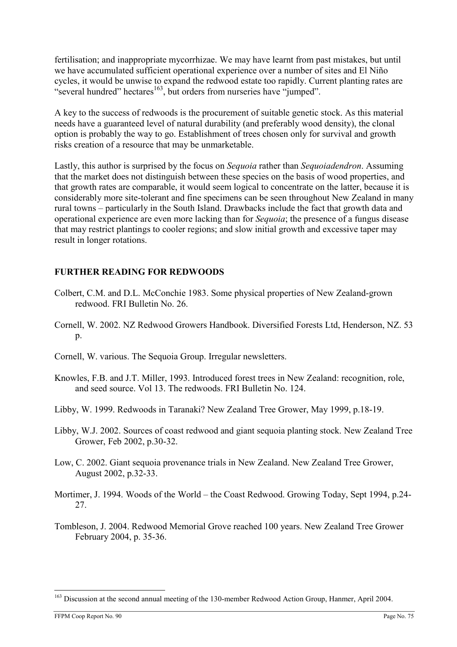fertilisation; and inappropriate mycorrhizae. We may have learnt from past mistakes, but until we have accumulated sufficient operational experience over a number of sites and El Niño cycles, it would be unwise to expand the redwood estate too rapidly. Current planting rates are "several hundred" hectares<sup>163</sup>, but orders from nurseries have "jumped".

A key to the success of redwoods is the procurement of suitable genetic stock. As this material needs have a guaranteed level of natural durability (and preferably wood density), the clonal option is probably the way to go. Establishment of trees chosen only for survival and growth risks creation of a resource that may be unmarketable.

Lastly, this author is surprised by the focus on *Sequoia* rather than *Sequoiadendron*. Assuming that the market does not distinguish between these species on the basis of wood properties, and that growth rates are comparable, it would seem logical to concentrate on the latter, because it is considerably more site-tolerant and fine specimens can be seen throughout New Zealand in many rural towns – particularly in the South Island. Drawbacks include the fact that growth data and operational experience are even more lacking than for Sequoia; the presence of a fungus disease that may restrict plantings to cooler regions; and slow initial growth and excessive taper may result in longer rotations.

# FURTHER READING FOR REDWOODS

- Colbert, C.M. and D.L. McConchie 1983. Some physical properties of New Zealand-grown redwood. FRI Bulletin No. 26.
- Cornell, W. 2002. NZ Redwood Growers Handbook. Diversified Forests Ltd, Henderson, NZ. 53  $p_{\cdot}$
- Cornell, W. various. The Sequoia Group. Irregular newsletters.
- Knowles, F.B. and J.T. Miller, 1993. Introduced forest trees in New Zealand: recognition, role, and seed source. Vol 13. The redwoods. FRI Bulletin No. 124.
- Libby, W. 1999. Redwoods in Taranaki? New Zealand Tree Grower, May 1999, p.18-19.
- Libby, W.J. 2002. Sources of coast redwood and giant sequoia planting stock. New Zealand Tree Grower, Feb 2002, p.30-32.
- Low, C. 2002. Giant sequoia provenance trials in New Zealand. New Zealand Tree Grower, August 2002, p.32-33.
- Mortimer, J. 1994. Woods of the World the Coast Redwood. Growing Today, Sept 1994, p.24- 27.
- Tombleson, J. 2004. Redwood Memorial Grove reached 100 years. New Zealand Tree Grower February 2004, p. 35-36.

<sup>&</sup>lt;sup>163</sup> Discussion at the second annual meeting of the 130-member Redwood Action Group, Hanmer, April 2004.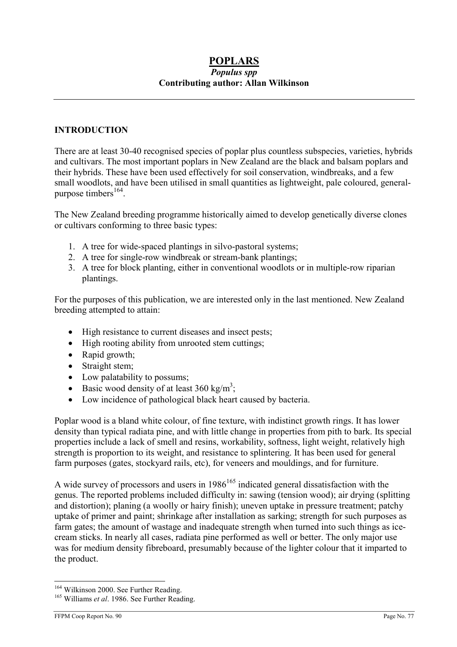### POPLARS Populus spp Contributing author: Allan Wilkinson

### INTRODUCTION

There are at least 30-40 recognised species of poplar plus countless subspecies, varieties, hybrids and cultivars. The most important poplars in New Zealand are the black and balsam poplars and their hybrids. These have been used effectively for soil conservation, windbreaks, and a few small woodlots, and have been utilised in small quantities as lightweight, pale coloured, generalpurpose timbers<sup>164</sup>.

The New Zealand breeding programme historically aimed to develop genetically diverse clones or cultivars conforming to three basic types:

- 1. A tree for wide-spaced plantings in silvo-pastoral systems;
- 2. A tree for single-row windbreak or stream-bank plantings;
- 3. A tree for block planting, either in conventional woodlots or in multiple-row riparian plantings.

For the purposes of this publication, we are interested only in the last mentioned. New Zealand breeding attempted to attain:

- High resistance to current diseases and insect pests;
- High rooting ability from unrooted stem cuttings;
- Rapid growth;
- Straight stem;
- Low palatability to possums;
- Basic wood density of at least 360 kg/m<sup>3</sup>;
- Low incidence of pathological black heart caused by bacteria.

Poplar wood is a bland white colour, of fine texture, with indistinct growth rings. It has lower density than typical radiata pine, and with little change in properties from pith to bark. Its special properties include a lack of smell and resins, workability, softness, light weight, relatively high strength is proportion to its weight, and resistance to splintering. It has been used for general farm purposes (gates, stockyard rails, etc), for veneers and mouldings, and for furniture.

A wide survey of processors and users in  $1986^{165}$  indicated general dissatisfaction with the genus. The reported problems included difficulty in: sawing (tension wood); air drying (splitting and distortion); planing (a woolly or hairy finish); uneven uptake in pressure treatment; patchy uptake of primer and paint; shrinkage after installation as sarking; strength for such purposes as farm gates; the amount of wastage and inadequate strength when turned into such things as icecream sticks. In nearly all cases, radiata pine performed as well or better. The only major use was for medium density fibreboard, presumably because of the lighter colour that it imparted to the product.

<sup>&</sup>lt;sup>164</sup> Wilkinson 2000. See Further Reading.

 $165$  Williams *et al.* 1986. See Further Reading.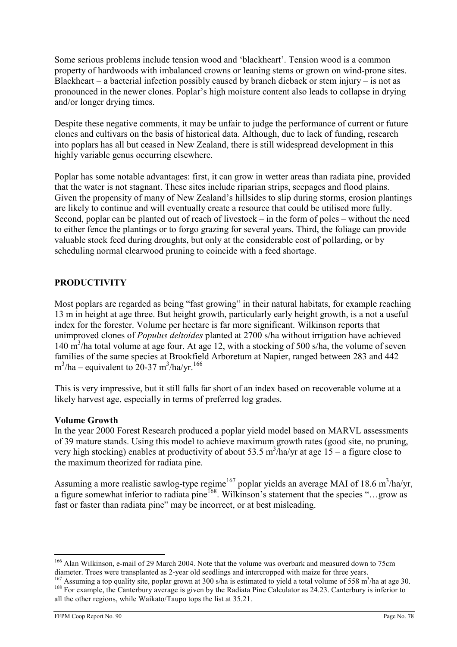Some serious problems include tension wood and 'blackheart'. Tension wood is a common property of hardwoods with imbalanced crowns or leaning stems or grown on wind-prone sites. Blackheart – a bacterial infection possibly caused by branch dieback or stem injury – is not as pronounced in the newer clones. Poplar's high moisture content also leads to collapse in drying and/or longer drying times.

Despite these negative comments, it may be unfair to judge the performance of current or future clones and cultivars on the basis of historical data. Although, due to lack of funding, research into poplars has all but ceased in New Zealand, there is still widespread development in this highly variable genus occurring elsewhere.

Poplar has some notable advantages: first, it can grow in wetter areas than radiata pine, provided that the water is not stagnant. These sites include riparian strips, seepages and flood plains. Given the propensity of many of New Zealand's hillsides to slip during storms, erosion plantings are likely to continue and will eventually create a resource that could be utilised more fully. Second, poplar can be planted out of reach of livestock – in the form of poles – without the need to either fence the plantings or to forgo grazing for several years. Third, the foliage can provide valuable stock feed during droughts, but only at the considerable cost of pollarding, or by scheduling normal clearwood pruning to coincide with a feed shortage.

## PRODUCTIVITY

Most poplars are regarded as being "fast growing" in their natural habitats, for example reaching 13 m in height at age three. But height growth, particularly early height growth, is a not a useful index for the forester. Volume per hectare is far more significant. Wilkinson reports that unimproved clones of Populus deltoides planted at 2700 s/ha without irrigation have achieved 140 m<sup>3</sup>/ha total volume at age four. At age 12, with a stocking of 500 s/ha, the volume of seven families of the same species at Brookfield Arboretum at Napier, ranged between 283 and 442  $\text{m}^3/\text{ha} - \text{equivalent to } 20-37 \text{ m}^3/\text{ha/yr.}^{166}$ 

This is very impressive, but it still falls far short of an index based on recoverable volume at a likely harvest age, especially in terms of preferred log grades.

#### Volume Growth

In the year 2000 Forest Research produced a poplar yield model based on MARVL assessments of 39 mature stands. Using this model to achieve maximum growth rates (good site, no pruning, very high stocking) enables at productivity of about 53.5 m<sup>3</sup>/ha/yr at age 15 – a figure close to the maximum theorized for radiata pine.

Assuming a more realistic sawlog-type regime<sup>167</sup> poplar yields an average MAI of 18.6 m<sup>3</sup>/ha/yr, a figure somewhat inferior to radiata pine<sup>168</sup>. Wilkinson's statement that the species "...grow as fast or faster than radiata pine" may be incorrect, or at best misleading.

 $\overline{a}$ <sup>166</sup> Alan Wilkinson, e-mail of 29 March 2004. Note that the volume was overbark and measured down to 75cm diameter. Trees were transplanted as 2-year old seedlings and intercropped with maize for three years.

 $167$  Assuming a top quality site, poplar grown at 300 s/ha is estimated to yield a total volume of 558 m<sup>3</sup>/ha at age 30. <sup>168</sup> For example, the Canterbury average is given by the Radiata Pine Calculator as 24.23. Canterbury is inferior to all the other regions, while Waikato/Taupo tops the list at 35.21.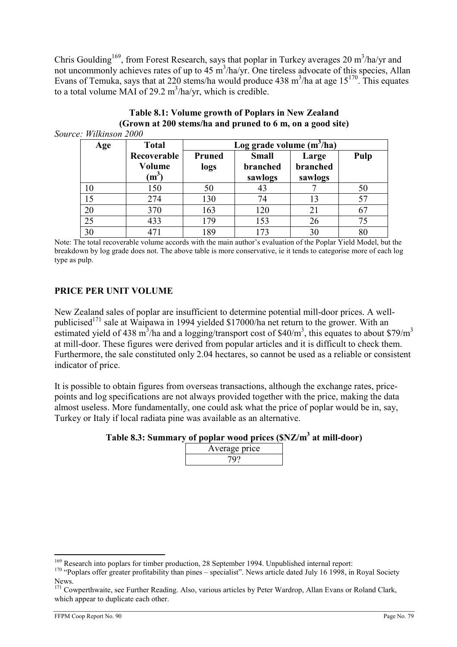Chris Goulding<sup>169</sup>, from Forest Research, says that poplar in Turkey averages 20 m<sup>3</sup>/ha/yr and not uncommonly achieves rates of up to 45 m<sup>3</sup>/ha/yr. One tireless advocate of this species, Allan Evans of Temuka, says that at 220 stems/ha would produce 438 m<sup>3</sup>/ha at age  $15^{170}$ . This equates to a total volume MAI of 29.2  $m^3/ha/yr$ , which is credible.

| Age | <b>Total</b>                                        | Log grade volume $(m^3/ha)$ |                                     |                              |      |
|-----|-----------------------------------------------------|-----------------------------|-------------------------------------|------------------------------|------|
|     | Recoverable<br>Volume<br>$\mathbf{m}^{\mathcal{S}}$ | <b>Pruned</b><br>logs       | <b>Small</b><br>branched<br>sawlogs | Large<br>branched<br>sawlogs | Pulp |
| 10  | 150                                                 | 50                          | 43                                  |                              | 50   |
| 15  | 274                                                 | 130                         | 74                                  | 13                           | 57   |
| 20  | 370                                                 | 163                         | 120                                 | 21                           | 67   |
| 25  | 433                                                 | 179                         | 153                                 | 26                           | 75   |
| 30  | 471                                                 | 189                         | 173                                 | 30                           | 80   |

#### Table 8.1: Volume growth of Poplars in New Zealand (Grown at 200 stems/ha and pruned to 6 m, on a good site) Source: Wilkinson 2000

30 | 471 | 189 | 173 | 30 | 80 Note: The total recoverable volume accords with the main author's evaluation of the Poplar Yield Model, but the breakdown by log grade does not. The above table is more conservative, ie it tends to categorise more of each log

# PRICE PER UNIT VOLUME

type as pulp.

New Zealand sales of poplar are insufficient to determine potential mill-door prices. A wellpublicised<sup>171</sup> sale at Waipawa in 1994 yielded \$17000/ha net return to the grower. With an estimated yield of 438 m<sup>3</sup>/ha and a logging/transport cost of \$40/m<sup>3</sup>, this equates to about \$79/m<sup>3</sup> at mill-door. These figures were derived from popular articles and it is difficult to check them. Furthermore, the sale constituted only 2.04 hectares, so cannot be used as a reliable or consistent indicator of price.

It is possible to obtain figures from overseas transactions, although the exchange rates, pricepoints and log specifications are not always provided together with the price, making the data almost useless. More fundamentally, one could ask what the price of poplar would be in, say, Turkey or Italy if local radiata pine was available as an alternative.

Table 8.3: Summary of poplar wood prices (\$NZ/m<sup>3</sup> at mill-door)

| Average price |  |
|---------------|--|
|               |  |

 $\overline{a}$ <sup>169</sup> Research into poplars for timber production, 28 September 1994. Unpublished internal report:

 $170$  "Poplars offer greater profitability than pines – specialist". News article dated July 16 1998, in Royal Society News.

<sup>&</sup>lt;sup>171</sup> Cowperthwaite, see Further Reading. Also, various articles by Peter Wardrop, Allan Evans or Roland Clark, which appear to duplicate each other.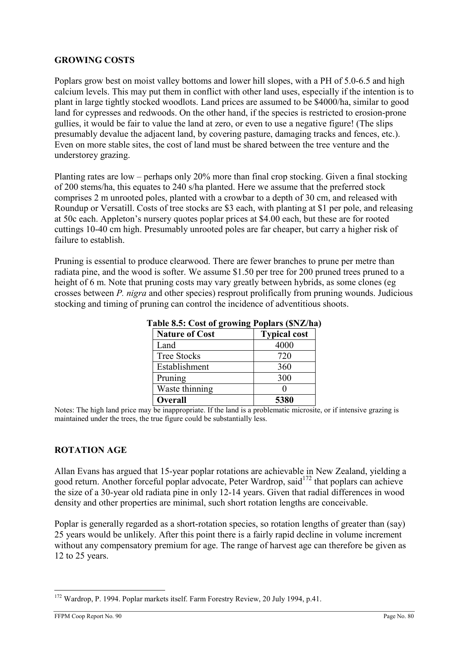### GROWING COSTS

Poplars grow best on moist valley bottoms and lower hill slopes, with a PH of 5.0-6.5 and high calcium levels. This may put them in conflict with other land uses, especially if the intention is to plant in large tightly stocked woodlots. Land prices are assumed to be \$4000/ha, similar to good land for cypresses and redwoods. On the other hand, if the species is restricted to erosion-prone gullies, it would be fair to value the land at zero, or even to use a negative figure! (The slips presumably devalue the adjacent land, by covering pasture, damaging tracks and fences, etc.). Even on more stable sites, the cost of land must be shared between the tree venture and the understorey grazing.

Planting rates are low – perhaps only 20% more than final crop stocking. Given a final stocking of 200 stems/ha, this equates to 240 s/ha planted. Here we assume that the preferred stock comprises 2 m unrooted poles, planted with a crowbar to a depth of 30 cm, and released with Roundup or Versatill. Costs of tree stocks are \$3 each, with planting at \$1 per pole, and releasing at 50c each. Appleton's nursery quotes poplar prices at \$4.00 each, but these are for rooted cuttings 10-40 cm high. Presumably unrooted poles are far cheaper, but carry a higher risk of failure to establish.

Pruning is essential to produce clearwood. There are fewer branches to prune per metre than radiata pine, and the wood is softer. We assume \$1.50 per tree for 200 pruned trees pruned to a height of 6 m. Note that pruning costs may vary greatly between hybrids, as some clones (eg crosses between P. nigra and other species) resprout prolifically from pruning wounds. Judicious stocking and timing of pruning can control the incidence of adventitious shoots.

| $\frac{1}{2}$ and $\frac{1}{2}$ of $\frac{1}{2}$ of $\frac{1}{2}$ of $\frac{1}{2}$ of $\frac{1}{2}$ of $\frac{1}{2}$ of $\frac{1}{2}$ of $\frac{1}{2}$ |                     |  |
|--------------------------------------------------------------------------------------------------------------------------------------------------------|---------------------|--|
| <b>Nature of Cost</b>                                                                                                                                  | <b>Typical cost</b> |  |
| Land                                                                                                                                                   | 4000                |  |
| <b>Tree Stocks</b>                                                                                                                                     | 720                 |  |
| Establishment                                                                                                                                          | 360                 |  |
| Pruning                                                                                                                                                | 300                 |  |
| Waste thinning                                                                                                                                         |                     |  |
| <b>Overall</b>                                                                                                                                         | 5380                |  |

Table 8.5: Cost of growing Poplars (\$NZ/ha)

Notes: The high land price may be inappropriate. If the land is a problematic microsite, or if intensive grazing is maintained under the trees, the true figure could be substantially less.

### ROTATION AGE

Allan Evans has argued that 15-year poplar rotations are achievable in New Zealand, yielding a good return. Another forceful poplar advocate, Peter Wardrop, said<sup>172</sup> that poplars can achieve the size of a 30-year old radiata pine in only 12-14 years. Given that radial differences in wood density and other properties are minimal, such short rotation lengths are conceivable.

Poplar is generally regarded as a short-rotation species, so rotation lengths of greater than (say) 25 years would be unlikely. After this point there is a fairly rapid decline in volume increment without any compensatory premium for age. The range of harvest age can therefore be given as 12 to 25 years.

 $\overline{a}$  $172$  Wardrop, P. 1994. Poplar markets itself. Farm Forestry Review, 20 July 1994, p.41.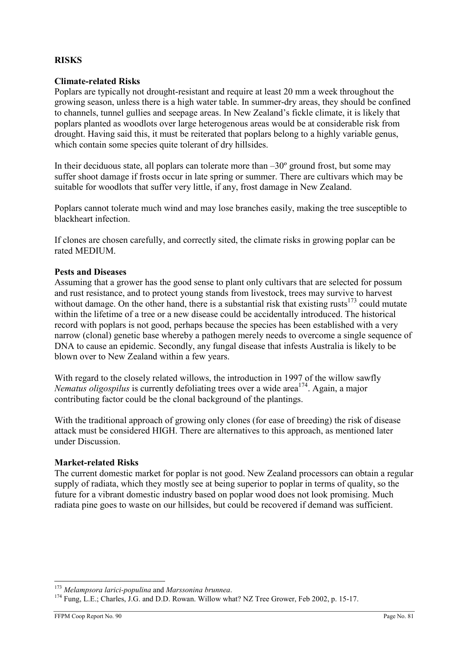### RISKS

### Climate-related Risks

Poplars are typically not drought-resistant and require at least 20 mm a week throughout the growing season, unless there is a high water table. In summer-dry areas, they should be confined to channels, tunnel gullies and seepage areas. In New Zealand's fickle climate, it is likely that poplars planted as woodlots over large heterogenous areas would be at considerable risk from drought. Having said this, it must be reiterated that poplars belong to a highly variable genus, which contain some species quite tolerant of dry hillsides.

In their deciduous state, all poplars can tolerate more than  $-30^{\circ}$  ground frost, but some may suffer shoot damage if frosts occur in late spring or summer. There are cultivars which may be suitable for woodlots that suffer very little, if any, frost damage in New Zealand.

Poplars cannot tolerate much wind and may lose branches easily, making the tree susceptible to blackheart infection.

If clones are chosen carefully, and correctly sited, the climate risks in growing poplar can be rated MEDIUM.

#### Pests and Diseases

Assuming that a grower has the good sense to plant only cultivars that are selected for possum and rust resistance, and to protect young stands from livestock, trees may survive to harvest without damage. On the other hand, there is a substantial risk that existing rusts $173$  could mutate within the lifetime of a tree or a new disease could be accidentally introduced. The historical record with poplars is not good, perhaps because the species has been established with a very narrow (clonal) genetic base whereby a pathogen merely needs to overcome a single sequence of DNA to cause an epidemic. Secondly, any fungal disease that infests Australia is likely to be blown over to New Zealand within a few years.

With regard to the closely related willows, the introduction in 1997 of the willow sawfly Nematus oligospilus is currently defoliating trees over a wide area<sup>174</sup>. Again, a major contributing factor could be the clonal background of the plantings.

With the traditional approach of growing only clones (for ease of breeding) the risk of disease attack must be considered HIGH. There are alternatives to this approach, as mentioned later under Discussion.

#### Market-related Risks

The current domestic market for poplar is not good. New Zealand processors can obtain a regular supply of radiata, which they mostly see at being superior to poplar in terms of quality, so the future for a vibrant domestic industry based on poplar wood does not look promising. Much radiata pine goes to waste on our hillsides, but could be recovered if demand was sufficient.

 $173$  Melampsora larici-populina and Marssonina brunnea.

<sup>&</sup>lt;sup>174</sup> Fung, L.E.; Charles, J.G. and D.D. Rowan. Willow what? NZ Tree Grower, Feb 2002, p. 15-17.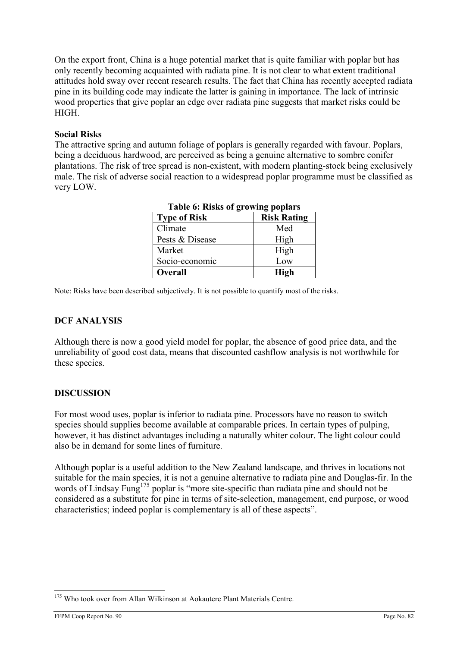On the export front, China is a huge potential market that is quite familiar with poplar but has only recently becoming acquainted with radiata pine. It is not clear to what extent traditional attitudes hold sway over recent research results. The fact that China has recently accepted radiata pine in its building code may indicate the latter is gaining in importance. The lack of intrinsic wood properties that give poplar an edge over radiata pine suggests that market risks could be HIGH.

### Social Risks

The attractive spring and autumn foliage of poplars is generally regarded with favour. Poplars, being a deciduous hardwood, are perceived as being a genuine alternative to sombre conifer plantations. The risk of tree spread is non-existent, with modern planting-stock being exclusively male. The risk of adverse social reaction to a widespread poplar programme must be classified as very LOW.

| Table v. Kisks vi growing popiars |                    |  |
|-----------------------------------|--------------------|--|
| <b>Type of Risk</b>               | <b>Risk Rating</b> |  |
| Climate                           | Med                |  |
| Pests & Disease                   | High               |  |
| Market                            | High               |  |
| Socio-economic                    | Low                |  |
| <b>Overall</b>                    | <b>High</b>        |  |

Table 6: Risks of growing poplars

Note: Risks have been described subjectively. It is not possible to quantify most of the risks.

### DCF ANALYSIS

Although there is now a good yield model for poplar, the absence of good price data, and the unreliability of good cost data, means that discounted cashflow analysis is not worthwhile for these species.

#### **DISCUSSION**

For most wood uses, poplar is inferior to radiata pine. Processors have no reason to switch species should supplies become available at comparable prices. In certain types of pulping, however, it has distinct advantages including a naturally whiter colour. The light colour could also be in demand for some lines of furniture.

Although poplar is a useful addition to the New Zealand landscape, and thrives in locations not suitable for the main species, it is not a genuine alternative to radiata pine and Douglas-fir. In the words of Lindsay Fung<sup>175</sup> poplar is "more site-specific than radiata pine and should not be considered as a substitute for pine in terms of site-selection, management, end purpose, or wood characteristics; indeed poplar is complementary is all of these aspects".

<sup>&</sup>lt;sup>175</sup> Who took over from Allan Wilkinson at Aokautere Plant Materials Centre.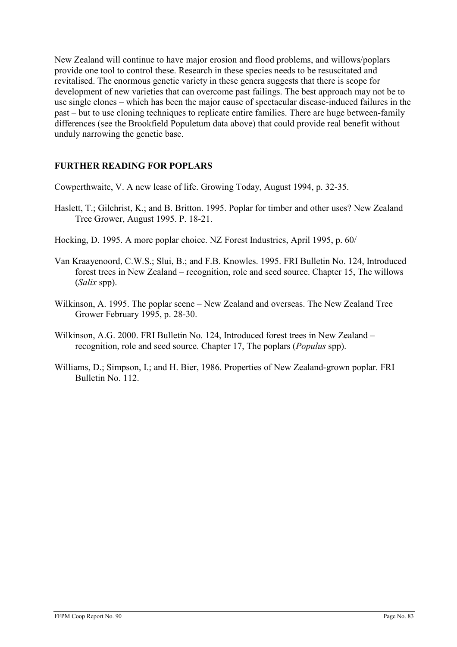New Zealand will continue to have major erosion and flood problems, and willows/poplars provide one tool to control these. Research in these species needs to be resuscitated and revitalised. The enormous genetic variety in these genera suggests that there is scope for development of new varieties that can overcome past failings. The best approach may not be to use single clones – which has been the major cause of spectacular disease-induced failures in the past – but to use cloning techniques to replicate entire families. There are huge between-family differences (see the Brookfield Populetum data above) that could provide real benefit without unduly narrowing the genetic base.

# FURTHER READING FOR POPLARS

Cowperthwaite, V. A new lease of life. Growing Today, August 1994, p. 32-35.

- Haslett, T.; Gilchrist, K.; and B. Britton. 1995. Poplar for timber and other uses? New Zealand Tree Grower, August 1995. P. 18-21.
- Hocking, D. 1995. A more poplar choice. NZ Forest Industries, April 1995, p. 60/
- Van Kraayenoord, C.W.S.; Slui, B.; and F.B. Knowles. 1995. FRI Bulletin No. 124, Introduced forest trees in New Zealand – recognition, role and seed source. Chapter 15, The willows (Salix spp).
- Wilkinson, A. 1995. The poplar scene New Zealand and overseas. The New Zealand Tree Grower February 1995, p. 28-30.
- Wilkinson, A.G. 2000. FRI Bulletin No. 124, Introduced forest trees in New Zealand recognition, role and seed source. Chapter 17, The poplars (Populus spp).
- Williams, D.; Simpson, I.; and H. Bier, 1986. Properties of New Zealand-grown poplar. FRI Bulletin No. 112.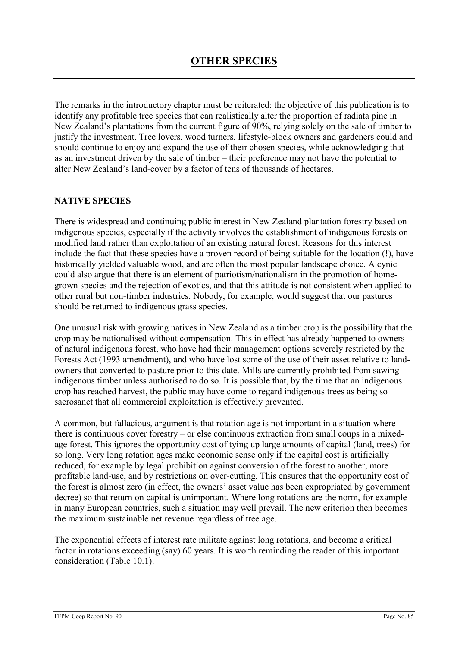The remarks in the introductory chapter must be reiterated: the objective of this publication is to identify any profitable tree species that can realistically alter the proportion of radiata pine in New Zealand's plantations from the current figure of 90%, relying solely on the sale of timber to justify the investment. Tree lovers, wood turners, lifestyle-block owners and gardeners could and should continue to enjoy and expand the use of their chosen species, while acknowledging that – as an investment driven by the sale of timber – their preference may not have the potential to alter New Zealand's land-cover by a factor of tens of thousands of hectares.

### NATIVE SPECIES

There is widespread and continuing public interest in New Zealand plantation forestry based on indigenous species, especially if the activity involves the establishment of indigenous forests on modified land rather than exploitation of an existing natural forest. Reasons for this interest include the fact that these species have a proven record of being suitable for the location (!), have historically yielded valuable wood, and are often the most popular landscape choice. A cynic could also argue that there is an element of patriotism/nationalism in the promotion of homegrown species and the rejection of exotics, and that this attitude is not consistent when applied to other rural but non-timber industries. Nobody, for example, would suggest that our pastures should be returned to indigenous grass species.

One unusual risk with growing natives in New Zealand as a timber crop is the possibility that the crop may be nationalised without compensation. This in effect has already happened to owners of natural indigenous forest, who have had their management options severely restricted by the Forests Act (1993 amendment), and who have lost some of the use of their asset relative to landowners that converted to pasture prior to this date. Mills are currently prohibited from sawing indigenous timber unless authorised to do so. It is possible that, by the time that an indigenous crop has reached harvest, the public may have come to regard indigenous trees as being so sacrosanct that all commercial exploitation is effectively prevented.

A common, but fallacious, argument is that rotation age is not important in a situation where there is continuous cover forestry – or else continuous extraction from small coups in a mixedage forest. This ignores the opportunity cost of tying up large amounts of capital (land, trees) for so long. Very long rotation ages make economic sense only if the capital cost is artificially reduced, for example by legal prohibition against conversion of the forest to another, more profitable land-use, and by restrictions on over-cutting. This ensures that the opportunity cost of the forest is almost zero (in effect, the owners' asset value has been expropriated by government decree) so that return on capital is unimportant. Where long rotations are the norm, for example in many European countries, such a situation may well prevail. The new criterion then becomes the maximum sustainable net revenue regardless of tree age.

The exponential effects of interest rate militate against long rotations, and become a critical factor in rotations exceeding (say) 60 years. It is worth reminding the reader of this important consideration (Table 10.1).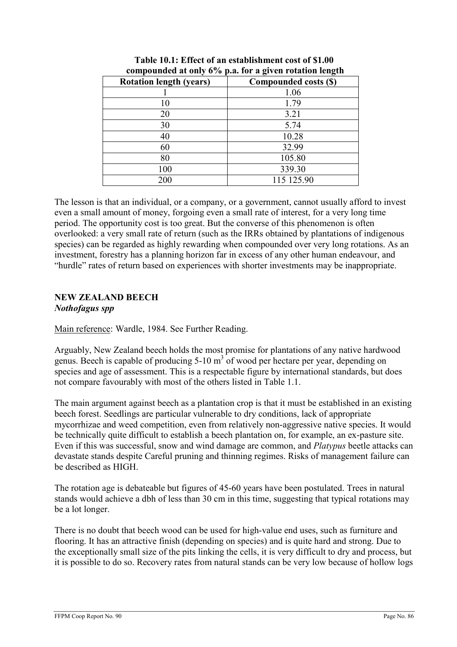| $\frac{1}{2}$<br>$P_{\text{max}}$ for $\mathbf{w}$ given reconcident realiging |                       |  |
|--------------------------------------------------------------------------------|-----------------------|--|
| <b>Rotation length (years)</b>                                                 | Compounded costs (\$) |  |
|                                                                                | 1.06                  |  |
| 10                                                                             | 1.79                  |  |
| 20                                                                             | 3.21                  |  |
| 30                                                                             | 5.74                  |  |
| 40                                                                             | 10.28                 |  |
| 60                                                                             | 32.99                 |  |
| 80                                                                             | 105.80                |  |
| 100                                                                            | 339.30                |  |
| 200                                                                            | 115 125.90            |  |

| Table 10.1: Effect of an establishment cost of \$1.00  |
|--------------------------------------------------------|
| compounded at only 6% p.a. for a given rotation length |

The lesson is that an individual, or a company, or a government, cannot usually afford to invest even a small amount of money, forgoing even a small rate of interest, for a very long time period. The opportunity cost is too great. But the converse of this phenomenon is often overlooked: a very small rate of return (such as the IRRs obtained by plantations of indigenous species) can be regarded as highly rewarding when compounded over very long rotations. As an investment, forestry has a planning horizon far in excess of any other human endeavour, and "hurdle" rates of return based on experiences with shorter investments may be inappropriate.

# NEW ZEALAND BEECH

### Nothofagus spp

Main reference: Wardle, 1984. See Further Reading.

Arguably, New Zealand beech holds the most promise for plantations of any native hardwood genus. Beech is capable of producing  $5{\text -}10 \text{ m}^3$  of wood per hectare per year, depending on species and age of assessment. This is a respectable figure by international standards, but does not compare favourably with most of the others listed in Table 1.1.

The main argument against beech as a plantation crop is that it must be established in an existing beech forest. Seedlings are particular vulnerable to dry conditions, lack of appropriate mycorrhizae and weed competition, even from relatively non-aggressive native species. It would be technically quite difficult to establish a beech plantation on, for example, an ex-pasture site. Even if this was successful, snow and wind damage are common, and Platypus beetle attacks can devastate stands despite Careful pruning and thinning regimes. Risks of management failure can be described as HIGH.

The rotation age is debateable but figures of 45-60 years have been postulated. Trees in natural stands would achieve a dbh of less than 30 cm in this time, suggesting that typical rotations may be a lot longer.

There is no doubt that beech wood can be used for high-value end uses, such as furniture and flooring. It has an attractive finish (depending on species) and is quite hard and strong. Due to the exceptionally small size of the pits linking the cells, it is very difficult to dry and process, but it is possible to do so. Recovery rates from natural stands can be very low because of hollow logs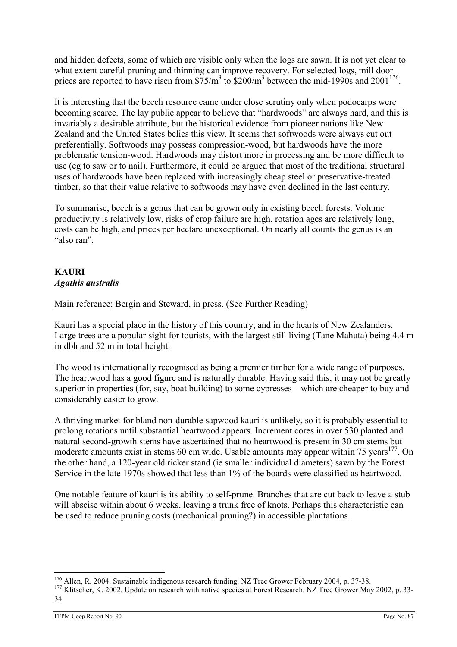and hidden defects, some of which are visible only when the logs are sawn. It is not yet clear to what extent careful pruning and thinning can improve recovery. For selected logs, mill door prices are reported to have risen from  $\frac{$75}{m^3}$  to  $\frac{$200}{m^3}$  between the mid-1990s and 2001<sup>176</sup>.

It is interesting that the beech resource came under close scrutiny only when podocarps were becoming scarce. The lay public appear to believe that "hardwoods" are always hard, and this is invariably a desirable attribute, but the historical evidence from pioneer nations like New Zealand and the United States belies this view. It seems that softwoods were always cut out preferentially. Softwoods may possess compression-wood, but hardwoods have the more problematic tension-wood. Hardwoods may distort more in processing and be more difficult to use (eg to saw or to nail). Furthermore, it could be argued that most of the traditional structural uses of hardwoods have been replaced with increasingly cheap steel or preservative-treated timber, so that their value relative to softwoods may have even declined in the last century.

To summarise, beech is a genus that can be grown only in existing beech forests. Volume productivity is relatively low, risks of crop failure are high, rotation ages are relatively long, costs can be high, and prices per hectare unexceptional. On nearly all counts the genus is an "also ran".

# KAURI Agathis australis

Main reference: Bergin and Steward, in press. (See Further Reading)

Kauri has a special place in the history of this country, and in the hearts of New Zealanders. Large trees are a popular sight for tourists, with the largest still living (Tane Mahuta) being 4.4 m in dbh and 52 m in total height.

The wood is internationally recognised as being a premier timber for a wide range of purposes. The heartwood has a good figure and is naturally durable. Having said this, it may not be greatly superior in properties (for, say, boat building) to some cypresses – which are cheaper to buy and considerably easier to grow.

A thriving market for bland non-durable sapwood kauri is unlikely, so it is probably essential to prolong rotations until substantial heartwood appears. Increment cores in over 530 planted and natural second-growth stems have ascertained that no heartwood is present in 30 cm stems but moderate amounts exist in stems 60 cm wide. Usable amounts may appear within 75 years<sup>177</sup>. On the other hand, a 120-year old ricker stand (ie smaller individual diameters) sawn by the Forest Service in the late 1970s showed that less than 1% of the boards were classified as heartwood.

One notable feature of kauri is its ability to self-prune. Branches that are cut back to leave a stub will abscise within about 6 weeks, leaving a trunk free of knots. Perhaps this characteristic can be used to reduce pruning costs (mechanical pruning?) in accessible plantations.

 $\overline{a}$ <sup>176</sup> Allen, R. 2004. Sustainable indigenous research funding. NZ Tree Grower February 2004, p. 37-38.

<sup>&</sup>lt;sup>177</sup> Klitscher, K. 2002. Update on research with native species at Forest Research. NZ Tree Grower May 2002, p. 33-34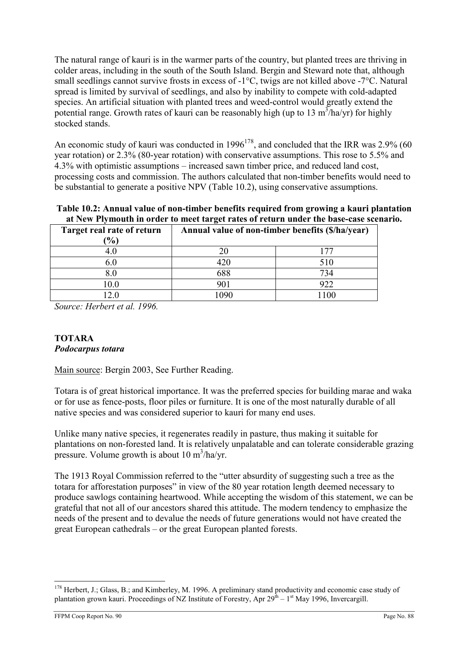The natural range of kauri is in the warmer parts of the country, but planted trees are thriving in colder areas, including in the south of the South Island. Bergin and Steward note that, although small seedlings cannot survive frosts in excess of -1°C, twigs are not killed above -7°C. Natural spread is limited by survival of seedlings, and also by inability to compete with cold-adapted species. An artificial situation with planted trees and weed-control would greatly extend the potential range. Growth rates of kauri can be reasonably high (up to 13  $\text{m}^3/\text{ha/yr}$ ) for highly stocked stands.

An economic study of kauri was conducted in  $1996^{178}$ , and concluded that the IRR was 2.9% (60 year rotation) or 2.3% (80-year rotation) with conservative assumptions. This rose to 5.5% and 4.3% with optimistic assumptions – increased sawn timber price, and reduced land cost, processing costs and commission. The authors calculated that non-timber benefits would need to be substantial to generate a positive NPV (Table 10.2), using conservative assumptions.

Table 10.2: Annual value of non-timber benefits required from growing a kauri plantation at New Plymouth in order to meet target rates of return under the base-case scenario.

| Target real rate of return | Annual value of non-timber benefits (\$/ha/year) |     |
|----------------------------|--------------------------------------------------|-----|
| $\frac{9}{0}$              |                                                  |     |
|                            |                                                  |     |
|                            |                                                  | 510 |
| $8.0\,$                    | 688                                              | 734 |
| 10.0                       | 901                                              | 922 |
|                            |                                                  |     |

Source: Herbert et al. 1996.

# TOTARA

### Podocarpus totara

Main source: Bergin 2003, See Further Reading.

Totara is of great historical importance. It was the preferred species for building marae and waka or for use as fence-posts, floor piles or furniture. It is one of the most naturally durable of all native species and was considered superior to kauri for many end uses.

Unlike many native species, it regenerates readily in pasture, thus making it suitable for plantations on non-forested land. It is relatively unpalatable and can tolerate considerable grazing pressure. Volume growth is about 10 m<sup>3</sup>/ha/yr.

The 1913 Royal Commission referred to the "utter absurdity of suggesting such a tree as the totara for afforestation purposes" in view of the 80 year rotation length deemed necessary to produce sawlogs containing heartwood. While accepting the wisdom of this statement, we can be grateful that not all of our ancestors shared this attitude. The modern tendency to emphasize the needs of the present and to devalue the needs of future generations would not have created the great European cathedrals – or the great European planted forests.

 $\overline{a}$  $178$  Herbert, J.; Glass, B.; and Kimberley, M. 1996. A preliminary stand productivity and economic case study of plantation grown kauri. Proceedings of NZ Institute of Forestry, Apr  $29<sup>th</sup> - 1<sup>st</sup>$  May 1996, Invercargill.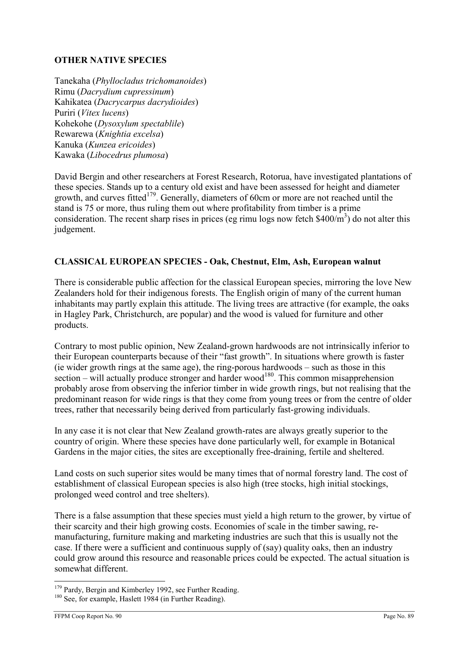## OTHER NATIVE SPECIES

Tanekaha (Phyllocladus trichomanoides) Rimu (Dacrydium cupressinum) Kahikatea (Dacrycarpus dacrydioides) Puriri (Vitex lucens) Kohekohe (Dysoxylum spectablile) Rewarewa (Knightia excelsa) Kanuka (Kunzea ericoides) Kawaka (Libocedrus plumosa)

David Bergin and other researchers at Forest Research, Rotorua, have investigated plantations of these species. Stands up to a century old exist and have been assessed for height and diameter growth, and curves fitted<sup>179</sup>. Generally, diameters of 60cm or more are not reached until the stand is 75 or more, thus ruling them out where profitability from timber is a prime consideration. The recent sharp rises in prices (eg rimu logs now fetch  $$400/m^3$ ) do not alter this judgement.

## CLASSICAL EUROPEAN SPECIES - Oak, Chestnut, Elm, Ash, European walnut

There is considerable public affection for the classical European species, mirroring the love New Zealanders hold for their indigenous forests. The English origin of many of the current human inhabitants may partly explain this attitude. The living trees are attractive (for example, the oaks in Hagley Park, Christchurch, are popular) and the wood is valued for furniture and other products.

Contrary to most public opinion, New Zealand-grown hardwoods are not intrinsically inferior to their European counterparts because of their "fast growth". In situations where growth is faster (ie wider growth rings at the same age), the ring-porous hardwoods – such as those in this section – will actually produce stronger and harder wood<sup>180</sup>. This common misapprehension probably arose from observing the inferior timber in wide growth rings, but not realising that the predominant reason for wide rings is that they come from young trees or from the centre of older trees, rather that necessarily being derived from particularly fast-growing individuals.

In any case it is not clear that New Zealand growth-rates are always greatly superior to the country of origin. Where these species have done particularly well, for example in Botanical Gardens in the major cities, the sites are exceptionally free-draining, fertile and sheltered.

Land costs on such superior sites would be many times that of normal forestry land. The cost of establishment of classical European species is also high (tree stocks, high initial stockings, prolonged weed control and tree shelters).

There is a false assumption that these species must yield a high return to the grower, by virtue of their scarcity and their high growing costs. Economies of scale in the timber sawing, remanufacturing, furniture making and marketing industries are such that this is usually not the case. If there were a sufficient and continuous supply of (say) quality oaks, then an industry could grow around this resource and reasonable prices could be expected. The actual situation is somewhat different.

 $\overline{a}$ <sup>179</sup> Pardy, Bergin and Kimberley 1992, see Further Reading.

<sup>&</sup>lt;sup>180</sup> See, for example, Haslett 1984 (in Further Reading).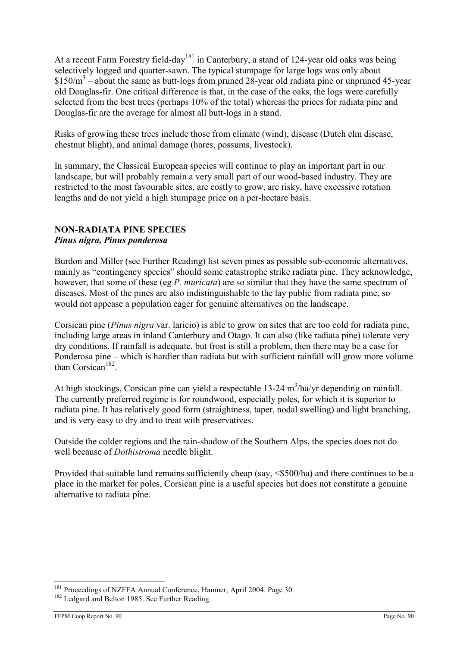At a recent Farm Forestry field-day<sup>181</sup> in Canterbury, a stand of 124-year old oaks was being selectively logged and quarter-sawn. The typical stumpage for large logs was only about  $$150/m<sup>3</sup>$  – about the same as butt-logs from pruned 28-year old radiata pine or unpruned 45-year old Douglas-fir. One critical difference is that, in the case of the oaks, the logs were carefully selected from the best trees (perhaps 10% of the total) whereas the prices for radiata pine and Douglas-fir are the average for almost all butt-logs in a stand.

Risks of growing these trees include those from climate (wind), disease (Dutch elm disease, chestnut blight), and animal damage (hares, possums, livestock).

In summary, the Classical European species will continue to play an important part in our landscape, but will probably remain a very small part of our wood-based industry. They are restricted to the most favourable sites, are costly to grow, are risky, have excessive rotation lengths and do not yield a high stumpage price on a per-hectare basis.

### NON-RADIATA PINE SPECIES Pinus nigra, Pinus ponderosa

Burdon and Miller (see Further Reading) list seven pines as possible sub-economic alternatives, mainly as "contingency species" should some catastrophe strike radiata pine. They acknowledge, however, that some of these (eg P. muricata) are so similar that they have the same spectrum of diseases. Most of the pines are also indistinguishable to the lay public from radiata pine, so would not appease a population eager for genuine alternatives on the landscape.

Corsican pine (Pinus nigra var. laricio) is able to grow on sites that are too cold for radiata pine, including large areas in inland Canterbury and Otago. It can also (like radiata pine) tolerate very dry conditions. If rainfall is adequate, but frost is still a problem, then there may be a case for Ponderosa pine – which is hardier than radiata but with sufficient rainfall will grow more volume than Corsican<sup>182</sup>.

At high stockings, Corsican pine can yield a respectable  $13-24 \text{ m}^3/\text{ha/yr}$  depending on rainfall. The currently preferred regime is for roundwood, especially poles, for which it is superior to radiata pine. It has relatively good form (straightness, taper, nodal swelling) and light branching, and is very easy to dry and to treat with preservatives.

Outside the colder regions and the rain-shadow of the Southern Alps, the species does not do well because of *Dothistroma* needle blight.

Provided that suitable land remains sufficiently cheap (say,  $\leq$ \$500/ha) and there continues to be a place in the market for poles, Corsican pine is a useful species but does not constitute a genuine alternative to radiata pine.

 $\overline{a}$ <sup>181</sup> Proceedings of NZFFA Annual Conference, Hanmer, April 2004. Page 30.

<sup>&</sup>lt;sup>182</sup> Ledgard and Belton 1985. See Further Reading.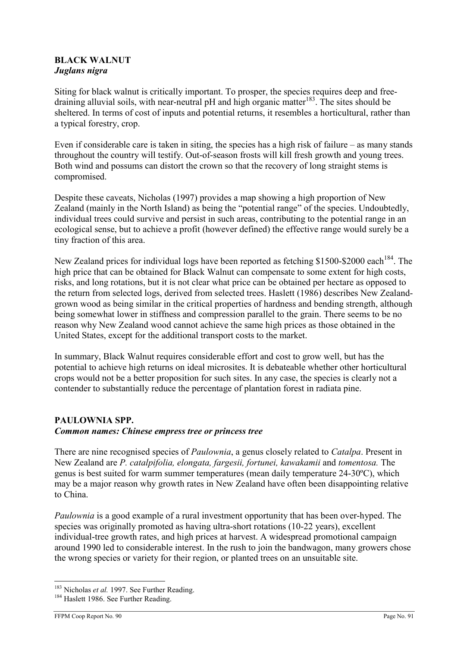### BLACK WALNUT Juglans nigra

Siting for black walnut is critically important. To prosper, the species requires deep and freedraining alluvial soils, with near-neutral pH and high organic matter<sup>183</sup>. The sites should be sheltered. In terms of cost of inputs and potential returns, it resembles a horticultural, rather than a typical forestry, crop.

Even if considerable care is taken in siting, the species has a high risk of failure – as many stands throughout the country will testify. Out-of-season frosts will kill fresh growth and young trees. Both wind and possums can distort the crown so that the recovery of long straight stems is compromised.

Despite these caveats, Nicholas (1997) provides a map showing a high proportion of New Zealand (mainly in the North Island) as being the "potential range" of the species. Undoubtedly, individual trees could survive and persist in such areas, contributing to the potential range in an ecological sense, but to achieve a profit (however defined) the effective range would surely be a tiny fraction of this area.

New Zealand prices for individual logs have been reported as fetching \$1500-\$2000 each<sup>184</sup>. The high price that can be obtained for Black Walnut can compensate to some extent for high costs, risks, and long rotations, but it is not clear what price can be obtained per hectare as opposed to the return from selected logs, derived from selected trees. Haslett (1986) describes New Zealandgrown wood as being similar in the critical properties of hardness and bending strength, although being somewhat lower in stiffness and compression parallel to the grain. There seems to be no reason why New Zealand wood cannot achieve the same high prices as those obtained in the United States, except for the additional transport costs to the market.

In summary, Black Walnut requires considerable effort and cost to grow well, but has the potential to achieve high returns on ideal microsites. It is debateable whether other horticultural crops would not be a better proposition for such sites. In any case, the species is clearly not a contender to substantially reduce the percentage of plantation forest in radiata pine.

# PAULOWNIA SPP. Common names: Chinese empress tree or princess tree

There are nine recognised species of *Paulownia*, a genus closely related to *Catalpa*. Present in New Zealand are P. catalpifolia, elongata, fargesii, fortunei, kawakamii and tomentosa. The genus is best suited for warm summer temperatures (mean daily temperature 24-30ºC), which may be a major reason why growth rates in New Zealand have often been disappointing relative to China.

Paulownia is a good example of a rural investment opportunity that has been over-hyped. The species was originally promoted as having ultra-short rotations (10-22 years), excellent individual-tree growth rates, and high prices at harvest. A widespread promotional campaign around 1990 led to considerable interest. In the rush to join the bandwagon, many growers chose the wrong species or variety for their region, or planted trees on an unsuitable site.

<sup>&</sup>lt;sup>183</sup> Nicholas et al. 1997. See Further Reading.

<sup>&</sup>lt;sup>184</sup> Haslett 1986. See Further Reading.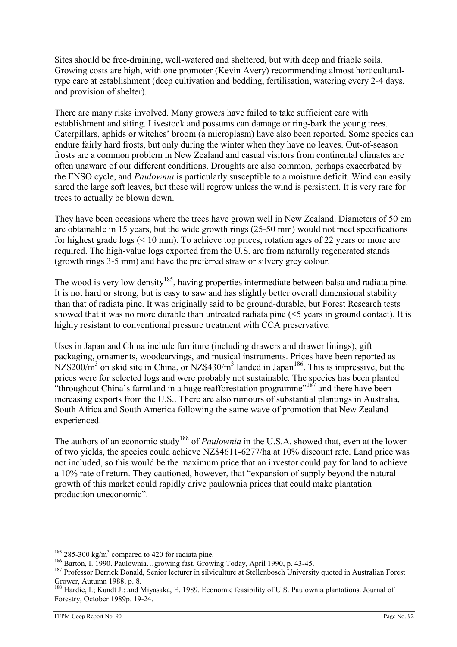Sites should be free-draining, well-watered and sheltered, but with deep and friable soils. Growing costs are high, with one promoter (Kevin Avery) recommending almost horticulturaltype care at establishment (deep cultivation and bedding, fertilisation, watering every 2-4 days, and provision of shelter).

There are many risks involved. Many growers have failed to take sufficient care with establishment and siting. Livestock and possums can damage or ring-bark the young trees. Caterpillars, aphids or witches' broom (a microplasm) have also been reported. Some species can endure fairly hard frosts, but only during the winter when they have no leaves. Out-of-season frosts are a common problem in New Zealand and casual visitors from continental climates are often unaware of our different conditions. Droughts are also common, perhaps exacerbated by the ENSO cycle, and Paulownia is particularly susceptible to a moisture deficit. Wind can easily shred the large soft leaves, but these will regrow unless the wind is persistent. It is very rare for trees to actually be blown down.

They have been occasions where the trees have grown well in New Zealand. Diameters of 50 cm are obtainable in 15 years, but the wide growth rings (25-50 mm) would not meet specifications for highest grade logs (< 10 mm). To achieve top prices, rotation ages of 22 years or more are required. The high-value logs exported from the U.S. are from naturally regenerated stands (growth rings 3-5 mm) and have the preferred straw or silvery grey colour.

The wood is very low density<sup>185</sup>, having properties intermediate between balsa and radiata pine. It is not hard or strong, but is easy to saw and has slightly better overall dimensional stability than that of radiata pine. It was originally said to be ground-durable, but Forest Research tests showed that it was no more durable than untreated radiata pine (<5 years in ground contact). It is highly resistant to conventional pressure treatment with CCA preservative.

Uses in Japan and China include furniture (including drawers and drawer linings), gift packaging, ornaments, woodcarvings, and musical instruments. Prices have been reported as  $NZ$200/m<sup>3</sup>$  on skid site in China, or  $NZ$430/m<sup>3</sup>$  landed in Japan<sup>186</sup>. This is impressive, but the prices were for selected logs and were probably not sustainable. The species has been planted "throughout China's farmland in a huge reafforestation programme"<sup>187</sup> and there have been increasing exports from the U.S.. There are also rumours of substantial plantings in Australia, South Africa and South America following the same wave of promotion that New Zealand experienced.

The authors of an economic study<sup>188</sup> of *Paulownia* in the U.S.A. showed that, even at the lower of two yields, the species could achieve NZ\$4611-6277/ha at 10% discount rate. Land price was not included, so this would be the maximum price that an investor could pay for land to achieve a 10% rate of return. They cautioned, however, that "expansion of supply beyond the natural growth of this market could rapidly drive paulownia prices that could make plantation production uneconomic".

 $\overline{a}$  $185$  285-300 kg/m<sup>3</sup> compared to 420 for radiata pine.

<sup>186</sup> Barton, I. 1990. Paulownia…growing fast. Growing Today, April 1990, p. 43-45.

<sup>&</sup>lt;sup>187</sup> Professor Derrick Donald, Senior lecturer in silviculture at Stellenbosch University quoted in Australian Forest Grower, Autumn 1988, p. 8.

<sup>188</sup> Hardie, I.; Kundt J.: and Miyasaka, E. 1989. Economic feasibility of U.S. Paulownia plantations. Journal of Forestry, October 1989p. 19-24.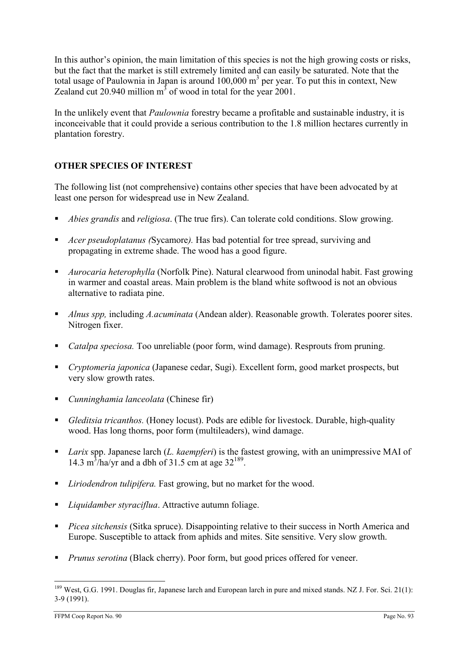In this author's opinion, the main limitation of this species is not the high growing costs or risks, but the fact that the market is still extremely limited and can easily be saturated. Note that the total usage of Paulownia in Japan is around  $100,000 \text{ m}^3$  per year. To put this in context, New Zealand cut 20.940 million  $m^3$  of wood in total for the year 2001.

In the unlikely event that Paulownia forestry became a profitable and sustainable industry, it is inconceivable that it could provide a serious contribution to the 1.8 million hectares currently in plantation forestry.

# OTHER SPECIES OF INTEREST

The following list (not comprehensive) contains other species that have been advocated by at least one person for widespread use in New Zealand.

- Abies grandis and religiosa. (The true firs). Can tolerate cold conditions. Slow growing.
- Acer pseudoplatanus (Sycamore). Has bad potential for tree spread, surviving and propagating in extreme shade. The wood has a good figure.
- Aurocaria heterophylla (Norfolk Pine). Natural clearwood from uninodal habit. Fast growing in warmer and coastal areas. Main problem is the bland white softwood is not an obvious alternative to radiata pine.
- Alnus spp, including A.acuminata (Andean alder). Reasonable growth. Tolerates poorer sites. Nitrogen fixer.
- *Catalpa speciosa*. Too unreliable (poor form, wind damage). Resprouts from pruning.
- Cryptomeria japonica (Japanese cedar, Sugi). Excellent form, good market prospects, but very slow growth rates.
- Cunninghamia lanceolata (Chinese fir)
- Gleditsia tricanthos. (Honey locust). Pods are edible for livestock. Durable, high-quality wood. Has long thorns, poor form (multileaders), wind damage.
- Larix spp. Japanese larch (*L. kaempferi*) is the fastest growing, with an unimpressive MAI of 14.3 m<sup>3</sup>/ha/yr and a dbh of 31.5 cm at age  $32^{189}$ .
- *Liriodendron tulipifera*. Fast growing, but no market for the wood.
- *Liquidamber styraciflua*. Attractive autumn foliage.
- Picea sitchensis (Sitka spruce). Disappointing relative to their success in North America and Europe. Susceptible to attack from aphids and mites. Site sensitive. Very slow growth.
- **Prunus serotina (Black cherry). Poor form, but good prices offered for veneer.**

 $\overline{a}$ <sup>189</sup> West, G.G. 1991. Douglas fir, Japanese larch and European larch in pure and mixed stands. NZ J. For. Sci. 21(1): 3-9 (1991).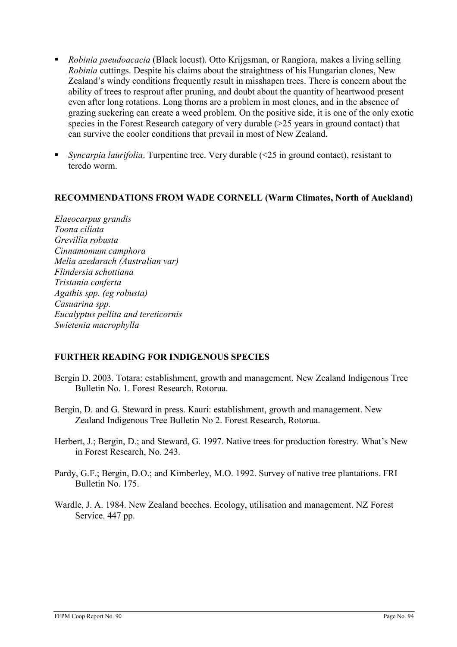- *Robinia pseudoacacia* (Black locust). Otto Krijgsman, or Rangiora, makes a living selling Robinia cuttings. Despite his claims about the straightness of his Hungarian clones, New Zealand's windy conditions frequently result in misshapen trees. There is concern about the ability of trees to resprout after pruning, and doubt about the quantity of heartwood present even after long rotations. Long thorns are a problem in most clones, and in the absence of grazing suckering can create a weed problem. On the positive side, it is one of the only exotic species in the Forest Research category of very durable (>25 years in ground contact) that can survive the cooler conditions that prevail in most of New Zealand.
- Syncarpia laurifolia. Turpentine tree. Very durable (<25 in ground contact), resistant to teredo worm.

### RECOMMENDATIONS FROM WADE CORNELL (Warm Climates, North of Auckland)

Elaeocarpus grandis Toona ciliata Grevillia robusta Cinnamomum camphora Melia azedarach (Australian var) Flindersia schottiana Tristania conferta Agathis spp. (eg robusta) Casuarina spp. Eucalyptus pellita and tereticornis Swietenia macrophylla

### FURTHER READING FOR INDIGENOUS SPECIES

- Bergin D. 2003. Totara: establishment, growth and management. New Zealand Indigenous Tree Bulletin No. 1. Forest Research, Rotorua.
- Bergin, D. and G. Steward in press. Kauri: establishment, growth and management. New Zealand Indigenous Tree Bulletin No 2. Forest Research, Rotorua.
- Herbert, J.; Bergin, D.; and Steward, G. 1997. Native trees for production forestry. What's New in Forest Research, No. 243.
- Pardy, G.F.; Bergin, D.O.; and Kimberley, M.O. 1992. Survey of native tree plantations. FRI Bulletin No. 175.
- Wardle, J. A. 1984. New Zealand beeches. Ecology, utilisation and management. NZ Forest Service. 447 pp.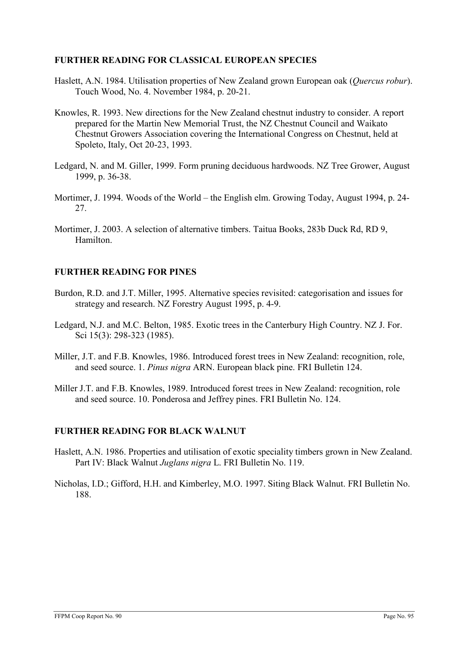### FURTHER READING FOR CLASSICAL EUROPEAN SPECIES

- Haslett, A.N. 1984. Utilisation properties of New Zealand grown European oak (*Ouercus robur*). Touch Wood, No. 4. November 1984, p. 20-21.
- Knowles, R. 1993. New directions for the New Zealand chestnut industry to consider. A report prepared for the Martin New Memorial Trust, the NZ Chestnut Council and Waikato Chestnut Growers Association covering the International Congress on Chestnut, held at Spoleto, Italy, Oct 20-23, 1993.
- Ledgard, N. and M. Giller, 1999. Form pruning deciduous hardwoods. NZ Tree Grower, August 1999, p. 36-38.
- Mortimer, J. 1994. Woods of the World the English elm. Growing Today, August 1994, p. 24- 27.
- Mortimer, J. 2003. A selection of alternative timbers. Taitua Books, 283b Duck Rd, RD 9, Hamilton.

### FURTHER READING FOR PINES

- Burdon, R.D. and J.T. Miller, 1995. Alternative species revisited: categorisation and issues for strategy and research. NZ Forestry August 1995, p. 4-9.
- Ledgard, N.J. and M.C. Belton, 1985. Exotic trees in the Canterbury High Country. NZ J. For. Sci 15(3): 298-323 (1985).
- Miller, J.T. and F.B. Knowles, 1986. Introduced forest trees in New Zealand: recognition, role, and seed source. 1. Pinus nigra ARN. European black pine. FRI Bulletin 124.
- Miller J.T. and F.B. Knowles, 1989. Introduced forest trees in New Zealand: recognition, role and seed source. 10. Ponderosa and Jeffrey pines. FRI Bulletin No. 124.

### FURTHER READING FOR BLACK WALNUT

- Haslett, A.N. 1986. Properties and utilisation of exotic speciality timbers grown in New Zealand. Part IV: Black Walnut Juglans nigra L. FRI Bulletin No. 119.
- Nicholas, I.D.; Gifford, H.H. and Kimberley, M.O. 1997. Siting Black Walnut. FRI Bulletin No. 188.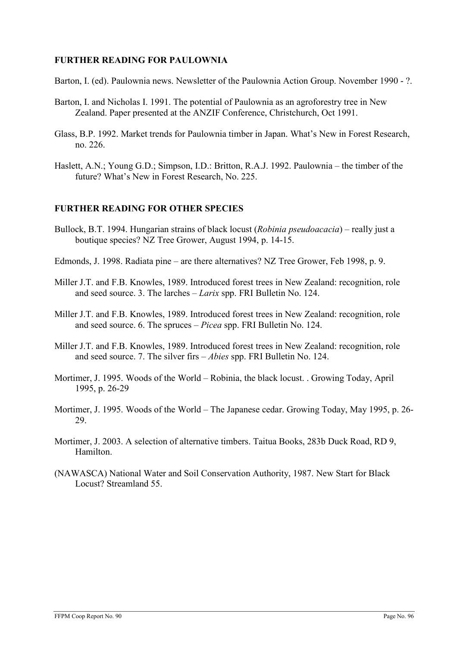### FURTHER READING FOR PAULOWNIA

Barton, I. (ed). Paulownia news. Newsletter of the Paulownia Action Group. November 1990 - ?.

- Barton, I. and Nicholas I. 1991. The potential of Paulownia as an agroforestry tree in New Zealand. Paper presented at the ANZIF Conference, Christchurch, Oct 1991.
- Glass, B.P. 1992. Market trends for Paulownia timber in Japan. What's New in Forest Research, no. 226.
- Haslett, A.N.; Young G.D.; Simpson, I.D.: Britton, R.A.J. 1992. Paulownia the timber of the future? What's New in Forest Research, No. 225.

### FURTHER READING FOR OTHER SPECIES

- Bullock, B.T. 1994. Hungarian strains of black locust (Robinia pseudoacacia) really just a boutique species? NZ Tree Grower, August 1994, p. 14-15.
- Edmonds, J. 1998. Radiata pine are there alternatives? NZ Tree Grower, Feb 1998, p. 9.
- Miller J.T. and F.B. Knowles, 1989. Introduced forest trees in New Zealand: recognition, role and seed source. 3. The larches – Larix spp. FRI Bulletin No. 124.
- Miller J.T. and F.B. Knowles, 1989. Introduced forest trees in New Zealand: recognition, role and seed source. 6. The spruces – Picea spp. FRI Bulletin No. 124.
- Miller J.T. and F.B. Knowles, 1989. Introduced forest trees in New Zealand: recognition, role and seed source. 7. The silver firs – Abies spp. FRI Bulletin No. 124.
- Mortimer, J. 1995. Woods of the World Robinia, the black locust. . Growing Today, April 1995, p. 26-29
- Mortimer, J. 1995. Woods of the World The Japanese cedar. Growing Today, May 1995, p. 26- 29.
- Mortimer, J. 2003. A selection of alternative timbers. Taitua Books, 283b Duck Road, RD 9, Hamilton.
- (NAWASCA) National Water and Soil Conservation Authority, 1987. New Start for Black Locust? Streamland 55.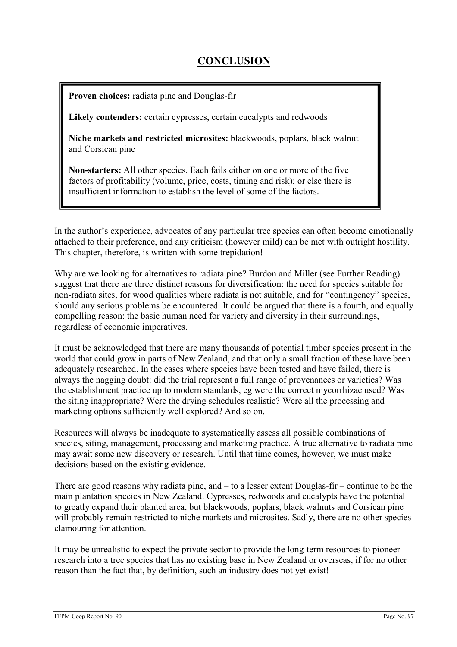# **CONCLUSION**

Proven choices: radiata pine and Douglas-fir

Likely contenders: certain cypresses, certain eucalypts and redwoods

Niche markets and restricted microsites: blackwoods, poplars, black walnut and Corsican pine

Non-starters: All other species. Each fails either on one or more of the five factors of profitability (volume, price, costs, timing and risk); or else there is insufficient information to establish the level of some of the factors.

In the author's experience, advocates of any particular tree species can often become emotionally attached to their preference, and any criticism (however mild) can be met with outright hostility. This chapter, therefore, is written with some trepidation!

Why are we looking for alternatives to radiata pine? Burdon and Miller (see Further Reading) suggest that there are three distinct reasons for diversification: the need for species suitable for non-radiata sites, for wood qualities where radiata is not suitable, and for "contingency" species, should any serious problems be encountered. It could be argued that there is a fourth, and equally compelling reason: the basic human need for variety and diversity in their surroundings, regardless of economic imperatives.

It must be acknowledged that there are many thousands of potential timber species present in the world that could grow in parts of New Zealand, and that only a small fraction of these have been adequately researched. In the cases where species have been tested and have failed, there is always the nagging doubt: did the trial represent a full range of provenances or varieties? Was the establishment practice up to modern standards, eg were the correct mycorrhizae used? Was the siting inappropriate? Were the drying schedules realistic? Were all the processing and marketing options sufficiently well explored? And so on.

Resources will always be inadequate to systematically assess all possible combinations of species, siting, management, processing and marketing practice. A true alternative to radiata pine may await some new discovery or research. Until that time comes, however, we must make decisions based on the existing evidence.

There are good reasons why radiata pine, and – to a lesser extent Douglas-fir – continue to be the main plantation species in New Zealand. Cypresses, redwoods and eucalypts have the potential to greatly expand their planted area, but blackwoods, poplars, black walnuts and Corsican pine will probably remain restricted to niche markets and microsites. Sadly, there are no other species clamouring for attention.

It may be unrealistic to expect the private sector to provide the long-term resources to pioneer research into a tree species that has no existing base in New Zealand or overseas, if for no other reason than the fact that, by definition, such an industry does not yet exist!